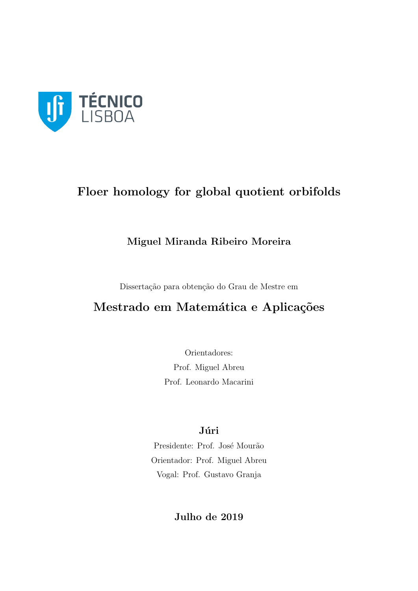

# Floer homology for global quotient orbifolds

# Miguel Miranda Ribeiro Moreira

Dissertação para obtenção do Grau de Mestre em

# Mestrado em Matemática e Aplicações

Orientadores: Prof. Miguel Abreu Prof. Leonardo Macarini

# Júri

Presidente: Prof. José Mourão Orientador: Prof. Miguel Abreu Vogal: Prof. Gustavo Granja

Julho de 2019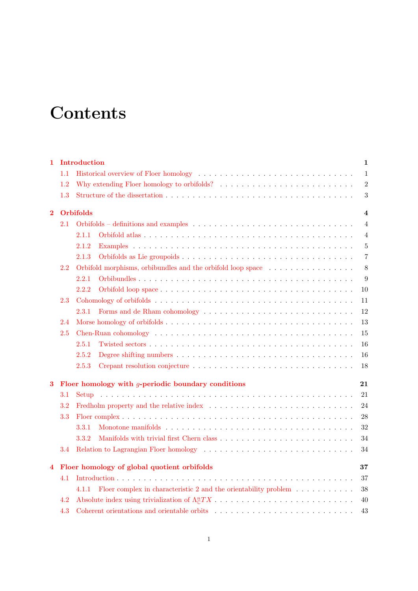# **Contents**

| 1        |         | Introduction                                                                                                | 1                       |
|----------|---------|-------------------------------------------------------------------------------------------------------------|-------------------------|
|          | 1.1     |                                                                                                             | $\mathbf{1}$            |
|          | 1.2     | Why extending Floer homology to orbifolds? $\ldots \ldots \ldots \ldots \ldots \ldots \ldots \ldots \ldots$ | $\overline{2}$          |
|          | 1.3     |                                                                                                             | $\sqrt{3}$              |
| $\bf{2}$ |         | <b>Orbifolds</b>                                                                                            | $\overline{\mathbf{4}}$ |
|          | $2.1\,$ |                                                                                                             | 4                       |
|          |         | 2.1.1                                                                                                       | 4                       |
|          |         | 2.1.2                                                                                                       | $5\,$                   |
|          |         | 2.1.3                                                                                                       | $\overline{7}$          |
|          | 2.2     | Orbifold morphisms, orbibundles and the orbifold loop space                                                 | 8                       |
|          |         | 2.2.1                                                                                                       | 9                       |
|          |         | 2.2.2                                                                                                       | 10                      |
|          | 2.3     |                                                                                                             | 11                      |
|          |         | 2.3.1                                                                                                       | 12                      |
|          | 2.4     |                                                                                                             | 13                      |
|          | 2.5     |                                                                                                             | 15                      |
|          |         | 2.5.1                                                                                                       | 16                      |
|          |         | 2.5.2                                                                                                       | 16                      |
|          |         | 2.5.3                                                                                                       | 18                      |
| 3        |         | Floer homology with $q$ -periodic boundary conditions                                                       | 21                      |
|          | $3.1\,$ |                                                                                                             | 21                      |
|          | 3.2     |                                                                                                             | 24                      |
|          | 3.3     |                                                                                                             | 28                      |
|          |         | 3.3.1                                                                                                       | 32                      |
|          |         | 3.3.2                                                                                                       | 34                      |
|          | 3.4     |                                                                                                             | 34                      |
| 4        |         | Floer homology of global quotient orbifolds                                                                 | 37                      |
|          | 4.1     |                                                                                                             | 37                      |
|          |         | Floer complex in characteristic 2 and the orientability problem $\dots \dots \dots$<br>4.1.1                | 38                      |
|          | 4.2     |                                                                                                             | 40                      |
|          | 4.3     |                                                                                                             | 43                      |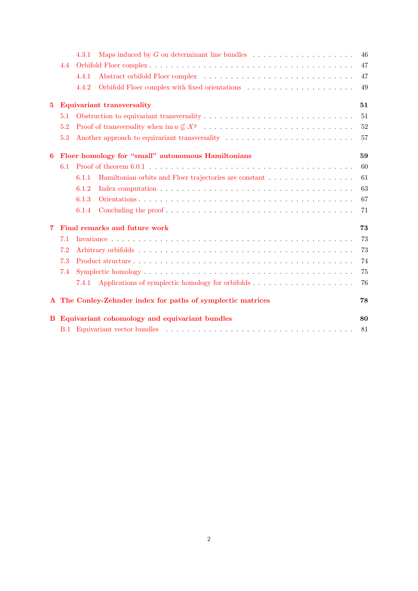|              |     | Maps induced by $G$ on determinant line bundles $\ldots$ , , , ,<br>4.3.1                              | 46 |
|--------------|-----|--------------------------------------------------------------------------------------------------------|----|
|              | 4.4 |                                                                                                        | 47 |
|              |     | 4.4.1                                                                                                  | 47 |
|              |     | 4.4.2                                                                                                  | 49 |
| $5^{\circ}$  |     | <b>Equivariant transversality</b>                                                                      | 51 |
|              | 5.1 |                                                                                                        | 51 |
|              | 5.2 |                                                                                                        | 52 |
|              | 5.3 | Another approach to equivariant transversality $\dots \dots \dots \dots \dots \dots \dots \dots \dots$ | 57 |
| 6            |     | Floer homology for "small" autonomous Hamiltonians                                                     | 59 |
|              | 6.1 |                                                                                                        | 60 |
|              |     | 6.1.1                                                                                                  | 61 |
|              |     | 6.1.2                                                                                                  | 63 |
|              |     | 6.1.3                                                                                                  | 67 |
|              |     | 6.1.4                                                                                                  | 71 |
| 7            |     | Final remarks and future work                                                                          | 73 |
|              | 7.1 |                                                                                                        | 73 |
|              | 7.2 |                                                                                                        | 73 |
|              | 7.3 |                                                                                                        | 74 |
|              | 7.4 |                                                                                                        | 75 |
|              |     | 7.4.1                                                                                                  | 76 |
| $\mathbf{A}$ |     | The Conley-Zehnder index for paths of symplectic matrices                                              | 78 |
|              |     | B Equivariant cohomology and equivariant bundles                                                       | 80 |
|              |     |                                                                                                        | 81 |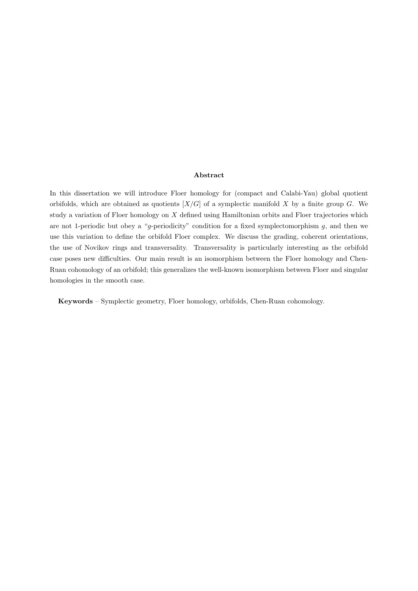#### Abstract

In this dissertation we will introduce Floer homology for (compact and Calabi-Yau) global quotient orbifolds, which are obtained as quotients  $[X/G]$  of a symplectic manifold X by a finite group G. We study a variation of Floer homology on  $X$  defined using Hamiltonian orbits and Floer trajectories which are not 1-periodic but obey a "g-periodicity" condition for a fixed symplectomorphism  $g$ , and then we use this variation to define the orbifold Floer complex. We discuss the grading, coherent orientations, the use of Novikov rings and transversality. Transversality is particularly interesting as the orbifold case poses new difficulties. Our main result is an isomorphism between the Floer homology and Chen-Ruan cohomology of an orbifold; this generalizes the well-known isomorphism between Floer and singular homologies in the smooth case.

Keywords – Symplectic geometry, Floer homology, orbifolds, Chen-Ruan cohomology.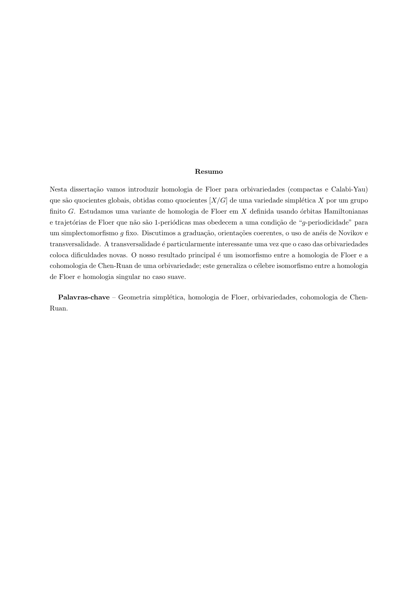#### Resumo

Nesta dissertação vamos introduzir homologia de Floer para orbivariedades (compactas e Calabi-Yau) que são quocientes globais, obtidas como quocientes  $[X/G]$  de uma variedade simplética X por um grupo finito G. Estudamos uma variante de homologia de Floer em  $X$  definida usando órbitas Hamiltonianas e trajetórias de Floer que não são 1-periódicas mas obedecem a uma condição de "g-periodicidade" para um simplectomorfismo  $g$  fixo. Discutimos a graduação, orientações coerentes, o uso de anéis de Novikov e transversalidade. A transversalidade é particularmente interessante uma vez que o caso das orbivariedades coloca dificuldades novas. O nosso resultado principal é um isomorfismo entre a homologia de Floer e a cohomologia de Chen-Ruan de uma orbivariedade; este generaliza o célebre isomorfismo entre a homologia de Floer e homologia singular no caso suave.

Palavras-chave – Geometria simplética, homologia de Floer, orbivariedades, cohomologia de Chen-Ruan.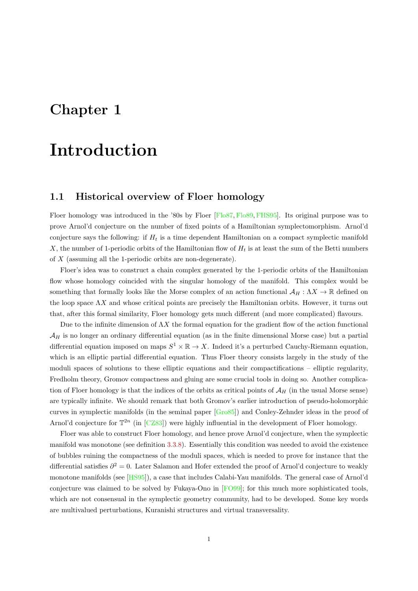# <span id="page-5-0"></span>Chapter 1

# Introduction

## <span id="page-5-1"></span>1.1 Historical overview of Floer homology

Floer homology was introduced in the '80s by Floer [\[Flo87,](#page-89-0) [Flo89,](#page-89-1) [FHS95\]](#page-89-2). Its original purpose was to prove Arnol'd conjecture on the number of fixed points of a Hamiltonian symplectomorphism. Arnol'd conjecture says the following: if  $H_t$  is a time dependent Hamiltonian on a compact symplectic manifold X, the number of 1-periodic orbits of the Hamiltonian flow of  $H_t$  is at least the sum of the Betti numbers of X (assuming all the 1-periodic orbits are non-degenerate).

Floer's idea was to construct a chain complex generated by the 1-periodic orbits of the Hamiltonian flow whose homology coincided with the singular homology of the manifold. This complex would be something that formally looks like the Morse complex of an action functional  $\mathcal{A}_H : \Lambda X \to \mathbb{R}$  defined on the loop space  $\Lambda X$  and whose critical points are precisely the Hamiltonian orbits. However, it turns out that, after this formal similarity, Floer homology gets much different (and more complicated) flavours.

Due to the infinite dimension of  $\Lambda X$  the formal equation for the gradient flow of the action functional  $\mathcal{A}_H$  is no longer an ordinary differential equation (as in the finite dimensional Morse case) but a partial differential equation imposed on maps  $S^1 \times \mathbb{R} \to X$ . Indeed it's a perturbed Cauchy-Riemann equation, which is an elliptic partial differential equation. Thus Floer theory consists largely in the study of the moduli spaces of solutions to these elliptic equations and their compactifications – elliptic regularity, Fredholm theory, Gromov compactness and gluing are some crucial tools in doing so. Another complication of Floer homology is that the indices of the orbits as critical points of  $A_H$  (in the usual Morse sense) are typically infinite. We should remark that both Gromov's earlier introduction of pseudo-holomorphic curves in symplectic manifolds (in the seminal paper [\[Gro85\]](#page-90-0)) and Conley-Zehnder ideas in the proof of Arnol'd conjecture for  $\mathbb{T}^{2n}$  (in [\[CZ83\]](#page-89-3)) were highly influential in the development of Floer homology.

Floer was able to construct Floer homology, and hence prove Arnol'd conjecture, when the symplectic manifold was monotone (see definition [3.3.8\)](#page-36-1). Essentially this condition was needed to avoid the existence of bubbles ruining the compactness of the moduli spaces, which is needed to prove for instance that the differential satisfies  $\partial^2 = 0$ . Later Salamon and Hofer extended the proof of Arnol'd conjecture to weakly monotone manifolds (see [\[HS95\]](#page-90-1)), a case that includes Calabi-Yau manifolds. The general case of Arnol'd conjecture was claimed to be solved by Fukaya-Ono in [\[FO99\]](#page-89-4); for this much more sophisticated tools, which are not consensual in the symplectic geometry community, had to be developed. Some key words are multivalued perturbations, Kuranishi structures and virtual transversality.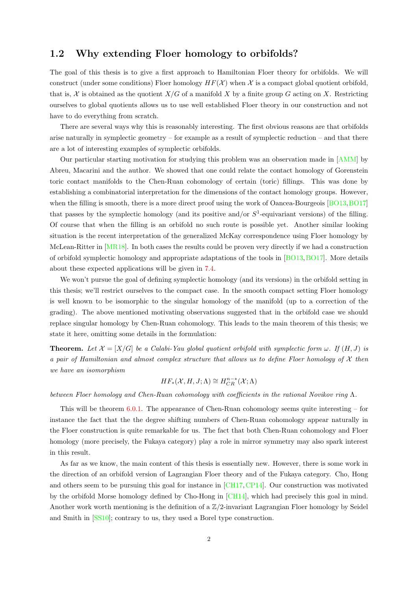# <span id="page-6-0"></span>1.2 Why extending Floer homology to orbifolds?

The goal of this thesis is to give a first approach to Hamiltonian Floer theory for orbifolds. We will construct (under some conditions) Floer homology  $HF(X)$  when X is a compact global quotient orbifold, that is, X is obtained as the quotient  $X/G$  of a manifold X by a finite group G acting on X. Restricting ourselves to global quotients allows us to use well established Floer theory in our construction and not have to do everything from scratch.

There are several ways why this is reasonably interesting. The first obvious reasons are that orbifolds arise naturally in symplectic geometry – for example as a result of symplectic reduction – and that there are a lot of interesting examples of symplectic orbifolds.

Our particular starting motivation for studying this problem was an observation made in [\[AMM\]](#page-88-0) by Abreu, Macarini and the author. We showed that one could relate the contact homology of Gorenstein toric contact manifolds to the Chen-Ruan cohomology of certain (toric) fillings. This was done by establishing a combinatorial interpretation for the dimensions of the contact homology groups. However, when the filling is smooth, there is a more direct proof using the work of Oancea-Bourgeois [\[BO13,](#page-88-1) [BO17\]](#page-88-2) that passes by the symplectic homology (and its positive and/or  $S<sup>1</sup>$ -equivariant versions) of the filling. Of course that when the filling is an orbifold no such route is possible yet. Another similar looking situation is the recent interpretation of the generalized McKay correspondence using Floer homology by McLean-Ritter in [\[MR18\]](#page-90-2). In both cases the results could be proven very directly if we had a construction of orbifold symplectic homology and appropriate adaptations of the tools in [\[BO13,](#page-88-1)[BO17\]](#page-88-2). More details about these expected applications will be given in [7.4.](#page-79-0)

We won't pursue the goal of defining symplectic homology (and its versions) in the orbifold setting in this thesis; we'll restrict ourselves to the compact case. In the smooth compact setting Floer homology is well known to be isomorphic to the singular homology of the manifold (up to a correction of the grading). The above mentioned motivating observations suggested that in the orbifold case we should replace singular homology by Chen-Ruan cohomology. This leads to the main theorem of this thesis; we state it here, omitting some details in the formulation:

**Theorem.** Let  $\mathcal{X} = [X/G]$  be a Calabi-Yau global quotient orbifold with symplectic form  $\omega$ . If  $(H, J)$  is a pair of Hamiltonian and almost complex structure that allows us to define Floer homology of  $\mathcal X$  then we have an isomorphism

$$
HF_*(\mathcal{X}, H, J; \Lambda) \cong H^{n-*}_{CR}(\mathcal{X}; \Lambda)
$$

between Floer homology and Chen-Ruan cohomology with coefficients in the rational Novikov ring  $\Lambda$ .

This will be theorem [6.0.1.](#page-63-1) The appearance of Chen-Ruan cohomology seems quite interesting – for instance the fact that the the degree shifting numbers of Chen-Ruan cohomology appear naturally in the Floer construction is quite remarkable for us. The fact that both Chen-Ruan cohomology and Floer homology (more precisely, the Fukaya category) play a role in mirror symmetry may also spark interest in this result.

As far as we know, the main content of this thesis is essentially new. However, there is some work in the direction of an orbifold version of Lagrangian Floer theory and of the Fukaya category. Cho, Hong and others seem to be pursuing this goal for instance in [\[CH17,](#page-88-3)[CP14\]](#page-89-5). Our construction was motivated by the orbifold Morse homology defined by Cho-Hong in [\[CH14\]](#page-88-4), which had precisely this goal in mind. Another work worth mentioning is the definition of a  $\mathbb{Z}/2$ -invariant Lagrangian Floer homology by Seidel and Smith in [\[SS10\]](#page-91-0); contrary to us, they used a Borel type construction.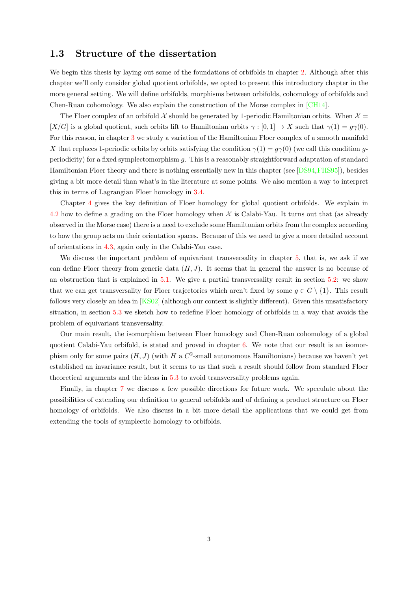### <span id="page-7-0"></span>1.3 Structure of the dissertation

We begin this thesis by laying out some of the foundations of orbifolds in chapter [2.](#page-8-0) Although after this chapter we'll only consider global quotient orbifolds, we opted to present this introductory chapter in the more general setting. We will define orbifolds, morphisms between orbifolds, cohomology of orbifolds and Chen-Ruan cohomology. We also explain the construction of the Morse complex in [\[CH14\]](#page-88-4).

The Floer complex of an orbifold  $\mathcal X$  should be generated by 1-periodic Hamiltonian orbits. When  $\mathcal X$ [X/G] is a global quotient, such orbits lift to Hamiltonian orbits  $\gamma : [0,1] \to X$  such that  $\gamma(1) = q\gamma(0)$ . For this reason, in chapter [3](#page-25-0) we study a variation of the Hamiltonian Floer complex of a smooth manifold X that replaces 1-periodic orbits by orbits satisfying the condition  $\gamma(1) = g\gamma(0)$  (we call this condition gperiodicity) for a fixed symplectomorphism g. This is a reasonably straightforward adaptation of standard Hamiltonian Floer theory and there is nothing essentially new in this chapter (see [\[DS94,](#page-89-6)[FHS95\]](#page-89-2)), besides giving a bit more detail than what's in the literature at some points. We also mention a way to interpret this in terms of Lagrangian Floer homology in [3.4.](#page-38-1)

Chapter [4](#page-41-0) gives the key definition of Floer homology for global quotient orbifolds. We explain in [4.2](#page-44-0) how to define a grading on the Floer homology when  $\mathcal X$  is Calabi-Yau. It turns out that (as already observed in the Morse case) there is a need to exclude some Hamiltonian orbits from the complex according to how the group acts on their orientation spaces. Because of this we need to give a more detailed account of orientations in [4.3,](#page-47-0) again only in the Calabi-Yau case.

We discuss the important problem of equivariant transversality in chapter [5,](#page-55-0) that is, we ask if we can define Floer theory from generic data  $(H, J)$ . It seems that in general the answer is no because of an obstruction that is explained in [5.1.](#page-55-1) We give a partial transversality result in section [5.2:](#page-56-0) we show that we can get transversality for Floer trajectories which aren't fixed by some  $q \in G \setminus \{1\}$ . This result follows very closely an idea in [\[KS02\]](#page-90-3) (although our context is slightly different). Given this unsatisfactory situation, in section [5.3](#page-61-0) we sketch how to redefine Floer homology of orbifolds in a way that avoids the problem of equivariant transversality.

Our main result, the isomorphism between Floer homology and Chen-Ruan cohomology of a global quotient Calabi-Yau orbifold, is stated and proved in chapter [6.](#page-63-0) We note that our result is an isomorphism only for some pairs  $(H, J)$  (with H a  $C^2$ -small autonomous Hamiltonians) because we haven't yet established an invariance result, but it seems to us that such a result should follow from standard Floer theoretical arguments and the ideas in [5.3](#page-61-0) to avoid transversality problems again.

Finally, in chapter [7](#page-77-0) we discuss a few possible directions for future work. We speculate about the possibilities of extending our definition to general orbifolds and of defining a product structure on Floer homology of orbifolds. We also discuss in a bit more detail the applications that we could get from extending the tools of symplectic homology to orbifolds.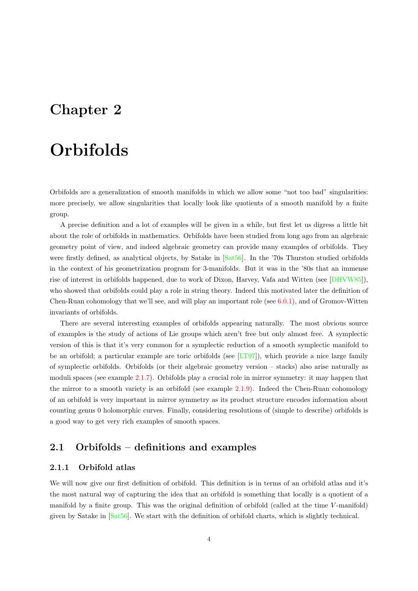# <span id="page-8-0"></span>Chapter 2

# **Orbifolds**

Orbifolds are a generalization of smooth manifolds in which we allow some "not too bad" singularities: more precisely, we allow singularities that locally look like quotients of a smooth manifold by a finite group.

A precise definition and a lot of examples will be given in a while, but first let us digress a little bit about the role of orbifolds in mathematics. Orbifolds have been studied from long ago from an algebraic geometry point of view, and indeed algebraic geometry can provide many examples of orbifolds. They were firstly defined, as analytical objects, by Satake in [\[Sat56\]](#page-91-1). In the '70s Thurston studied orbifolds in the context of his geometrization program for 3-manifolds. But it was in the '80s that an immense rise of interest in orbifolds happened, due to work of Dixon, Harvey, Vafa and Witten (see [\[DHVW85\]](#page-89-7)), who showed that orbifolds could play a role in string theory. Indeed this motivated later the definition of Chen-Ruan cohomology that we'll see, and will play an important role (see  $6.0.1$ ), and of Gromov-Witten invariants of orbifolds.

There are several interesting examples of orbifolds appearing naturally. The most obvious source of examples is the study of actions of Lie groups which aren't free but only almost free. A symplectic version of this is that it's very common for a symplectic reduction of a smooth symplectic manifold to be an orbifold; a particular example are toric orbifolds (see  $[LT97]$ ), which provide a nice large family of symplectic orbifolds. Orbifolds (or their algebraic geometry version – stacks) also arise naturally as moduli spaces (see example [2.1.7\)](#page-10-0). Orbifolds play a crucial role in mirror symmetry: it may happen that the mirror to a smooth variety is an orbifold (see example [2.1.9\)](#page-10-1). Indeed the Chen-Ruan cohomology of an orbifold is very important in mirror symmetry as its product structure encodes information about counting genus 0 holomorphic curves. Finally, considering resolutions of (simple to describe) orbifolds is a good way to get very rich examples of smooth spaces.

## <span id="page-8-1"></span>2.1 Orbifolds – definitions and examples

#### <span id="page-8-2"></span>2.1.1 Orbifold atlas

We will now give our first definition of orbifold. This definition is in terms of an orbifold atlas and it's the most natural way of capturing the idea that an orbifold is something that locally is a quotient of a manifold by a finite group. This was the original definition of orbifold (called at the time V-manifold) given by Satake in [\[Sat56\]](#page-91-1). We start with the definition of orbifold charts, which is slightly technical.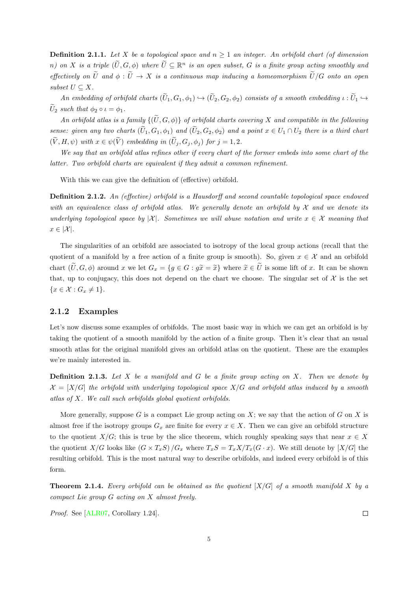**Definition 2.1.1.** Let X be a topological space and  $n \geq 1$  an integer. An orbifold chart (of dimension n) on X is a triple  $(\widetilde{U},G,\phi)$  where  $\widetilde{U}\subseteq\mathbb{R}^n$  is an open subset, G is a finite group acting smoothly and effectively on  $\tilde{U}$  and  $\phi : \tilde{U} \to X$  is a continuous map inducing a homeomorphism  $\tilde{U}/G$  onto an open subset  $U \subseteq X$ .

An embedding of orbifold charts  $(\widetilde{U}_1, G_1, \phi_1) \hookrightarrow (\widetilde{U}_2, G_2, \phi_2)$  consists of a smooth embedding  $\iota : \widetilde{U}_1 \hookrightarrow$  $\widetilde{U}_2$  such that  $\phi_2 \circ \iota = \phi_1$ .

An orbifold atlas is a family  $\{(\widetilde{U},G,\phi)\}\$  of orbifold charts covering X and compatible in the following sense: given any two charts  $(\tilde{U}_1, G_1, \phi_1)$  and  $(\tilde{U}_2, G_2, \phi_2)$  and a point  $x \in U_1 \cap U_2$  there is a third chart  $(\widetilde{V}, H, \psi)$  with  $x \in \psi(\widetilde{V})$  embedding in  $(\widetilde{U}_j, G_j, \phi_j)$  for  $j = 1, 2$ .

We say that an orbifold atlas refines other if every chart of the former embeds into some chart of the latter. Two orbifold charts are equivalent if they admit a common refinement.

With this we can give the definition of (effective) orbifold.

Definition 2.1.2. An (effective) orbifold is a Hausdorff and second countable topological space endowed with an equivalence class of orbifold atlas. We generally denote an orbifold by  $\mathcal X$  and we denote its underlying topological space by |X|. Sometimes we will abuse notation and write  $x \in \mathcal{X}$  meaning that  $x \in |\mathcal{X}|.$ 

The singularities of an orbifold are associated to isotropy of the local group actions (recall that the quotient of a manifold by a free action of a finite group is smooth). So, given  $x \in \mathcal{X}$  and an orbifold chart  $(\tilde{U}, G, \phi)$  around x we let  $G_x = \{g \in G : g\tilde{x} = \tilde{x}\}\$  where  $\tilde{x} \in \tilde{U}$  is some lift of x. It can be shown that, up to conjugacy, this does not depend on the chart we choose. The singular set of  $\mathcal X$  is the set  $\{x \in \mathcal{X} : G_x \neq 1\}.$ 

#### <span id="page-9-0"></span>2.1.2 Examples

Let's now discuss some examples of orbifolds. The most basic way in which we can get an orbifold is by taking the quotient of a smooth manifold by the action of a finite group. Then it's clear that an usual smooth atlas for the original manifold gives an orbifold atlas on the quotient. These are the examples we're mainly interested in.

**Definition 2.1.3.** Let X be a manifold and G be a finite group acting on X. Then we denote by  $X = [X/G]$  the orbifold with underlying topological space  $X/G$  and orbifold atlas induced by a smooth atlas of X. We call such orbifolds global quotient orbifolds.

More generally, suppose G is a compact Lie group acting on  $X$ ; we say that the action of G on X is almost free if the isotropy groups  $G_x$  are finite for every  $x \in X$ . Then we can give an orbifold structure to the quotient  $X/G$ ; this is true by the slice theorem, which roughly speaking says that near  $x \in X$ the quotient  $X/G$  looks like  $(G \times T_xS)/G_x$  where  $T_xS = T_xX/T_x(G \cdot x)$ . We still denote by  $[X/G]$  the resulting orbifold. This is the most natural way to describe orbifolds, and indeed every orbifold is of this form.

**Theorem 2.1.4.** Every orbifold can be obtained as the quotient  $[X/G]$  of a smooth manifold X by a compact Lie group G acting on X almost freely.

Proof. See [\[ALR07,](#page-88-5) Corollary 1.24].

 $\Box$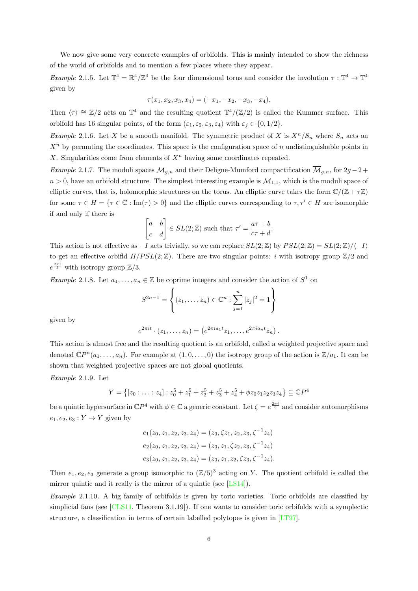We now give some very concrete examples of orbifolds. This is mainly intended to show the richness of the world of orbifolds and to mention a few places where they appear.

<span id="page-10-2"></span>Example 2.1.5. Let  $\mathbb{T}^4 = \mathbb{R}^4/\mathbb{Z}^4$  be the four dimensional torus and consider the involution  $\tau : \mathbb{T}^4 \to \mathbb{T}^4$ given by

$$
\tau(x_1, x_2, x_3, x_4) = (-x_1, -x_2, -x_3, -x_4).
$$

Then  $\langle \tau \rangle \cong \mathbb{Z}/2$  acts on  $\mathbb{T}^4$  and the resulting quotient  $\mathbb{T}^4/(\mathbb{Z}/2)$  is called the Kummer surface. This orbifold has 16 singular points, of the form  $(\varepsilon_1, \varepsilon_2, \varepsilon_3, \varepsilon_4)$  with  $\varepsilon_i \in \{0, 1/2\}$ .

<span id="page-10-3"></span>*Example 2.1.6.* Let X be a smooth manifold. The symmetric product of X is  $X^n/S_n$  where  $S_n$  acts on  $X<sup>n</sup>$  by permuting the coordinates. This space is the configuration space of n undistinguishable points in X. Singularities come from elements of  $X<sup>n</sup>$  having some coordinates repeated.

<span id="page-10-0"></span>Example 2.1.7. The moduli spaces  $\mathcal{M}_{g,n}$  and their Deligne-Mumford compactification  $\overline{\mathcal{M}}_{g,n}$ , for  $2g-2+$  $n > 0$ , have an orbifold structure. The simplest interesting example is  $\mathcal{M}_{1,1}$ , which is the moduli space of elliptic curves, that is, holomorphic structures on the torus. An elliptic curve takes the form  $\mathbb{C}/(\mathbb{Z} + \tau \mathbb{Z})$ for some  $\tau \in H = \{ \tau \in \mathbb{C} : \text{Im}(\tau) > 0 \}$  and the elliptic curves corresponding to  $\tau, \tau' \in H$  are isomorphic if and only if there is

$$
\begin{bmatrix} a & b \\ c & d \end{bmatrix} \in SL(2; \mathbb{Z}) \text{ such that } \tau' = \frac{a\tau + b}{c\tau + d}
$$

.

This action is not effective as  $-I$  acts trivially, so we can replace  $SL(2;\mathbb{Z})$  by  $PSL(2;\mathbb{Z}) = SL(2;\mathbb{Z})/\langle -I \rangle$ to get an effective orbifld  $H/PSL(2;\mathbb{Z})$ . There are two singular points: *i* with isotropy group  $\mathbb{Z}/2$  and  $e^{\frac{2\pi i}{3}}$  with isotropy group  $\mathbb{Z}/3$ .

*Example 2.1.8.* Let  $a_1, \ldots, a_n \in \mathbb{Z}$  be coprime integers and consider the action of  $S^1$  on

$$
S^{2n-1} = \left\{ (z_1, \dots, z_n) \in \mathbb{C}^n : \sum_{j=1}^n |z_j|^2 = 1 \right\}
$$

given by

$$
e^{2\pi i t} \cdot (z_1, \ldots, z_n) = (e^{2\pi i a_1 t} z_1, \ldots, e^{2\pi i a_n t} z_n).
$$

This action is almost free and the resulting quotient is an orbifold, called a weighted projective space and denoted  $\mathbb{C}P^{n}(a_1,\ldots,a_n)$ . For example at  $(1,0,\ldots,0)$  the isotropy group of the action is  $\mathbb{Z}/a_1$ . It can be shown that weighted projective spaces are not global quotients.

<span id="page-10-1"></span>Example 2.1.9. Let

$$
Y = \left\{ [z_0 : \ldots : z_4] : z_0^5 + z_1^5 + z_2^5 + z_3^5 + z_4^5 + \phi z_0 z_1 z_2 z_3 z_4 \right\} \subseteq \mathbb{C}P^4
$$

be a quintic hypersurface in  $\mathbb{C}P^4$  with  $\phi \in \mathbb{C}$  a generic constant. Let  $\zeta = e^{\frac{2\pi i}{5}}$  and consider automorphisms  $e_1, e_2, e_3: Y \to Y$  given by

$$
e_1(z_0, z_1, z_2, z_3, z_4) = (z_0, \zeta z_1, z_2, z_3, \zeta^{-1} z_4)
$$
  
\n
$$
e_2(z_0, z_1, z_2, z_3, z_4) = (z_0, z_1, \zeta z_2, z_3, \zeta^{-1} z_4)
$$
  
\n
$$
e_3(z_0, z_1, z_2, z_3, z_4) = (z_0, z_1, z_2, \zeta z_3, \zeta^{-1} z_4).
$$

Then  $e_1, e_2, e_3$  generate a group isomorphic to  $(\mathbb{Z}/5)^3$  acting on Y. The quotient orbifold is called the mirror quintic and it really is the mirror of a quintic (see [\[LS14\]](#page-90-5)).

Example 2.1.10. A big family of orbifolds is given by toric varieties. Toric orbifolds are classified by simplicial fans (see [\[CLS11,](#page-88-6) Theorem 3.1.19]). If one wants to consider toric orbifolds with a symplectic structure, a classification in terms of certain labelled polytopes is given in [\[LT97\]](#page-90-4).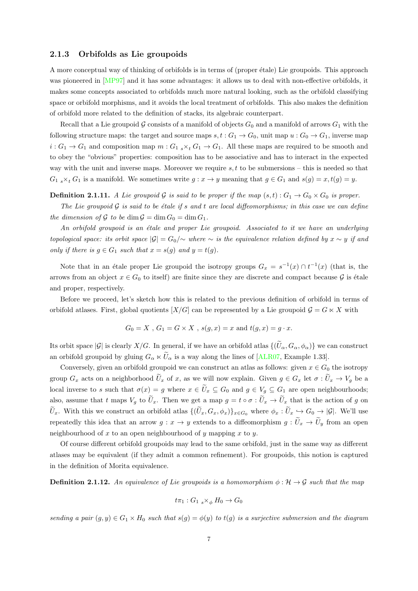#### <span id="page-11-0"></span>2.1.3 Orbifolds as Lie groupoids

A more conceptual way of thinking of orbifolds is in terms of (proper étale) Lie groupoids. This approach was pioneered in [\[MP97\]](#page-90-6) and it has some advantages: it allows us to deal with non-effective orbifolds, it makes some concepts associated to orbifolds much more natural looking, such as the orbifold classifying space or orbifold morphisms, and it avoids the local treatment of orbifolds. This also makes the definition of orbifold more related to the definition of stacks, its algebraic counterpart.

Recall that a Lie groupoid G consists of a manifold of objects  $G_0$  and a manifold of arrows  $G_1$  with the following structure maps: the target and source maps  $s, t : G_1 \to G_0$ , unit map  $u : G_0 \to G_1$ , inverse map  $i: G_1 \to G_1$  and composition map  $m: G_1 {\scriptstyle s \times_t} G_1 \to G_1$ . All these maps are required to be smooth and to obey the "obvious" properties: composition has to be associative and has to interact in the expected way with the unit and inverse maps. Moreover we require  $s, t$  to be submersions – this is needed so that  $G_1$   $_s \times_t G_1$  is a manifold. We sometimes write  $g: x \to y$  meaning that  $g \in G_1$  and  $s(g) = x, t(g) = y$ .

**Definition 2.1.11.** A Lie groupoid G is said to be proper if the map  $(s,t): G_1 \to G_0 \times G_0$  is proper.

The Lie groupoid  $\mathcal G$  is said to be étale if s and t are local diffeomorphisms; in this case we can define the dimension of  $\mathcal G$  to be dim  $\mathcal G = \dim G_0 = \dim G_1$ .

An orbifold groupoid is an étale and proper Lie groupoid. Associated to it we have an underlying topological space: its orbit space  $|\mathcal{G}| = G_0/\sim$  where  $\sim$  is the equivalence relation defined by  $x \sim y$  if and only if there is  $q \in G_1$  such that  $x = s(q)$  and  $y = t(q)$ .

Note that in an étale proper Lie groupoid the isotropy groups  $G_x = s^{-1}(x) \cap t^{-1}(x)$  (that is, the arrows from an object  $x \in G_0$  to itself) are finite since they are discrete and compact because G is étale and proper, respectively.

Before we proceed, let's sketch how this is related to the previous definition of orbifold in terms of orbifold atlases. First, global quotients  $[X/G]$  can be represented by a Lie groupoid  $G = G \ltimes X$  with

$$
G_0 = X
$$
,  $G_1 = G \times X$ ,  $s(g, x) = x$  and  $t(g, x) = g \cdot x$ .

Its orbit space  $|\mathcal{G}|$  is clearly  $X/G$ . In general, if we have an orbifold atlas  $\{(\widetilde{U}_{\alpha}, G_{\alpha}, \phi_{\alpha})\}$  we can construct an orbifold groupoid by gluing  $G_{\alpha} \ltimes \tilde{U}_{\alpha}$  is a way along the lines of [\[ALR07,](#page-88-5) Example 1.33].

Conversely, given an orbifold groupoid we can construct an atlas as follows: given  $x \in G_0$  the isotropy group  $G_x$  acts on a neighborhood  $\tilde{U}_x$  of x, as we will now explain. Given  $g \in G_x$  let  $\sigma : \tilde{U}_x \to V_g$  be a local inverse to s such that  $\sigma(x) = g$  where  $x \in \tilde{U}_x \subseteq G_0$  and  $g \in V_g \subseteq G_1$  are open neighbourhoods; also, assume that t maps  $V_g$  to  $\tilde{U}_x$ . Then we get a map  $g = t \circ \sigma : \tilde{U}_x \to \tilde{U}_x$  that is the action of g on  $\tilde{U}_x$ . With this we construct an orbifold atlas  $\{(\tilde{U}_x, G_x, \phi_x)\}_{x \in G_0}$  where  $\phi_x : \tilde{U}_x \hookrightarrow G_0 \to |\mathcal{G}|$ . We'll use repeatedly this idea that an arrow  $g: x \to y$  extends to a diffeomorphism  $g: \tilde{U}_x \to \tilde{U}_y$  from an open neighbourhood of  $x$  to an open neighbourhood of  $y$  mapping  $x$  to  $y$ .

Of course different orbifold groupoids may lead to the same orbifold, just in the same way as different atlases may be equivalent (if they admit a common refinement). For groupoids, this notion is captured in the definition of Morita equivalence.

**Definition 2.1.12.** An equivalence of Lie groupoids is a homomorphism  $\phi : \mathcal{H} \to \mathcal{G}$  such that the map

$$
t\pi_1: G_{1,s} \times_{\phi} H_0 \to G_0
$$

sending a pair  $(g, y) \in G_1 \times H_0$  such that  $s(g) = \phi(y)$  to  $t(g)$  is a surjective submersion and the diagram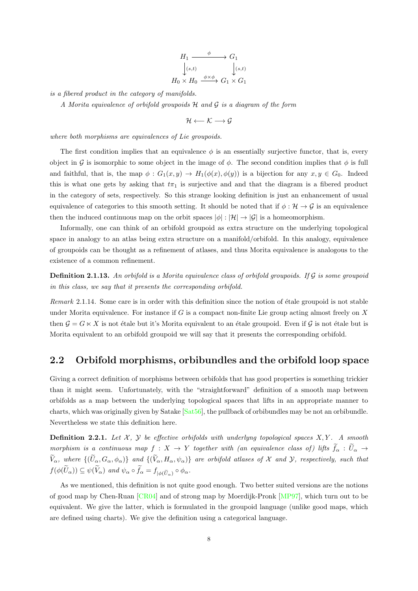$$
H_1 \xrightarrow{\phi} G_1
$$
  
\n
$$
\downarrow (s,t) \qquad \qquad \downarrow (s,t)
$$
  
\n
$$
H_0 \times H_0 \xrightarrow{\phi \times \phi} G_1 \times G_1
$$

is a fibered product in the category of manifolds.

A Morita equivalence of orbifold groupoids  $H$  and  $G$  is a diagram of the form

$$
\mathcal{H} \longleftarrow \mathcal{K} \longrightarrow \mathcal{G}
$$

where both morphisms are equivalences of Lie groupoids.

The first condition implies that an equivalence  $\phi$  is an essentially surjective functor, that is, every object in G is isomorphic to some object in the image of  $\phi$ . The second condition implies that  $\phi$  is full and faithful, that is, the map  $\phi: G_1(x, y) \to H_1(\phi(x), \phi(y))$  is a bijection for any  $x, y \in G_0$ . Indeed this is what one gets by asking that  $t\pi_1$  is surjective and and that the diagram is a fibered product in the category of sets, respectively. So this strange looking definition is just an enhancement of usual equivalence of categories to this smooth setting. It should be noted that if  $\phi : \mathcal{H} \to \mathcal{G}$  is an equivalence then the induced continuous map on the orbit spaces  $|\phi| : |\mathcal{H}| \to |\mathcal{G}|$  is a homeomorphism.

Informally, one can think of an orbifold groupoid as extra structure on the underlying topological space in analogy to an atlas being extra structure on a manifold/orbifold. In this analogy, equivalence of groupoids can be thought as a refinement of atlases, and thus Morita equivalence is analogous to the existence of a common refinement.

**Definition 2.1.13.** An orbifold is a Morita equivalence class of orbifold groupoids. If  $\mathcal{G}$  is some groupoid in this class, we say that it presents the corresponding orbifold.

Remark 2.1.14. Some care is in order with this definition since the notion of étale groupoid is not stable under Morita equivalence. For instance if G is a compact non-finite Lie group acting almost freely on  $X$ then  $\mathcal{G} = G \times X$  is not étale but it's Morita equivalent to an étale groupoid. Even if  $\mathcal{G}$  is not étale but is Morita equivalent to an orbifold groupoid we will say that it presents the corresponding orbifold.

## <span id="page-12-0"></span>2.2 Orbifold morphisms, orbibundles and the orbifold loop space

Giving a correct definition of morphisms between orbifolds that has good properties is something trickier than it might seem. Unfortunately, with the "straightforward" definition of a smooth map between orbifolds as a map between the underlying topological spaces that lifts in an appropriate manner to charts, which was originally given by Satake  $[Sat56]$ , the pullback of orbibundles may be not an orbibundle. Nevertheless we state this definition here.

**Definition 2.2.1.** Let  $X$ ,  $Y$  be effective orbifolds with underlyng topological spaces  $X, Y$ . A smooth morphism is a continuous map  $f: X \to Y$  together with (an equivalence class of) lifts  $\tilde{f}_\alpha : \tilde{U}_\alpha \to$  $\widetilde{V}_{\alpha}$ , where  $\{(\widetilde{U}_{\alpha}, G_{\alpha}, \phi_{\alpha})\}$  and  $\{(\widetilde{V}_{\alpha}, H_{\alpha}, \psi_{\alpha})\}$  are orbifold atlases of X and Y, respectively, such that  $f(\phi(U_{\alpha})) \subseteq \psi(V_{\alpha})$  and  $\psi_{\alpha} \circ f_{\alpha} = f_{|\phi(\widetilde{U}_{\alpha})} \circ \phi_{\alpha}$ .

As we mentioned, this definition is not quite good enough. Two better suited versions are the notions of good map by Chen-Ruan [\[CR04\]](#page-89-8) and of strong map by Moerdijk-Pronk [\[MP97\]](#page-90-6), which turn out to be equivalent. We give the latter, which is formulated in the groupoid language (unlike good maps, which are defined using charts). We give the definition using a categorical language.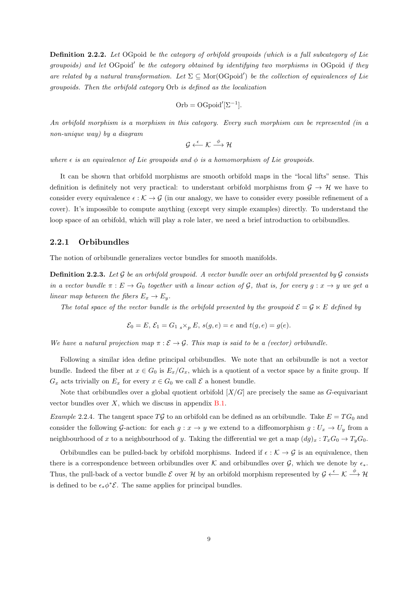Definition 2.2.2. Let OGpoid be the category of orbifold groupoids (which is a full subcategory of Lie groupoids) and let OGpoid' be the category obtained by identifying two morphisms in OGpoid if they are related by a natural transformation. Let  $\Sigma \subseteq \text{Mor}(\text{OGpoid}')$  be the collection of equivalences of Lie groupoids. Then the orbifold category Orb is defined as the localization

Orb = OGpoid
$$
[\Sigma^{-1}]
$$
.

An orbifold morphism is a morphism in this category. Every such morphism can be represented (in a non-unique way) by a diagram

 $\mathcal{G} \overset{\epsilon}{\longleftarrow} \mathcal{K} \overset{\phi}{\longrightarrow} \mathcal{H}$ 

where  $\epsilon$  is an equivalence of Lie groupoids and  $\phi$  is a homomorphism of Lie groupoids.

It can be shown that orbifold morphisms are smooth orbifold maps in the "local lifts" sense. This definition is definitely not very practical: to understant orbifold morphisms from  $\mathcal{G} \to \mathcal{H}$  we have to consider every equivalence  $\epsilon : \mathcal{K} \to \mathcal{G}$  (in our analogy, we have to consider every possible refinement of a cover). It's impossible to compute anything (except very simple examples) directly. To understand the loop space of an orbifold, which will play a role later, we need a brief introduction to orbibundles.

#### <span id="page-13-0"></span>2.2.1 Orbibundles

The notion of orbibundle generalizes vector bundles for smooth manifolds.

**Definition 2.2.3.** Let  $\mathcal G$  be an orbifold groupoid. A vector bundle over an orbifold presented by  $\mathcal G$  consists in a vector bundle  $\pi : E \to G_0$  together with a linear action of G, that is, for every  $g : x \to y$  we get a linear map between the fibers  $E_x \to E_y$ .

The total space of the vector bundle is the orbifold presented by the groupoid  $\mathcal{E} = \mathcal{G} \ltimes E$  defined by

$$
\mathcal{E}_0 = E, \mathcal{E}_1 = G_{1,s} \times_p E, s(g, e) = e \text{ and } t(g, e) = g(e).
$$

We have a natural projection map  $\pi : \mathcal{E} \to \mathcal{G}$ . This map is said to be a (vector) orbibundle.

Following a similar idea define principal orbibundles. We note that an orbibundle is not a vector bundle. Indeed the fiber at  $x \in G_0$  is  $E_x/G_x$ , which is a quotient of a vector space by a finite group. If  $G_x$  acts trivially on  $E_x$  for every  $x \in G_0$  we call  $\mathcal E$  a honest bundle.

Note that orbibundles over a global quotient orbifold  $[X/G]$  are precisely the same as G-equivariant vector bundles over  $X$ , which we discuss in appendix  $B.1$ .

Example 2.2.4. The tangent space TG to an orbifold can be defined as an orbibundle. Take  $E = TG_0$  and consider the following G-action: for each  $g: x \to y$  we extend to a diffeomorphism  $g: U_x \to U_y$  from a neighbourhood of x to a neighbourhood of y. Taking the differential we get a map  $(dg)_x : T_xG_0 \to T_yG_0$ .

Orbibundles can be pulled-back by orbifold morphisms. Indeed if  $\epsilon : \mathcal{K} \to \mathcal{G}$  is an equivalence, then there is a correspondence between orbibundles over K and orbibundles over G, which we denote by  $\epsilon_*$ . Thus, the pull-back of a vector bundle E over H by an orbifold morphism represented by  $\mathcal{G} \xleftarrow{\epsilon} \mathcal{K} \xrightarrow{\phi} \mathcal{H}$ is defined to be  $\epsilon_* \phi^* \mathcal{E}$ . The same applies for principal bundles.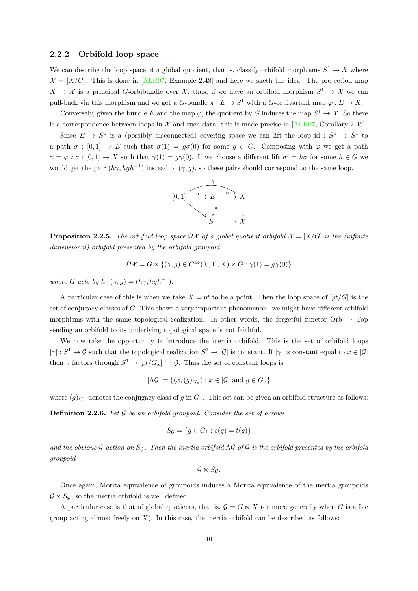#### <span id="page-14-0"></span>2.2.2 Orbifold loop space

We can describe the loop space of a global quotient, that is, classify orbifold morphisms  $S^1 \to \mathcal{X}$  where  $\mathcal{X} = [X/G]$ . This is done in [\[ALR07,](#page-88-5) Example 2.48] and here we sketh the idea. The projection map  $X \to \mathcal{X}$  is a principal G-orbibundle over  $\mathcal{X}$ ; thus, if we have an orbifold morphism  $S^1 \to \mathcal{X}$  we can pull-back via this morphism and we get a G-bundle  $\pi : E \to S^1$  with a G-equivariant map  $\varphi : E \to X$ .

Conversely, given the bundle E and the map  $\varphi$ , the quotient by G induces the map  $S^1 \to \mathcal{X}$ . So there is a correspondence between loops in  $\mathcal X$  and such data: this is made precise in [\[ALR07,](#page-88-5) Corollary 2.46].

Since  $E \to S^1$  is a (possibly disconnected) covering space we can lift the loop id:  $S^1 \to S^1$  to a path  $\sigma : [0,1] \to E$  such that  $\sigma(1) = g\sigma(0)$  for some  $g \in G$ . Composing with  $\varphi$  we get a path  $\gamma = \varphi \circ \sigma : [0,1] \to X$  such that  $\gamma(1) = g\gamma(0)$ . If we choose a different lift  $\sigma' = h\sigma$  for some  $h \in G$  we would get the pair  $(h\gamma, hgh^{-1})$  instead of  $(\gamma, g)$ , so these pairs should correspond to the same loop.



<span id="page-14-2"></span>**Proposition 2.2.5.** The orbifold loop space  $\Omega \mathcal{X}$  of a global quotient orbifold  $\mathcal{X} = [X/G]$  is the (infinite dimensional) orbifold presented by the orbifold groupoid

$$
\Omega \mathcal{X} = G \ltimes \{ (\gamma, g) \in C^{\infty}([0, 1], X) \times G : \gamma(1) = g\gamma(0) \}
$$

where G acts by  $h \cdot (\gamma, g) = (h\gamma, hgh^{-1}).$ 

A particular case of this is when we take  $X = pt$  to be a point. Then the loop space of  $[pt/G]$  is the set of conjugacy classes of  $G$ . This shows a very important phenomenon: we might have different orbifold morphisms with the same topological realization. In other words, the forgetful functor  $Orb \rightarrow Top$ sending an orbifold to its underlying topological space is not faithful.

We now take the opportunity to introduce the inertia orbifold. This is the set of orbifold loops  $|\gamma|: S^1 \to \mathcal{G}$  such that the topological realization  $S^1 \to |\mathcal{G}|$  is constant. If  $|\gamma|$  is constant equal to  $x \in |\mathcal{G}|$ then  $\gamma$  factors through  $S^1 \to [pt/G_x] \hookrightarrow \mathcal{G}$ . Thus the set of constant loops is

$$
|\Lambda \mathcal{G}| = \{ (x, (g)_{G_x}) : x \in |\mathcal{G}| \text{ and } g \in G_x \}
$$

where  $(g)_{G_x}$  denotes the conjugacy class of g in  $G_x$ . This set can be given an orbifold structure as follows:

<span id="page-14-1"></span>**Definition 2.2.6.** Let  $\mathcal G$  be an orbifold groupoid. Consider the set of arrows

$$
S_{\mathcal{G}} = \{ g \in G_1 : s(g) = t(g) \}
$$

and the obvious  $G$ -action on  $S_G$ . Then the inertia orbifold  $\Lambda G$  of  $G$  is the orbifold presented by the orbifold groupoid

$$
\mathcal{G}\ltimes S_{\mathcal{G}}.
$$

Once again, Morita equivalence of groupoids induces a Morita equivalence of the inertia groupoids  $\mathcal{G} \ltimes S_{\mathcal{G}}$ , so the inertia orbifold is well defined.

A particular case is that of global quotients, that is,  $G = G \ltimes X$  (or more generally when G is a Lie group acting almost freely on  $X$ ). In this case, the inertia orbifold can be described as follows: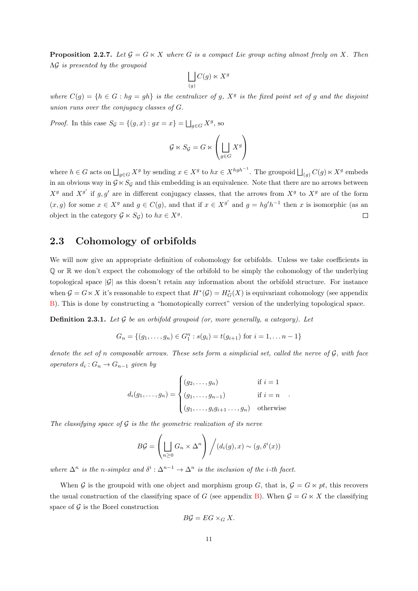<span id="page-15-1"></span>**Proposition 2.2.7.** Let  $\mathcal{G} = G \ltimes X$  where G is a compact Lie group acting almost freely on X. Then ΛG is presented by the groupoid

$$
\bigsqcup_{(g)} C(g) \ltimes X^g
$$

where  $C(g) = \{h \in G : hg = gh\}$  is the centralizer of g,  $X^g$  is the fixed point set of g and the disjoint union runs over the conjugacy classes of G.

*Proof.* In this case  $S_{\mathcal{G}} = \{(g, x) : gx = x\} = \bigsqcup_{g \in G} X^g$ , so

$$
\mathcal{G} \ltimes S_{\mathcal{G}} = G \ltimes \left( \bigsqcup_{g \in G} X^g \right)
$$

where  $h \in G$  acts on  $\bigsqcup_{g \in G} X^g$  by sending  $x \in X^g$  to  $hx \in X^{hgh^{-1}}$ . The groupoid  $\bigsqcup_{(g)} C(g) \ltimes X^g$  embeds in an obvious way in  $G \ltimes S_G$  and this embedding is an equivalence. Note that there are no arrows between  $X<sup>g</sup>$  and  $X<sup>g'</sup>$  if g, g' are in different conjugacy classes, that the arrows from  $X<sup>g</sup>$  to  $X<sup>g</sup>$  are of the form  $(x, g)$  for some  $x \in X^g$  and  $g \in C(g)$ , and that if  $x \in X^{g'}$  and  $g = hg'h^{-1}$  then x is isomorphic (as an object in the category  $\mathcal{G} \ltimes S_{\mathcal{G}}$  to  $hx \in X^g$ .  $\Box$ 

### <span id="page-15-0"></span>2.3 Cohomology of orbifolds

We will now give an appropriate definition of cohomology for orbifolds. Unless we take coefficients in Q or R we don't expect the cohomology of the orbifold to be simply the cohomology of the underlying topological space  $|\mathcal{G}|$  as this doesn't retain any information about the orbifold structure. For instance when  $G = G \ltimes X$  it's reasonable to expect that  $H^*(G) = H^*_G(X)$  is equivariant cohomology (see appendix [B\)](#page-84-0). This is done by constructing a "homotopically correct" version of the underlying topological space.

**Definition 2.3.1.** Let  $G$  be an orbifold groupoid (or, more generally, a category). Let

$$
G_n = \{(g_1, \ldots, g_n) \in G_1^n : s(g_i) = t(g_{i+1}) \text{ for } i = 1, \ldots n-1\}
$$

denote the set of n composable arrows. These sets form a simplicial set, called the nerve of  $\mathcal{G}$ , with face operators  $d_i: G_n \to G_{n-1}$  given by

$$
d_i(g_1, \ldots, g_n) = \begin{cases} (g_2, \ldots, g_n) & \text{if } i = 1\\ (g_1, \ldots, g_{n-1}) & \text{if } i = n\\ (g_1, \ldots, g_i g_{i+1} \ldots, g_n) & \text{otherwise} \end{cases}
$$

.

The classifying space of  $\mathcal G$  is the the geometric realization of its nerve

$$
B\mathcal{G} = \left(\bigsqcup_{n\geq 0} G_n \times \Delta^n\right) / (d_i(g), x) \sim (g, \delta^i(x))
$$

where  $\Delta^n$  is the n-simplex and  $\delta^i : \Delta^{n-1} \to \Delta^n$  is the inclusion of the *i*-th facet.

When G is the groupoid with one object and morphism group G, that is,  $\mathcal{G} = G \ltimes pt$ , this recovers the usual construction of the classifying space of G (see appendix [B\)](#page-84-0). When  $\mathcal{G} = G \ltimes X$  the classifying space of  $\mathcal G$  is the Borel construction

$$
B\mathcal{G} = EG \times_G X.
$$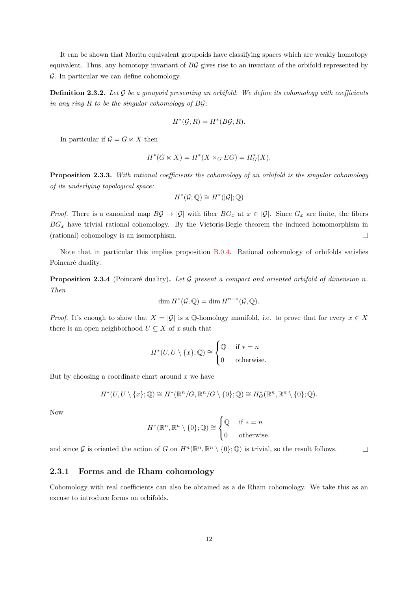It can be shown that Morita equivalent groupoids have classifying spaces which are weakly homotopy equivalent. Thus, any homotopy invariant of  $B\mathcal{G}$  gives rise to an invariant of the orbifold represented by G. In particular we can define cohomology.

**Definition 2.3.2.** Let G be a groupoid presenting an orbifold. We define its cohomology with coefficients in any ring  $R$  to be the singular cohomology of  $B\mathcal{G}$ :

$$
H^*(\mathcal{G}; R) = H^*(B\mathcal{G}; R).
$$

In particular if  $\mathcal{G} = G \ltimes X$  then

$$
H^*(G \ltimes X) = H^*(X \times_G EG) = H^*_G(X).
$$

<span id="page-16-1"></span>**Proposition 2.3.3.** With rational coefficients the cohomology of an orbifold is the singular cohomology of its underlying topological space:

$$
H^*(\mathcal{G};\mathbb{Q}) \cong H^*(|\mathcal{G}|;\mathbb{Q})
$$

*Proof.* There is a canonical map  $B\mathcal{G} \to |\mathcal{G}|$  with fiber  $BG_x$  at  $x \in |\mathcal{G}|$ . Since  $G_x$  are finite, the fibers  $BG_x$  have trivial rational cohomology. By the Vietoris-Begle theorem the induced homomorphism in  $\Box$ (rational) cohomology is an isomorphism.

Note that in particular this implies proposition [B.0.4.](#page-85-1) Rational cohomology of orbifolds satisfies Poincaré duality.

<span id="page-16-2"></span>**Proposition 2.3.4** (Poincaré duality). Let G present a compact and oriented orbifold of dimension n. Then

$$
\dim H^*(\mathcal{G}, \mathbb{Q}) = \dim H^{n-*}(\mathcal{G}, \mathbb{Q}).
$$

*Proof.* It's enough to show that  $X = |\mathcal{G}|$  is a Q-homology manifold, i.e. to prove that for every  $x \in X$ there is an open neighborhood  $U \subseteq X$  of x such that

$$
H^*(U, U \setminus \{x\}; \mathbb{Q}) \cong \begin{cases} \mathbb{Q} & \text{if } * = n \\ 0 & \text{otherwise.} \end{cases}
$$

But by choosing a coordinate chart around  $x$  we have

$$
H^*(U, U \setminus \{x\}; \mathbb{Q}) \cong H^*(\mathbb{R}^n/G, \mathbb{R}^n/G \setminus \{0\}; \mathbb{Q}) \cong H^*_G(\mathbb{R}^n, \mathbb{R}^n \setminus \{0\}; \mathbb{Q}).
$$

Now

$$
H^*(\mathbb{R}^n, \mathbb{R}^n \setminus \{0\}; \mathbb{Q}) \cong \begin{cases} \mathbb{Q} & \text{if } * = n \\ 0 & \text{otherwise.} \end{cases}
$$

and since G is oriented the action of G on  $H^n(\mathbb{R}^n, \mathbb{R}^n \setminus \{0\}; \mathbb{Q})$  is trivial, so the result follows.  $\Box$ 

#### <span id="page-16-0"></span>2.3.1 Forms and de Rham cohomology

Cohomology with real coefficients can also be obtained as a de Rham cohomology. We take this as an excuse to introduce forms on orbifolds.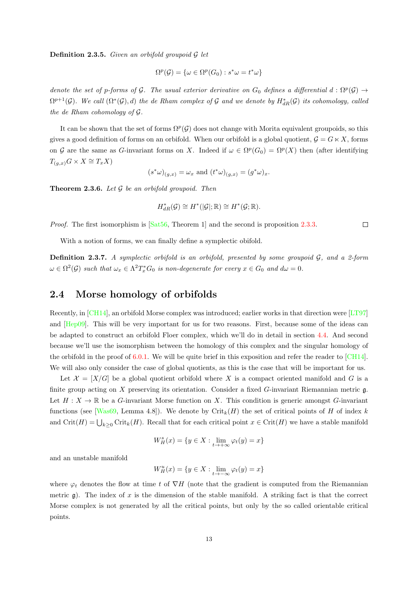**Definition 2.3.5.** Given an orbifold groupoid  $\mathcal{G}$  let

$$
\Omega^p(\mathcal{G}) = \{ \omega \in \Omega^p(G_0) : s^*\omega = t^*\omega \}
$$

denote the set of p-forms of G. The usual exterior derivative on  $G_0$  defines a differential  $d : \Omega^p(\mathcal{G}) \to$  $\Omega^{p+1}(\mathcal{G})$ . We call  $(\Omega^*(\mathcal{G}),d)$  the de Rham complex of  $\mathcal G$  and we denote by  $H^*_{dR}(\mathcal{G})$  its cohomology, called the de Rham cohomology of G.

It can be shown that the set of forms  $\Omega^p(G)$  does not change with Morita equivalent groupoids, so this gives a good definition of forms on an orbifold. When our orbifold is a global quotient,  $\mathcal{G} = G \ltimes X$ , forms on G are the same as G-invariant forms on X. Indeed if  $\omega \in \Omega^p(G_0) = \Omega^p(X)$  then (after identifying  $T_{(g,x)}G \times X \cong T_xX$ 

$$
(s^*\omega)_{(g,x)} = \omega_x
$$
 and  $(t^*\omega)_{(g,x)} = (g^*\omega)_x$ .

<span id="page-17-1"></span>**Theorem 2.3.6.** Let  $\mathcal G$  be an orbifold groupoid. Then

$$
H^*_{dR}(\mathcal{G}) \cong H^*(|\mathcal{G}|; \mathbb{R}) \cong H^*(\mathcal{G}; \mathbb{R}).
$$

*Proof.* The first isomorphism is  $[Sat56, Theorem 1]$  $[Sat56, Theorem 1]$  and the second is proposition [2.3.3.](#page-16-1)

With a notion of forms, we can finally define a symplectic obifold.

**Definition 2.3.7.** A symplectic orbifold is an orbifold, presented by some groupoid  $\mathcal{G}$ , and a 2-form  $\omega \in \Omega^2(\mathcal{G})$  such that  $\omega_x \in \Lambda^2 T^*_x G_0$  is non-degenerate for every  $x \in G_0$  and  $d\omega = 0$ .

### <span id="page-17-0"></span>2.4 Morse homology of orbifolds

Recently, in [\[CH14\]](#page-88-4), an orbifold Morse complex was introduced; earlier works in that direction were [\[LT97\]](#page-90-4) and [\[Hep09\]](#page-90-7). This will be very important for us for two reasons. First, because some of the ideas can be adapted to construct an orbifold Floer complex, which we'll do in detail in section [4.4.](#page-51-0) And second because we'll use the isomorphism between the homology of this complex and the singular homology of the orbifold in the proof of [6.0.1.](#page-63-1) We will be quite brief in this exposition and refer the reader to  $\lbrack \text{CH14} \rbrack$ . We will also only consider the case of global quotients, as this is the case that will be important for us.

Let  $\mathcal{X} = [X/G]$  be a global quotient orbifold where X is a compact oriented manifold and G is a finite group acting on X preserving its orientation. Consider a fixed G-invariant Riemannian metric g. Let  $H: X \to \mathbb{R}$  be a G-invariant Morse function on X. This condition is generic amongst G-invariant functions (see [\[Was69,](#page-91-2) Lemma 4.8]). We denote by Crit<sub>k</sub>(H) the set of critical points of H of index k and  $\text{Crit}(H) = \bigcup_{k \geq 0} \text{Crit}_k(H)$ . Recall that for each critical point  $x \in \text{Crit}(H)$  we have a stable manifold

$$
W_H^s(x) = \{y \in X : \lim_{t \to +\infty} \varphi_t(y) = x\}
$$

and an unstable manifold

$$
W_H^u(x) = \{ y \in X : \lim_{t \to -\infty} \varphi_t(y) = x \}
$$

where  $\varphi_t$  denotes the flow at time t of  $\nabla H$  (note that the gradient is computed from the Riemannian metric  $\mathfrak g$ ). The index of x is the dimension of the stable manifold. A striking fact is that the correct Morse complex is not generated by all the critical points, but only by the so called orientable critical points.

 $\Box$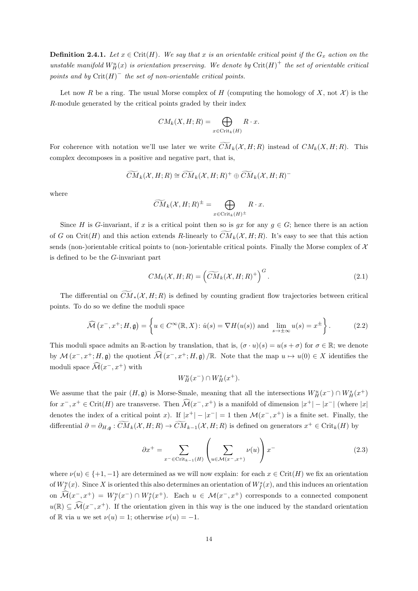**Definition 2.4.1.** Let  $x \in \text{Crit}(H)$ . We say that x is an orientable critical point if the  $G_x$  action on the unstable manifold  $W^u_H(x)$  is orientation preserving. We denote by  $\mathrm{Crit}(H)^+$  the set of orientable critical points and by  $\text{Crit}(H)^{-}$  the set of non-orientable critical points.

Let now R be a ring. The usual Morse complex of H (computing the homology of X, not  $\mathcal X$ ) is the R-module generated by the critical points graded by their index

$$
CM_k(X, H; R) = \bigoplus_{x \in \text{Crit}_k(H)} R \cdot x.
$$

For coherence with notation we'll use later we write  $\widetilde{CM}_k(\mathcal{X}, H; R)$  instead of  $CM_k(X, H; R)$ . This complex decomposes in a positive and negative part, that is,

$$
\widetilde{CM}_k(\mathcal{X}, H; R) \cong \widetilde{CM}_k(\mathcal{X}, H; R)^+ \oplus \widetilde{CM}_k(\mathcal{X}, H; R)^-
$$

where

$$
\widetilde{CM}_k(\mathcal{X}, H; R)^{\pm} = \bigoplus_{x \in \text{Crit}_k(H)^{\pm}} R \cdot x.
$$

Since H is G-invariant, if x is a critical point then so is gx for any  $g \in G$ ; hence there is an action of G on Crit(H) and this action extends R-linearly to  $CM_k(X, H; R)$ . It's easy to see that this action sends (non-)orientable critical points to (non-)orientable critical points. Finally the Morse complex of  $\mathcal X$ is defined to be the G-invariant part

$$
CM_k(\mathcal{X}, H; R) = \left(\widetilde{CM}_k(\mathcal{X}, H; R)^+\right)^G.
$$
\n(2.1)

The differential on  $\widetilde{CM}_*(\mathcal{X}, H; R)$  is defined by counting gradient flow trajectories between critical points. To do so we define the moduli space

$$
\widehat{\mathcal{M}}(x^-, x^+; H, \mathfrak{g}) = \left\{ u \in C^{\infty}(\mathbb{R}, X) : \dot{u}(s) = \nabla H(u(s)) \text{ and } \lim_{s \to \pm \infty} u(s) = x^{\pm} \right\}.
$$
 (2.2)

This moduli space admits an R-action by translation, that is,  $(\sigma \cdot u)(s) = u(s + \sigma)$  for  $\sigma \in \mathbb{R}$ ; we denote by  $\mathcal{M}(x^-, x^+; H, \mathfrak{g})$  the quotient  $\widehat{\mathcal{M}}(x^-, x^+; H, \mathfrak{g})/\mathbb{R}$ . Note that the map  $u \mapsto u(0) \in X$  identifies the moduli space  $\widehat{\mathcal{M}}(x^-, x^+)$  with

$$
W_H^u(x^-) \cap W_H^s(x^+).
$$

We assume that the pair  $(H, \mathfrak{g})$  is Morse-Smale, meaning that all the intersections  $W_H^u(x^-) \cap W_H^s(x^+)$ for  $x^-, x^+ \in \text{Crit}(H)$  are transverse. Then  $\widehat{\mathcal{M}}(x^-, x^+)$  is a manifold of dimension  $|x^+| - |x^-|$  (where  $|x|$ denotes the index of a critical point x). If  $|x^+| - |x^-| = 1$  then  $\mathcal{M}(x^-, x^+)$  is a finite set. Finally, the differential  $\partial = \partial_{H,\mathfrak{g}} : \widetilde{CM}_k(\mathcal{X},H;R) \to \widetilde{CM}_{k-1}(\mathcal{X},H;R)$  is defined on generators  $x^+ \in \mathrm{Crit}_k(H)$  by

$$
\partial x^{+} = \sum_{x^{-} \in \text{Crit}_{k-1}(H)} \left( \sum_{u \in \mathcal{M}(x^{-}, x^{+})} \nu(u) \right) x^{-}
$$
\n(2.3)

where  $\nu(u) \in \{+1, -1\}$  are determined as we will now explain: for each  $x \in \text{Crit}(H)$  we fix an orientation of  $W_f^u(x)$ . Since X is oriented this also determines an orientation of  $W_f^s(x)$ , and this induces an orientation on  $\widehat{\mathcal{M}}(x^-, x^+) = W_f^u(x^-) \cap W_f^s(x^+)$ . Each  $u \in \mathcal{M}(x^-, x^+)$  corresponds to a connected component  $u(\mathbb{R}) \subseteq \widehat{\mathcal{M}}(x^-, x^+)$ . If the orientation given in this way is the one induced by the standard orientation of R via u we set  $\nu(u) = 1$ ; otherwise  $\nu(u) = -1$ .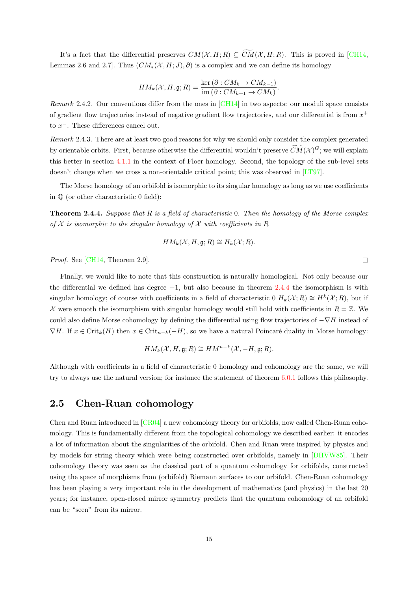It's a fact that the differential preserves  $CM(\mathcal{X}, H; R) \subseteq \widetilde{CM}(\mathcal{X}, H; R)$ . This is proved in [\[CH14,](#page-88-4) Lemmas 2.6 and 2.7]. Thus  $(CM_*(X, H; J), \partial)$  is a complex and we can define its homology

$$
HM_k(\mathcal{X}, H, \mathfrak{g}; R) = \frac{\ker(\partial : CM_k \to CM_{k-1})}{\mathrm{im}(\partial : CM_{k+1} \to CM_k)}.
$$

*Remark* 2.4.2. Our conventions differ from the ones in  $\text{[CH14]}$  $\text{[CH14]}$  $\text{[CH14]}$  in two aspects: our moduli space consists of gradient flow trajectories instead of negative gradient flow trajectories, and our differential is from  $x^+$ to  $x^-$ . These differences cancel out.

Remark 2.4.3. There are at least two good reasons for why we should only consider the complex generated by orientable orbits. First, because otherwise the differential wouldn't preserve  $CM(X)^G$ ; we will explain this better in section [4.1.1](#page-42-0) in the context of Floer homology. Second, the topology of the sub-level sets doesn't change when we cross a non-orientable critical point; this was observed in [\[LT97\]](#page-90-4).

The Morse homology of an orbifold is isomorphic to its singular homology as long as we use coefficients in Q (or other characteristic 0 field):

<span id="page-19-1"></span>**Theorem 2.4.4.** Suppose that  $R$  is a field of characteristic 0. Then the homology of the Morse complex of  $X$  is isomorphic to the singular homology of  $X$  with coefficients in R

$$
HM_k(\mathcal{X}, H, \mathfrak{g}; R) \cong H_k(\mathcal{X}; R).
$$

Proof. See [\[CH14,](#page-88-4) Theorem 2.9].

Finally, we would like to note that this construction is naturally homological. Not only because our the differential we defined has degree  $-1$ , but also because in theorem [2.4.4](#page-19-1) the isomorphism is with singular homology; of course with coefficients in a field of characteristic 0  $H_k(\mathcal{X};R) \cong H^k(\mathcal{X};R)$ , but if X were smooth the isomorphism with singular homology would still hold with coefficients in  $R = \mathbb{Z}$ . We could also define Morse cohomology by defining the differential using flow trajectories of  $-\nabla H$  instead of  $\nabla H$ . If  $x \in \mathrm{Crit}_k(H)$  then  $x \in \mathrm{Crit}_{n-k}(-H)$ , so we have a natural Poincaré duality in Morse homology:

$$
HM_k(\mathcal{X}, H, \mathfrak{g}; R) \cong HM^{n-k}(\mathcal{X}, -H, \mathfrak{g}; R).
$$

Although with coefficients in a field of characteristic 0 homology and cohomology are the same, we will try to always use the natural version; for instance the statement of theorem [6.0.1](#page-63-1) follows this philosophy.

## <span id="page-19-0"></span>2.5 Chen-Ruan cohomology

Chen and Ruan introduced in [\[CR04\]](#page-89-8) a new cohomology theory for orbifolds, now called Chen-Ruan cohomology. This is fundamentally different from the topological cohomology we described earlier: it encodes a lot of information about the singularities of the orbifold. Chen and Ruan were inspired by physics and by models for string theory which were being constructed over orbifolds, namely in [\[DHVW85\]](#page-89-7). Their cohomology theory was seen as the classical part of a quantum cohomology for orbifolds, constructed using the space of morphisms from (orbifold) Riemann surfaces to our orbifold. Chen-Ruan cohomology has been playing a very important role in the development of mathematics (and physics) in the last 20 years; for instance, open-closed mirror symmetry predicts that the quantum cohomology of an orbifold can be "seen" from its mirror.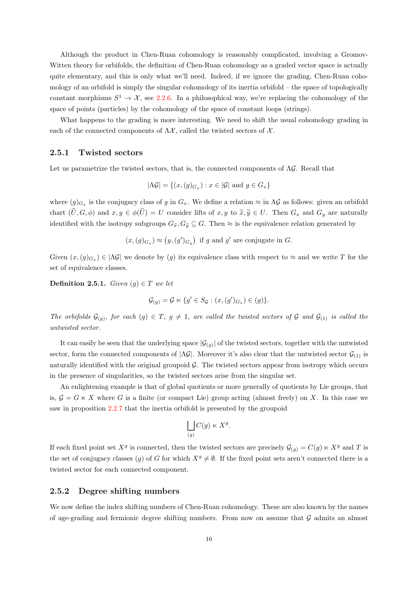Although the product in Chen-Ruan cohomology is reasonably complicated, involving a Gromov-Witten theory for orbifolds, the definition of Chen-Ruan cohomology as a graded vector space is actually quite elementary, and this is only what we'll need. Indeed, if we ignore the grading, Chen-Ruan cohomology of an orbifold is simply the singular cohomology of its inertia orbifold – the space of topologically constant morphisms  $S^1 \to \mathcal{X}$ , see [2.2.6.](#page-14-1) In a philosophical way, we're replacing the cohomology of the space of points (particles) by the cohomology of the space of constant loops (strings).

What happens to the grading is more interesting. We need to shift the usual cohomology grading in each of the connected components of  $\Lambda \mathcal{X}$ , called the twisted sectors of  $\mathcal{X}$ .

#### <span id="page-20-0"></span>2.5.1 Twisted sectors

Let us parametrize the twisted sectors, that is, the connected components of  $\Lambda \mathcal{G}$ . Recall that

$$
|\Lambda \mathcal{G}| = \{ (x, (g)_{G_x}) : x \in |\mathcal{G}| \text{ and } g \in G_x \}
$$

where  $(g)_{G_x}$  is the conjugacy class of g in  $G_x$ . We define a relation  $\approx$  in  $\Lambda$ G as follows: given an orbifold chart  $(\widetilde{U}, G, \phi)$  and  $x, y \in \phi(\widetilde{U}) = U$  consider lifts of  $x, y$  to  $\widetilde{x}, \widetilde{y} \in U$ . Then  $G_x$  and  $G_y$  are naturally identified with the isotropy subgroups  $G_{\widetilde{x}}$ ,  $G_{\widetilde{y}} \subseteq G$ . Then  $\approx$  is the equivalence relation generated by

$$
(x,(g)_{G_x}) \approx (y,(g')_{G_y})
$$
 if g and g' are conjugate in G.

Given  $(x,(g)_{G_x}) \in |\Lambda \mathcal{G}|$  we denote by  $(g)$  its equivalence class with respect to  $\approx$  and we write T for the set of equivalence classes.

**Definition 2.5.1.** Given  $(g) \in T$  we let

$$
\mathcal{G}_{(g)} = \mathcal{G} \ltimes \{ g' \in S_{\mathcal{G}} : (x, (g')_{G_x}) \in (g) \}.
$$

The orbifolds  $G_{(g)}$ , for each  $(g) \in T$ ,  $g \neq 1$ , are called the twisted sectors of G and  $G_{(1)}$  is called the untwisted sector.

It can easily be seen that the underlying space  $|\mathcal{G}_{(g)}|$  of the twisted sectors, together with the untwisted sector, form the connected components of  $|\Delta \mathcal{G}|$ . Moreover it's also clear that the untwisted sector  $\mathcal{G}_{(1)}$  is naturally identified with the original groupoid  $G$ . The twisted sectors appear from isotropy which occurs in the presence of singularities, so the twisted sectors arise from the singular set.

An enlightening example is that of global quotients or more generally of quotients by Lie groups, that is,  $\mathcal{G} = G \ltimes X$  where G is a finite (or compact Lie) group acting (almost freely) on X. In this case we saw in proposition [2.2.7](#page-15-1) that the inertia orbifold is presented by the groupoid

$$
\bigsqcup_{(g)} C(g) \ltimes X^g.
$$

If each fixed point set  $X^g$  is connected, then the twisted sectors are precisely  $\mathcal{G}_{(g)} = C(g) \ltimes X^g$  and T is the set of conjugacy classes (q) of G for which  $X^g \neq \emptyset$ . If the fixed point sets aren't connected there is a twisted sector for each connected component.

#### <span id="page-20-1"></span>2.5.2 Degree shifting numbers

We now define the index shifting numbers of Chen-Ruan cohomology. These are also known by the names of age-grading and fermionic degree shifting numbers. From now on assume that  $\mathcal G$  admits an almost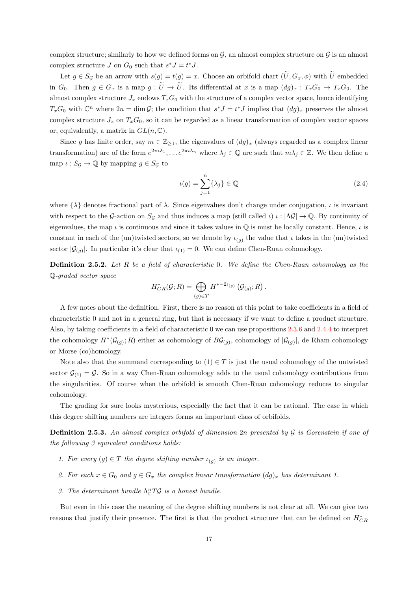complex structure; similarly to how we defined forms on  $\mathcal{G}$ , an almost complex structure on  $\mathcal{G}$  is an almost complex structure  $J$  on  $G_0$  such that  $s^*J = t^*J$ .

Let  $g \in S_{\mathcal{G}}$  be an arrow with  $s(g) = t(g) = x$ . Choose an orbifold chart  $(\widetilde{U}, G_x, \phi)$  with  $\widetilde{U}$  embedded in  $G_0$ . Then  $g \in G_x$  is a map  $g : \tilde{U} \to \tilde{U}$ . Its differential at x is a map  $(dg)_x : T_xG_0 \to T_xG_0$ . The almost complex structure  $J_x$  endows  $T_xG_0$  with the structure of a complex vector space, hence identifying  $T_xG_0$  with  $\mathbb{C}^n$  where  $2n = \dim \mathcal{G}$ ; the condition that  $s^*J = t^*J$  implies that  $(dg)_x$  preserves the almost complex structure  $J_x$  on  $T_xG_0$ , so it can be regarded as a linear transformation of complex vector spaces or, equivalently, a matrix in  $GL(n,\mathbb{C})$ .

Since g has finite order, say  $m \in \mathbb{Z}_{\geq 1}$ , the eigenvalues of  $(dg)_x$  (always regarded as a complex linear transformation) are of the form  $e^{2\pi i \lambda_1}, \ldots e^{2\pi i \lambda_n}$  where  $\lambda_j \in \mathbb{Q}$  are such that  $m\lambda_j \in \mathbb{Z}$ . We then define a map  $\iota : S_{\mathcal{G}} \to \mathbb{Q}$  by mapping  $g \in S_{\mathcal{G}}$  to

$$
\iota(g) = \sum_{j=1}^{n} \{\lambda_j\} \in \mathbb{Q}
$$
\n(2.4)

where  $\{\lambda\}$  denotes fractional part of  $\lambda$ . Since eigenvalues don't change under conjugation,  $\iota$  is invariant with respect to the G-action on  $S_G$  and thus induces a map (still called  $\iota$ )  $\iota : |\Delta G| \to \mathbb{Q}$ . By continuity of eigenvalues, the map  $\iota$  is continuous and since it takes values in  $\mathbb Q$  is must be locally constant. Hence,  $\iota$  is constant in each of the (un)twisted sectors, so we denote by  $\iota_{(g)}$  the value that  $\iota$  takes in the (un)twisted sector  $|\mathcal{G}_{(g)}|$ . In particular it's clear that  $\iota_{(1)} = 0$ . We can define Chen-Ruan cohomology.

Definition 2.5.2. Let R be a field of characteristic 0. We define the Chen-Ruan cohomology as the Q-graded vector space

$$
H_{CR}^*(\mathcal{G};R) = \bigoplus_{(g)\in T} H^{*-2\iota_{(g)}}(\mathcal{G}_{(g)};R).
$$

A few notes about the definition. First, there is no reason at this point to take coefficients in a field of characteristic 0 and not in a general ring, but that is necessary if we want to define a product structure. Also, by taking coefficients in a field of characteristic 0 we can use propositions [2.3.6](#page-17-1) and [2.4.4](#page-19-1) to interpret the cohomology  $H^*(\mathcal{G}_{(g)};R)$  either as cohomology of  $B\mathcal{G}_{(g)}$ , cohomology of  $|\mathcal{G}_{(g)}|$ , de Rham cohomology or Morse (co)homology.

Note also that the summand corresponding to  $(1) \in T$  is just the usual cohomology of the untwisted sector  $\mathcal{G}_{(1)} = \mathcal{G}$ . So in a way Chen-Ruan cohomology adds to the usual cohomology contributions from the singularities. Of course when the orbifold is smooth Chen-Ruan cohomology reduces to singular cohomology.

The grading for sure looks mysterious, especially the fact that it can be rational. The case in which this degree shifting numbers are integers forms an important class of orbifolds.

**Definition 2.5.3.** An almost complex orbifold of dimension 2n presented by  $\mathcal G$  is Gorenstein if one of the following 3 equivalent conditions holds:

- 1. For every  $(g) \in T$  the degree shifting number  $\iota_{(g)}$  is an integer.
- 2. For each  $x \in G_0$  and  $g \in G_x$  the complex linear transformation  $(dg)_x$  has determinant 1.
- 3. The determinant bundle  $\Lambda_{\mathbb{C}}^{n}T\mathcal{G}$  is a honest bundle.

But even in this case the meaning of the degree shifting numbers is not clear at all. We can give two reasons that justify their presence. The first is that the product structure that can be defined on  $H_{CR}^*$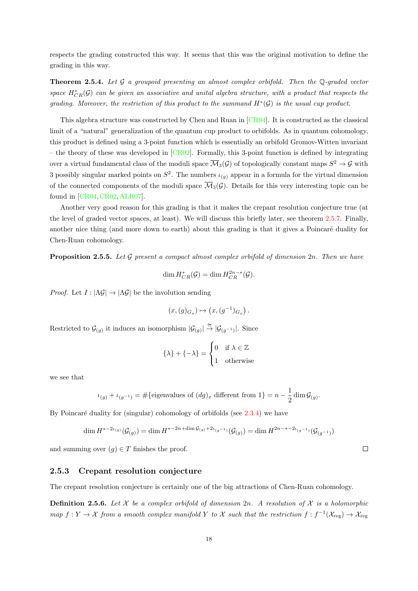respects the grading constructed this way. It seems that this was the original motivation to define the grading in this way.

**Theorem 2.5.4.** Let  $\mathcal G$  a groupoid presenting an almost complex orbifold. Then the  $\mathbb Q$ -graded vector space  $H^*_{CR}(\mathcal{G})$  can be given an associative and unital algebra structure, with a product that respects the grading. Moreover, the restriction of this product to the summand  $H^*(\mathcal{G})$  is the usual cup product.

This algebra structure was constructed by Chen and Ruan in [\[CR04\]](#page-89-8). It is constructed as the classical limit of a "natural" generalization of the quantum cup product to orbifolds. As in quantum cohomology, this product is defined using a 3-point function which is essentially an orbifold Gromov-Witten invariant – the theory of these was developed in  $[CR02]$ . Formally, this 3-point function is defined by integrating over a virtual fundamental class of the moduli space  $\overline{\mathcal{M}}_3(\mathcal{G})$  of topologically constant maps  $S^2 \to \mathcal{G}$  with 3 possibly singular marked points on  $S^2$ . The numbers  $\iota_{(g)}$  appear in a formula for the virtual dimension of the connected components of the moduli space  $\overline{\mathcal{M}}_3(\mathcal{G})$ . Details for this very interesting topic can be found in [\[CR04,](#page-89-8)[CR02,](#page-89-9)[ALR07\]](#page-88-5).

Another very good reason for this grading is that it makes the crepant resolution conjecture true (at the level of graded vector spaces, at least). We will discuss this briefly later, see theorem [2.5.7.](#page-23-0) Finally, another nice thing (and more down to earth) about this grading is that it gives a Poincaré duality for Chen-Ruan cohomology.

**Proposition 2.5.5.** Let  $\mathcal G$  present a compact almost complex orbifold of dimension  $2n$ . Then we have

$$
\dim H^*_{CR}(\mathcal{G}) = \dim H^{2n-*}_{CR}(\mathcal{G}).
$$

*Proof.* Let  $I : |\Lambda \mathcal{G}| \to |\Lambda \mathcal{G}|$  be the involution sending

$$
(x,(g)_{G_x})\mapsto \left(x,(g^{-1})_{G_x}\right).
$$

Restricted to  $\mathcal{G}_{(g)}$  it induces an isomorphism  $|\mathcal{G}_{(g)}| \stackrel{\simeq}{\to} |\mathcal{G}_{(g^{-1})}|$ . Since

$$
\{\lambda\} + \{-\lambda\} = \begin{cases} 0 & \text{if } \lambda \in \mathbb{Z} \\ 1 & \text{otherwise} \end{cases}
$$

we see that

$$
\iota_{(g)}+\iota_{(g^{-1})}=\#\{\text{eigenvalues of }(dg)_x\text{ different from 1}\}=n-\frac{1}{2}\dim\mathcal{G}_{(g)}.
$$

By Poincaré duality for (singular) cohomology of orbifolds (see  $2.3.4$ ) we have

$$
\dim H^{*-2\iota_{(g)}}(\mathcal{G}_{(g)}) = \dim H^{*-2n + \dim \mathcal{G}_{(g)} + 2\iota_{(g-1)}}(\mathcal{G}_{(g)}) = \dim H^{2n - * - 2\iota_{(g-1)}}(\mathcal{G}_{(g-1)})
$$

and summing over  $(g) \in T$  finishes the proof.

#### <span id="page-22-0"></span>2.5.3 Crepant resolution conjecture

The crepant resolution conjecture is certainly one of the big attractions of Chen-Ruan cohomology.

**Definition 2.5.6.** Let X be a complex orbifold of dimension 2n. A resolution of X is a holomorphic map  $f: Y \to X$  from a smooth complex manifold Y to X such that the restriction  $f: f^{-1}(\mathcal{X}_{reg}) \to \mathcal{X}_{reg}$ 

 $\Box$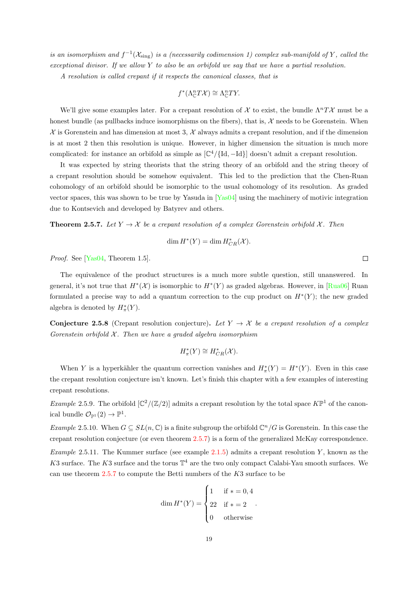is an isomorphism and  $f^{-1}(\mathcal{X}_{sing})$  is a (necessarily codimension 1) complex sub-manifold of Y, called the exceptional divisor. If we allow Y to also be an orbifold we say that we have a partial resolution.

A resolution is called crepant if it respects the canonical classes, that is

$$
f^*(\Lambda^n_{\mathbb{C}}T\mathcal{X}) \cong \Lambda^n_{\mathbb{C}}TY.
$$

We'll give some examples later. For a crepant resolution of X to exist, the bundle  $\Lambda^n T\mathcal{X}$  must be a honest bundle (as pullbacks induce isomorphisms on the fibers), that is,  $\mathcal X$  needs to be Gorenstein. When  $\mathcal X$  is Gorenstein and has dimension at most 3,  $\mathcal X$  always admits a crepant resolution, and if the dimension is at most 2 then this resolution is unique. However, in higher dimension the situation is much more complicated: for instance an orbifold as simple as  $[\mathbb{C}^4/\{\text{Id}, -\text{Id}\}]$  doesn't admit a crepant resolution.

It was expected by string theorists that the string theory of an orbifold and the string theory of a crepant resolution should be somehow equivalent. This led to the prediction that the Chen-Ruan cohomology of an orbifold should be isomorphic to the usual cohomology of its resolution. As graded vector spaces, this was shown to be true by Yasuda in [\[Yas04\]](#page-91-3) using the machinery of motivic integration due to Kontsevich and developed by Batyrev and others.

<span id="page-23-0"></span>**Theorem 2.5.7.** Let  $Y \to \mathcal{X}$  be a crepant resolution of a complex Gorenstein orbifold X. Then

$$
\dim H^*(Y) = \dim H^*_{CR}(\mathcal{X}).
$$

Proof. See [\[Yas04,](#page-91-3) Theorem 1.5].

The equivalence of the product structures is a much more subtle question, still unanswered. In general, it's not true that  $H^*(\mathcal{X})$  is isomorphic to  $H^*(Y)$  as graded algebras. However, in [\[Rua06\]](#page-91-4) Ruan formulated a precise way to add a quantum correction to the cup product on  $H^*(Y)$ ; the new graded algebra is denoted by  $H^*_{\pi}(Y)$ .

**Conjecture 2.5.8** (Crepant resolution conjecture). Let  $Y \rightarrow \mathcal{X}$  be a crepant resolution of a complex Gorenstein orbifold  $\mathcal X$ . Then we have a graded algebra isomorphism

$$
H^*_{\pi}(Y) \cong H^*_{CR}(\mathcal{X}).
$$

When Y is a hyperkähler the quantum correction vanishes and  $H^*_{\pi}(Y) = H^*(Y)$ . Even in this case the crepant resolution conjecture isn't known. Let's finish this chapter with a few examples of interesting crepant resolutions.

*Example* 2.5.9. The orbifold  $\left[\mathbb{C}^2/(\mathbb{Z}/2)\right]$  admits a crepant resolution by the total space  $K\mathbb{P}^1$  of the canonical bundle  $\mathcal{O}_{\mathbb{P}^1}(2) \to \mathbb{P}^1$ .

Example 2.5.10. When  $G \subseteq SL(n, \mathbb{C})$  is a finite subgroup the orbifold  $\mathbb{C}^n/G$  is Gorenstein. In this case the crepant resolution conjecture (or even theorem [2.5.7\)](#page-23-0) is a form of the generalized McKay correspondence.

Example 2.5.11. The Kummer surface (see example  $2.1.5$ ) admits a crepant resolution Y, known as the K3 surface. The K3 surface and the torus  $\mathbb{T}^4$  are the two only compact Calabi-Yau smooth surfaces. We can use theorem  $2.5.7$  to compute the Betti numbers of the  $K3$  surface to be

$$
\dim H^*(Y) = \begin{cases} 1 & \text{if } * = 0, 4 \\ 22 & \text{if } * = 2 \\ 0 & \text{otherwise} \end{cases}
$$

 $\Box$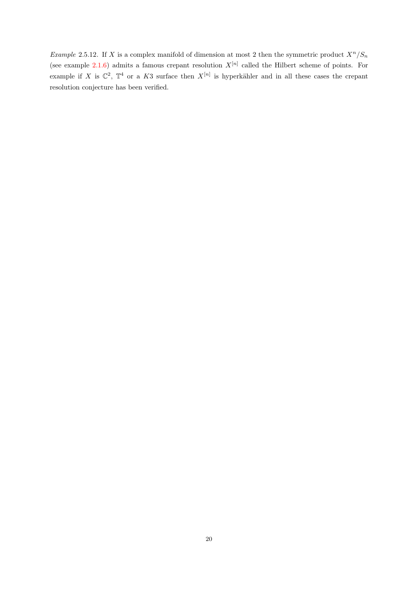Example 2.5.12. If X is a complex manifold of dimension at most 2 then the symmetric product  $X^n/S_n$ (see example [2.1.6\)](#page-10-3) admits a famous crepant resolution  $X^{[n]}$  called the Hilbert scheme of points. For example if X is  $\mathbb{C}^2$ ,  $\mathbb{T}^4$  or a K3 surface then  $X^{[n]}$  is hyperkähler and in all these cases the crepant resolution conjecture has been verified.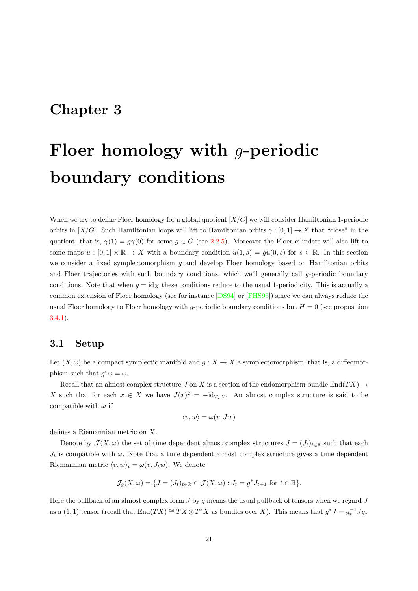# <span id="page-25-0"></span>Chapter 3

# Floer homology with g-periodic boundary conditions

When we try to define Floer homology for a global quotient  $[X/G]$  we will consider Hamiltonian 1-periodic orbits in  $[X/G]$ . Such Hamiltonian loops will lift to Hamiltonian orbits  $\gamma : [0,1] \to X$  that "close" in the quotient, that is,  $\gamma(1) = g\gamma(0)$  for some  $g \in G$  (see [2.2.5\)](#page-14-2). Moreover the Floer cilinders will also lift to some maps  $u : [0,1] \times \mathbb{R} \to X$  with a boundary condition  $u(1,s) = gu(0,s)$  for  $s \in \mathbb{R}$ . In this section we consider a fixed symplectomorphism  $g$  and develop Floer homology based on Hamiltonian orbits and Floer trajectories with such boundary conditions, which we'll generally call  $q$ -periodic boundary conditions. Note that when  $g = id_X$  these conditions reduce to the usual 1-periodicity. This is actually a common extension of Floer homology (see for instance [\[DS94\]](#page-89-6) or [\[FHS95\]](#page-89-2)) since we can always reduce the usual Floer homology to Floer homology with q-periodic boundary conditions but  $H = 0$  (see proposition [3.4.1\)](#page-39-0).

## <span id="page-25-1"></span>3.1 Setup

Let  $(X, \omega)$  be a compact symplectic manifold and  $g: X \to X$  a symplectomorphism, that is, a diffeomorphism such that  $g^*\omega = \omega$ .

Recall that an almost complex structure J on X is a section of the endomorphism bundle End $(TX) \rightarrow$ X such that for each  $x \in X$  we have  $J(x)^2 = -id_{T_xX}$ . An almost complex structure is said to be compatible with  $\omega$  if

$$
\langle v, w \rangle = \omega(v, Jw)
$$

defines a Riemannian metric on X.

Denote by  $\mathcal{J}(X,\omega)$  the set of time dependent almost complex structures  $J = (J_t)_{t\in\mathbb{R}}$  such that each  $J_t$  is compatible with  $\omega$ . Note that a time dependent almost complex structure gives a time dependent Riemannian metric  $\langle v, w \rangle_t = \omega(v, J_t w)$ . We denote

$$
\mathcal{J}_g(X,\omega) = \{ J = (J_t)_{t \in \mathbb{R}} \in \mathcal{J}(X,\omega) : J_t = g^* J_{t+1} \text{ for } t \in \mathbb{R} \}.
$$

Here the pullback of an almost complex form  $J$  by  $g$  means the usual pullback of tensors when we regard  $J$ as a  $(1, 1)$  tensor (recall that  $End(TX) \cong TX \otimes T^*X$  as bundles over X). This means that  $g^*J = g_*^{-1}Jg_*$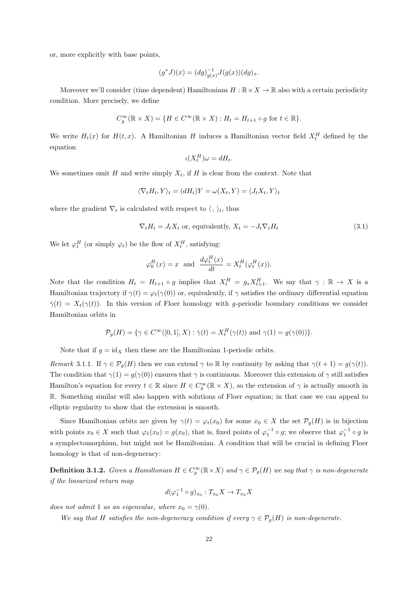or, more explicitly with base points,

$$
(g^*J)(x) = (dg)_{g(x)}^{-1}J(g(x))(dg)_x.
$$

Moreover we'll consider (time dependent) Hamiltonians  $H : \mathbb{R} \times X \to \mathbb{R}$  also with a certain periodicity condition. More precisely, we define

$$
C_g^{\infty}(\mathbb{R} \times X) = \{ H \in C^{\infty}(\mathbb{R} \times X) : H_t = H_{t+1} \circ g \text{ for } t \in \mathbb{R} \}.
$$

We write  $H_t(x)$  for  $H(t, x)$ . A Hamiltonian H induces a Hamiltonian vector field  $X_t^H$  defined by the equation

$$
\iota(X_t^H)\omega = dH_t.
$$

We sometimes omit H and write simply  $X_t$ , if H is clear from the context. Note that

$$
\langle \nabla_t H_t, Y \rangle_t = (dH_t)Y = \omega(X_t, Y) = \langle J_t X_t, Y \rangle_t
$$

where the gradient  $\nabla_t$  is calculated with respect to  $\langle , \rangle_t$ , thus

$$
\nabla_t H_t = J_t X_t \text{ or, equivalently, } X_t = -J_t \nabla_t H_t \tag{3.1}
$$

We let  $\varphi_t^H$  (or simply  $\varphi_t$ ) be the flow of  $X_t^H$ , satisfying:

$$
\varphi_0^H(x) = x
$$
 and  $\frac{d\varphi_t^H(x)}{dt} = X_t^H(\varphi_t^H(x)).$ 

Note that the condition  $H_t = H_{t+1} \circ g$  implies that  $X_t^H = g_* X_{t+1}^H$ . We say that  $\gamma : \mathbb{R} \to X$  is a Hamiltonian trajectory if  $\gamma(t) = \varphi_t(\gamma(0))$  or, equivalently, if  $\gamma$  satisfies the ordinary differential equation  $\dot{\gamma}(t) = X_t(\gamma(t))$ . In this version of Floer homology with g-periodic boundary conditions we consider Hamiltonian orbits in

$$
\mathcal{P}_g(H) = \{ \gamma \in C^{\infty}([0,1],X) : \dot{\gamma}(t) = X_t^H(\gamma(t)) \text{ and } \gamma(1) = g(\gamma(0)) \}.
$$

Note that if  $g = id_X$  then these are the Hamiltonian 1-periodic orbits.

Remark 3.1.1. If  $\gamma \in \mathcal{P}_g(H)$  then we can extend  $\gamma$  to R by continuity by asking that  $\gamma(t+1) = g(\gamma(t))$ . The condition that  $\gamma(1) = g(\gamma(0))$  ensures that  $\gamma$  is continuous. Moreover this extension of  $\gamma$  still satisfies Hamilton's equation for every  $t \in \mathbb{R}$  since  $H \in C_g^{\infty}(\mathbb{R} \times X)$ , so the extension of  $\gamma$  is actually smooth in R. Something similar will also happen with solutions of Floer equation; in that case we can appeal to elliptic regularity to show that the extension is smooth.

Since Hamiltonian orbits are given by  $\gamma(t) = \varphi_t(x_0)$  for some  $x_0 \in X$  the set  $\mathcal{P}_g(H)$  is in bijection with points  $x_0 \in X$  such that  $\varphi_1(x_0) = g(x_0)$ , that is, fixed points of  $\varphi_1^{-1} \circ g$ ; we observe that  $\varphi_1^{-1} \circ g$  is a symplectomorphism, but might not be Hamiltonian. A condition that will be crucial in defining Floer homology is that of non-degeneracy:

<span id="page-26-0"></span>**Definition 3.1.2.** Given a Hamiltonian  $H \in C_g^{\infty}(\mathbb{R} \times X)$  and  $\gamma \in \mathcal{P}_g(H)$  we say that  $\gamma$  is non-degenerate if the linearized return map

$$
d(\varphi_1^{-1}\circ g)_{x_0}:T_{x_0}X\to T_{x_0}X
$$

does not admit 1 as an eigenvalue, where  $x_0 = \gamma(0)$ .

We say that H satisfies the non-degeneracy condition if every  $\gamma \in \mathcal{P}_q(H)$  is non-degenerate.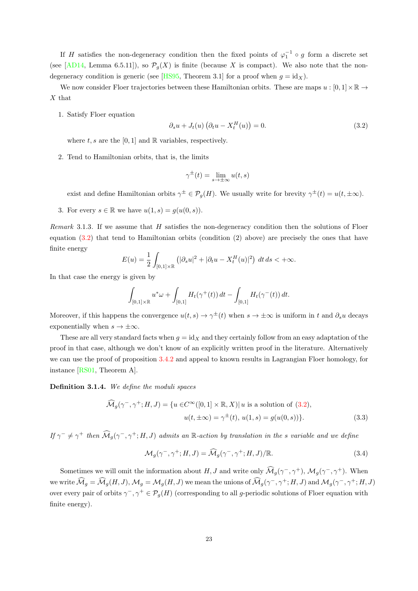If H satisfies the non-degeneracy condition then the fixed points of  $\varphi_1^{-1} \circ g$  form a discrete set (see [\[AD14,](#page-88-7) Lemma 6.5.11]), so  $\mathcal{P}_g(X)$  is finite (because X is compact). We also note that the non-degeneracy condition is generic (see [\[HS95,](#page-90-1) Theorem 3.1] for a proof when  $g = id_X$ ).

We now consider Floer trajectories between these Hamiltonian orbits. These are maps  $u : [0, 1] \times \mathbb{R} \to$ X that

1. Satisfy Floer equation

<span id="page-27-0"></span>
$$
\partial_s u + J_t(u) \left( \partial_t u - X_t^H(u) \right) = 0. \tag{3.2}
$$

where  $t, s$  are the [0, 1] and  $\mathbb R$  variables, respectively.

2. Tend to Hamiltonian orbits, that is, the limits

$$
\gamma^{\pm}(t) = \lim_{s \to \pm \infty} u(t, s)
$$

exist and define Hamiltonian orbits  $\gamma^{\pm} \in \mathcal{P}_{g}(H)$ . We usually write for brevity  $\gamma^{\pm}(t) = u(t, \pm \infty)$ .

3. For every  $s \in \mathbb{R}$  we have  $u(1, s) = g(u(0, s)).$ 

<span id="page-27-1"></span>Remark 3.1.3. If we assume that  $H$  satisfies the non-degeneracy condition then the solutions of Floer equation [\(3.2\)](#page-27-0) that tend to Hamiltonian orbits (condition (2) above) are precisely the ones that have finite energy

$$
E(u) = \frac{1}{2} \int_{[0,1] \times \mathbb{R}} \left( |\partial_s u|^2 + |\partial_t u - X_t^H(u)|^2 \right) dt ds < +\infty.
$$

In that case the energy is given by

$$
\int_{[0,1]\times\mathbb{R}} u^*\omega + \int_{[0,1]} H_t(\gamma^+(t)) dt - \int_{[0,1]} H_t(\gamma^-(t)) dt.
$$

Moreover, if this happens the convergence  $u(t,s) \to \gamma^{\pm}(t)$  when  $s \to \pm \infty$  is uniform in t and  $\partial_s u$  decays exponentially when  $s \to \pm \infty$ .

These are all very standard facts when  $g = id_X$  and they certainly follow from an easy adaptation of the proof in that case, although we don't know of an explicitly written proof in the literature. Alternatively we can use the proof of proposition [3.4.2](#page-39-1) and appeal to known results in Lagrangian Floer homology, for instance [\[RS01,](#page-91-5) Theorem A].

Definition 3.1.4. We define the moduli spaces

$$
\widehat{\mathcal{M}}_g(\gamma^-,\gamma^+;H,J) = \{ u \in C^\infty([0,1] \times \mathbb{R}, X) | u \text{ is a solution of } (3.2),
$$

$$
u(t, \pm \infty) = \gamma^{\pm}(t), u(1,s) = g(u(0,s)) \}. \tag{3.3}
$$

If  $\gamma^- \neq \gamma^+$  then  $\widehat{\mathcal{M}}_g(\gamma^-,\gamma^+;H,J)$  admits an R-action by translation in the s variable and we define

$$
\mathcal{M}_g(\gamma^-, \gamma^+; H, J) = \widehat{\mathcal{M}}_g(\gamma^-, \gamma^+; H, J) / \mathbb{R}.
$$
\n(3.4)

Sometimes we will omit the information about H, J and write only  $\widehat{\mathcal{M}}_g(\gamma^-, \gamma^+)$ ,  $\mathcal{M}_g(\gamma^-, \gamma^+)$ . When we write  $\widehat{\mathcal{M}}_g = \widehat{\mathcal{M}}_g(H,J), \mathcal{M}_g = \mathcal{M}_g(H,J)$  we mean the unions of  $\widehat{\mathcal{M}}_g(\gamma^-,\gamma^+;H,J)$  and  $\mathcal{M}_g(\gamma^-,\gamma^+;H,J)$ over every pair of orbits  $\gamma^-, \gamma^+ \in \mathcal{P}_g(H)$  (corresponding to all g-periodic solutions of Floer equation with finite energy).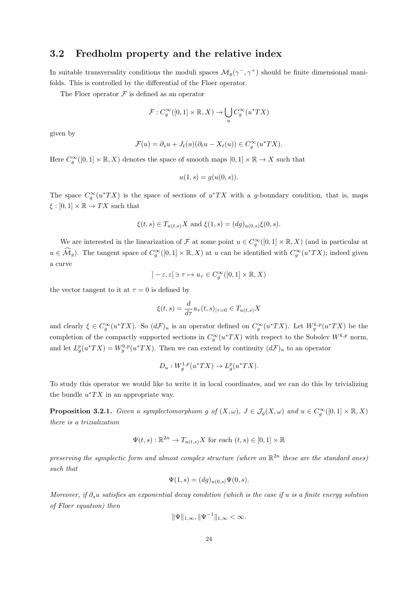# <span id="page-28-0"></span>3.2 Fredholm property and the relative index

In suitable transversality conditions the moduli spaces  $\mathcal{M}_g(\gamma^-, \gamma^+)$  should be finite dimensional manifolds. This is controlled by the differential of the Floer operator.

The Floer operator  $\mathcal F$  is defined as an operator

$$
\mathcal{F}: C_g^{\infty}([0,1] \times \mathbb{R}, X) \to \bigcup_u C_g^{\infty}(u^*TX)
$$

given by

$$
\mathcal{F}(u) = \partial_s u + J_t(u)(\partial_t u - X_t(u)) \in C_g^{\infty}(u^*TX).
$$

Here  $C_g^{\infty}([0,1] \times \mathbb{R}, X)$  denotes the space of smooth maps  $[0,1] \times \mathbb{R} \to X$  such that

$$
u(1,s) = g(u(0,s)).
$$

The space  $C_g^{\infty}(u^*TX)$  is the space of sections of  $u^*TX$  with a g-boundary condition, that is, maps  $\xi : [0,1] \times \mathbb{R} \to TX$  such that

$$
\xi(t,s) \in T_{u(t,s)}X
$$
 and  $\xi(1,s) = (dg)_{u(0,s)}\xi(0,s)$ .

We are interested in the linearization of F at some point  $u \in C_g^{\infty}([0,1] \times \mathbb{R}, X)$  (and in particular at  $u \in \widehat{\mathcal{M}}_g$ ). The tangent space of  $C_g^{\infty}([0,1] \times \mathbb{R}, X)$  at u can be identified with  $C_g^{\infty}(u^*TX)$ ; indeed given a curve

$$
]-\varepsilon,\varepsilon[ \ni \tau \mapsto u_\tau \in C_g^\infty([0,1] \times \mathbb{R}, X)
$$

the vector tangent to it at  $\tau = 0$  is defined by

$$
\xi(t,s) = \frac{d}{d\tau} u_\tau(t,s)|_{\tau=0} \in T_{u(t,s)}X
$$

and clearly  $\xi \in C_g^{\infty}(u^*TX)$ . So  $(d\mathcal{F})_u$  is an operator defined on  $C_g^{\infty}(u^*TX)$ . Let  $W_g^{k,p}(u^*TX)$  be the completion of the compactly supported sections in  $C_g^{\infty}(u^*TX)$  with respect to the Sobolev  $W^{k,p}$  norm, and let  $L_g^p(u^*TX) = W_g^{0,p}(u^*TX)$ . Then we can extend by continuity  $(d\mathcal{F})_u$  to an operator

$$
D_u: W_g^{1,p}(u^*TX) \to L_g^p(u^*TX).
$$

To study this operator we would like to write it in local coordinates, and we can do this by trivializing the bundle  $u^*TX$  in an appropriate way.

<span id="page-28-1"></span>**Proposition 3.2.1.** Given a symplectomorphism g of  $(X, \omega)$ ,  $J \in \mathcal{J}_g(X, \omega)$  and  $u \in C_g^{\infty}([0, 1] \times \mathbb{R}, X)$ there is a trizialization

$$
\Psi(t,s) : \mathbb{R}^{2n} \to T_{u(t,s)}X \text{ for each } (t,s) \in [0,1] \times \mathbb{R}
$$

preserving the symplectic form and almost complex structure (where on  $\mathbb{R}^{2n}$  these are the standard ones) such that

$$
\Psi(1,s) = (dg)_{u(0,s)} \Psi(0,s).
$$

Moreover, if  $\partial_s u$  satisfies an exponential decay condition (which is the case if u is a finite energy solution of Floer equation) then

$$
\|\Psi\|_{1,\infty}, \|\Psi^{-1}\|_{1,\infty} < \infty.
$$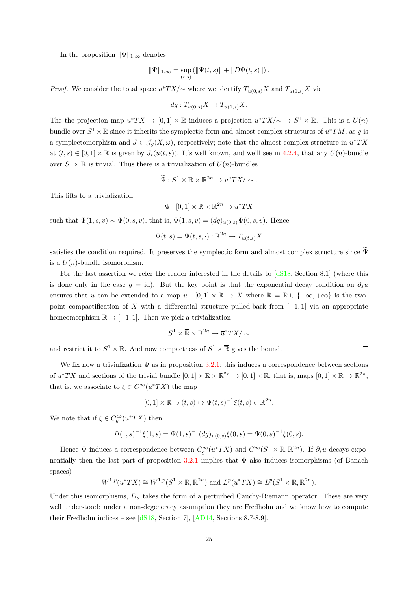In the proposition  $||\Psi||_{1,\infty}$  denotes

$$
\|\Psi\|_{1,\infty} = \sup_{(t,s)} (\|\Psi(t,s)\| + \|D\Psi(t,s)\|).
$$

*Proof.* We consider the total space  $u^*TX/\sim$  where we identify  $T_{u(0,s)}X$  and  $T_{u(1,s)}X$  via

$$
dg: T_{u(0,s)}X \to T_{u(1,s)}X.
$$

The the projection map  $u^*TX \to [0,1] \times \mathbb{R}$  induces a projection  $u^*TX/\sim \to S^1 \times \mathbb{R}$ . This is a  $U(n)$ bundle over  $S^1 \times \mathbb{R}$  since it inherits the symplectic form and almost complex structures of  $u^*TM$ , as g is a symplectomorphism and  $J \in \mathcal{J}_g(X, \omega)$ , respectively; note that the almost complex structure in  $u^*TX$ at  $(t, s) \in [0, 1] \times \mathbb{R}$  is given by  $J_t(u(t, s))$ . It's well known, and we'll see in [4.2.4,](#page-46-0) that any  $U(n)$ -bundle over  $S^1 \times \mathbb{R}$  is trivial. Thus there is a trivialization of  $U(n)$ -bundles

$$
\widetilde{\Psi}: S^1 \times \mathbb{R} \times \mathbb{R}^{2n} \to u^*TX / \sim.
$$

This lifts to a trivialization

$$
\Psi : [0,1] \times \mathbb{R} \times \mathbb{R}^{2n} \to u^*TX
$$

such that  $\Psi(1, s, v) \sim \Psi(0, s, v)$ , that is,  $\Psi(1, s, v) = (dg)_{u(0, s)} \Psi(0, s, v)$ . Hence

$$
\Psi(t,s) = \Psi(t,s,\cdot) : \mathbb{R}^{2n} \to T_{u(t,s)}X
$$

satisfies the condition required. It preserves the symplectic form and almost complex structure since  $\Psi$ is a  $U(n)$ -bundle isomorphism.

For the last assertion we refer the reader interested in the details to  $\left[4S18, \text{ Section } 8.1\right]$  (where this is done only in the case  $g = id$ ). But the key point is that the exponential decay condition on  $\partial_s u$ ensures that u can be extended to a map  $\overline{u} : [0,1] \times \overline{\mathbb{R}} \to X$  where  $\overline{\mathbb{R}} = \mathbb{R} \cup \{-\infty, +\infty\}$  is the twopoint compactification of X with a differential structure pulled-back from  $[-1, 1]$  via an appropriate homeomorphism  $\overline{\mathbb{R}} \to [-1, 1]$ . Then we pick a trivialization

$$
S^1\times\overline{\mathbb{R}}\times\mathbb{R}^{2n}\to\overline{u}^*TX/\sim
$$

and restrict it to  $S^1 \times \mathbb{R}$ . And now compactness of  $S^1 \times \mathbb{R}$  gives the bound.

We fix now a trivialization  $\Psi$  as in proposition [3.2.1;](#page-28-1) this induces a correspondence between sections of  $u^*TX$  and sections of the trivial bundle  $[0,1] \times \mathbb{R} \times \mathbb{R}^{2n} \to [0,1] \times \mathbb{R}$ , that is, maps  $[0,1] \times \mathbb{R} \to \mathbb{R}^{2n}$ ; that is, we associate to  $\xi \in C^{\infty}(u^*TX)$  the map

$$
[0,1] \times \mathbb{R} \ni (t,s) \mapsto \Psi(t,s)^{-1} \xi(t,s) \in \mathbb{R}^{2n}.
$$

We note that if  $\xi \in C_g^{\infty}(u^*TX)$  then

$$
\Psi(1,s)^{-1}\xi(1,s) = \Psi(1,s)^{-1}(dg)_{u(0,s)}\xi(0,s) = \Psi(0,s)^{-1}\xi(0,s).
$$

Hence  $\Psi$  induces a correspondence between  $C_g^{\infty}(u^*TX)$  and  $C^{\infty}(S^1 \times \mathbb{R}, \mathbb{R}^{2n})$ . If  $\partial_s u$  decays expo-nentially then the last part of proposition [3.2.1](#page-28-1) implies that  $\Psi$  also induces isomorphisms (of Banach spaces)

$$
W^{1,p}(u^*TX) \cong W^{1,p}(S^1 \times \mathbb{R}, \mathbb{R}^{2n})
$$
 and  $L^p(u^*TX) \cong L^p(S^1 \times \mathbb{R}, \mathbb{R}^{2n}).$ 

Under this isomorphisms,  $D_u$  takes the form of a perturbed Cauchy-Riemann operator. These are very well understood: under a non-degeneracy assumption they are Fredholm and we know how to compute their Fredholm indices – see  $[dS18, Section 7]$  $[dS18, Section 7]$ ,  $[AD14, Sections 8.7-8.9]$  $[AD14, Sections 8.7-8.9]$ .

 $\Box$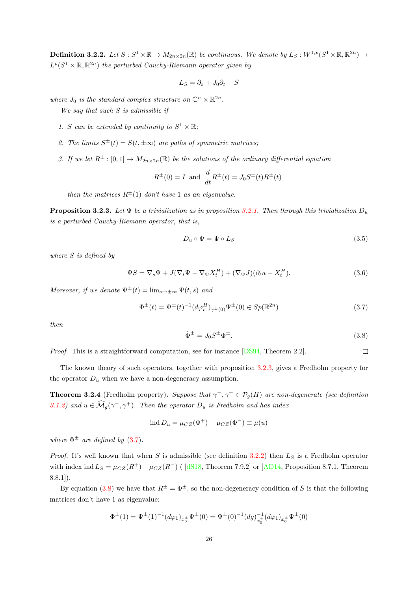<span id="page-30-2"></span>**Definition 3.2.2.** Let  $S : S^1 \times \mathbb{R} \to M_{2n \times 2n}(\mathbb{R})$  be continuous. We denote by  $L_S : W^{1,p}(S^1 \times \mathbb{R}, \mathbb{R}^{2n}) \to$  $L^p(S^1 \times \mathbb{R}, \mathbb{R}^{2n})$  the perturbed Cauchy-Riemann operator given by

$$
L_S = \partial_s + J_0 \partial_t + S
$$

where  $J_0$  is the standard complex structure on  $\mathbb{C}^n \times \mathbb{R}^{2n}$ .

We say that such  $S$  is admissible if

- 1. S can be extended by continuity to  $S^1 \times \overline{\mathbb{R}}$ ;
- 2. The limits  $S^{\pm}(t) = S(t, \pm \infty)$  are paths of symmetric matrices;
- 3. If we let  $R^{\pm} : [0,1] \to M_{2n \times 2n}(\mathbb{R})$  be the solutions of the ordinary differential equation

$$
R^{\pm}(0) = I
$$
 and  $\frac{d}{dt}R^{\pm}(t) = J_0S^{\pm}(t)R^{\pm}(t)$ 

then the matrices  $R^{\pm}(1)$  don't have 1 as an eigenvalue.

<span id="page-30-0"></span>**Proposition 3.2.3.** Let  $\Psi$  be a trivialization as in proposition [3.2.1.](#page-28-1) Then through this trivialization  $D_u$ is a perturbed Cauchy-Riemann operator, that is,

$$
D_u \circ \Psi = \Psi \circ L_S \tag{3.5}
$$

where S is defined by

$$
\Psi S = \nabla_s \Psi + J(\nabla_t \Psi - \nabla_{\Psi} X_t^H) + (\nabla_{\Psi} J)(\partial_t u - X_t^H). \tag{3.6}
$$

Moreover, if we denote  $\Psi^{\pm}(t) = \lim_{s \to \pm \infty} \Psi(t, s)$  and

<span id="page-30-1"></span>
$$
\Phi^{\pm}(t) = \Psi^{\pm}(t)^{-1} (d\varphi_t^H)_{\gamma^{\pm}(0)} \Psi^{\pm}(0) \in Sp(\mathbb{R}^{2n})
$$
\n(3.7)

then

<span id="page-30-3"></span>
$$
\dot{\Phi}^{\pm} = J_0 S^{\pm} \Phi^{\pm}.
$$
\n(3.8)

Proof. This is a straightforward computation, see for instance [\[DS94,](#page-89-6) Theorem 2.2].  $\Box$ 

The known theory of such operators, together with proposition [3.2.3,](#page-30-0) gives a Fredholm property for the operator  $D_u$  when we have a non-degeneracy assumption.

**Theorem 3.2.4** (Fredholm property). Suppose that  $\gamma^-, \gamma^+ \in \mathcal{P}_g(H)$  are non-degenerate (see definition [3.1.2\)](#page-26-0) and  $u \in \widehat{\mathcal{M}}_g(\gamma^-, \gamma^+)$ . Then the operator  $D_u$  is Fredholm and has index

$$
ind D_u = \mu_{CZ}(\Phi^+) - \mu_{CZ}(\Phi^-) \equiv \mu(u)
$$

where  $\Phi^{\pm}$  are defined by [\(3.7\)](#page-30-1).

*Proof.* It's well known that when S is admissible (see definition [3.2.2\)](#page-30-2) then  $L<sub>S</sub>$  is a Fredholm operator with index ind  $L_S = \mu_{CZ}(R^+) - \mu_{CZ}(R^-)$  ( [\[dS18,](#page-89-10) Theorem 7.9.2] or [\[AD14,](#page-88-7) Proposition 8.7.1, Theorem  $8.8.1$ ]).

By equation [\(3.8\)](#page-30-3) we have that  $R^{\pm} = \Phi^{\pm}$ , so the non-degeneracy condition of S is that the following matrices don't have 1 as eigenvalue:

$$
\Phi^{\pm}(1) = \Psi^{\pm}(1)^{-1} (d\varphi_1)_{x_0^{\pm}} \Psi^{\pm}(0) = \Psi^{\pm}(0)^{-1} (dg)_{x_0^{\pm}}^{-1} (d\varphi_1)_{x_0^{\pm}} \Psi^{\pm}(0)
$$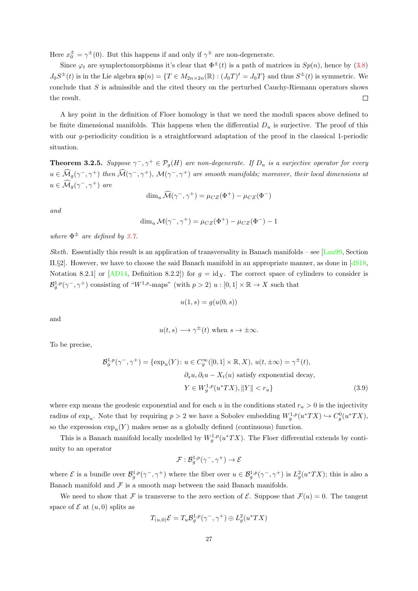Here  $x_0^{\pm} = \gamma^{\pm}(0)$ . But this happens if and only if  $\gamma^{\pm}$  are non-degenerate.

Since  $\varphi_t$  are symplectomorphisms it's clear that  $\Phi^{\pm}(t)$  is a path of matrices in  $Sp(n)$ , hence by [\(3.8\)](#page-30-3)  $J_0S^{\pm}(t)$  is in the Lie algebra  $\mathfrak{sp}(n) = \{T \in M_{2n \times 2n}(\mathbb{R}) : (J_0T)^t = J_0T\}$  and thus  $S^{\pm}(t)$  is symmetric. We conclude that  $S$  is admissible and the cited theory on the perturbed Cauchy-Riemann operators shows the result.  $\Box$ 

A key point in the definition of Floer homology is that we need the moduli spaces above defined to be finite dimensional manifolds. This happens when the differential  $D_u$  is surjective. The proof of this with our g-periodicity condition is a straightforward adaptation of the proof in the classical 1-periodic situation.

<span id="page-31-0"></span>**Theorem 3.2.5.** Suppose  $\gamma^-, \gamma^+ \in \mathcal{P}_g(H)$  are non-degenerate. If  $D_u$  is a surjective operator for every  $u \in \widehat{\mathcal{M}}_g(\gamma^-, \gamma^+)$  then  $\widehat{\mathcal{M}}(\gamma^-, \gamma^+)$ ,  $\mathcal{M}(\gamma^-, \gamma^+)$  are smooth manifolds; moreover, their local dimensions at  $u \in \widehat{\mathcal{M}}_g(\gamma^-, \gamma^+)$  are

$$
\dim_u \widehat{\mathcal{M}}(\gamma^-, \gamma^+) = \mu_{CZ}(\Phi^+) - \mu_{CZ}(\Phi^-)
$$

and

$$
\dim_u \mathcal{M}(\gamma^-, \gamma^+) = \mu_{CZ}(\Phi^+) - \mu_{CZ}(\Phi^-) - 1
$$

where  $\Phi^{\pm}$  are defined by [3.7.](#page-30-1)

Sketh. Essentially this result is an application of transversality in Banach manifolds – see  $\left[ \text{Lan}99, \text{Section} \right]$ II.§2]. However, we have to choose the said Banach manifold in an appropriate manner, as done in [\[dS18,](#page-89-10) Notation 8.2.1] or [\[AD14,](#page-88-7) Definition 8.2.2]) for  $g = id_X$ . The correct space of cylinders to consider is  $\mathcal{B}_g^{1,p}(\gamma^-, \gamma^+)$  consisting of "W<sup>1,p</sup>-maps" (with  $p > 2$ )  $u : [0,1] \times \mathbb{R} \to X$  such that

$$
u(1,s) = g(u(0,s))
$$

and

$$
u(t,s) \longrightarrow \gamma^{\pm}(t)
$$
 when  $s \to \pm \infty$ .

To be precise,

$$
\mathcal{B}_g^{1,p}(\gamma^-, \gamma^+) = \{ \exp_u(Y) \colon u \in C_g^{\infty}([0, 1] \times \mathbb{R}, X), \, u(t, \pm \infty) = \gamma^{\pm}(t),
$$

$$
\partial_s u, \partial_t u - X_t(u) \text{ satisfy exponential decay},
$$

$$
Y \in W_g^{1,p}(u^*TX), ||Y|| < r_u \}
$$
(3.9)

where exp means the geodesic exponential and for each u in the conditions stated  $r_u > 0$  is the injectivity radius of  $\exp_u$ . Note that by requiring  $p > 2$  we have a Sobolev embedding  $W_g^{1,p}(u^*TX) \hookrightarrow C_g^0(u^*TX)$ , so the expression  $\exp_u(Y)$  makes sense as a globally defined (continuous) function.

This is a Banach manifold locally modelled by  $W_g^{1,p}(u^*TX)$ . The Floer differential extends by continuity to an operator

$$
\mathcal{F}:\mathcal{B}_g^{1,p}(\gamma^-,\gamma^+)\to\mathcal{E}
$$

where  $\mathcal{E}$  is a bundle over  $\mathcal{B}_{g}^{1,p}(\gamma^-, \gamma^+)$  where the fiber over  $u \in \mathcal{B}_{g}^{1,p}(\gamma^-, \gamma^+)$  is  $L_g^2(u^*TX)$ ; this is also a Banach manifold and  $\mathcal F$  is a smooth map between the said Banach manifolds.

We need to show that F is transverse to the zero section of E. Suppose that  $\mathcal{F}(u) = 0$ . The tangent space of  $\mathcal E$  at  $(u, 0)$  splits as

$$
T_{(u,0)}\mathcal{E} = T_u \mathcal{B}_g^{1,p}(\gamma^-, \gamma^+) \oplus L_g^2(u^*TX)
$$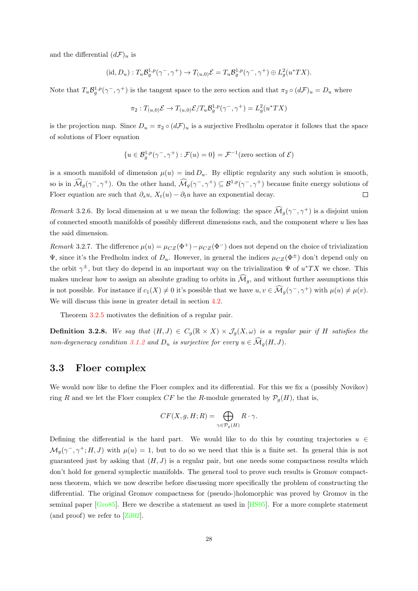and the differential  $(d\mathcal{F})_u$  is

$$
(\mathrm{id}, D_u) : T_u \mathcal{B}_g^{1,p}(\gamma^-, \gamma^+) \to T_{(u,0)} \mathcal{E} = T_u \mathcal{B}_g^{1,p}(\gamma^-, \gamma^+) \oplus L_g^2(u^*TX).
$$

Note that  $T_u \mathcal{B}_g^{1,p}(\gamma^-, \gamma^+)$  is the tangent space to the zero section and that  $\pi_2 \circ (d\mathcal{F})_u = D_u$  where

$$
\pi_2: T_{(u,0)}\mathcal{E} \to T_{(u,0)}\mathcal{E}/T_u\mathcal{B}_g^{1,p}(\gamma^-,\gamma^+) = L_g^2(u^*TX)
$$

is the projection map. Since  $D_u = \pi_2 \circ (d\mathcal{F})_u$  is a surjective Fredholm operator it follows that the space of solutions of Floer equation

$$
\{u \in \mathcal{B}_g^{1,p}(\gamma^-,\gamma^+): \mathcal{F}(u) = 0\} = \mathcal{F}^{-1}(\text{zero section of } \mathcal{E})
$$

is a smooth manifold of dimension  $\mu(u) = \text{ind } D_u$ . By elliptic regularity any such solution is smooth, so is in  $\widehat{\mathcal{M}}_g(\gamma^-, \gamma^+)$ . On the other hand,  $\widehat{\mathcal{M}}_g(\gamma^-, \gamma^+) \subseteq \mathcal{B}^{1,p}(\gamma^-, \gamma^+)$  because finite energy solutions of Floer equation are such that  $\partial_s u$ ,  $X_t(u) - \partial_t u$  have an exponential decay.  $\Box$ 

Remark 3.2.6. By local dimension at u we mean the following: the space  $\widehat{\mathcal{M}}_g(\gamma^-, \gamma^+)$  is a disjoint union of connected smooth manifolds of possibly different dimensions each, and the component where  $u$  lies has the said dimension.

Remark 3.2.7. The difference  $\mu(u) = \mu_{CZ}(\Phi^+) - \mu_{CZ}(\Phi^-)$  does not depend on the choice of trivialization  $\Psi$ , since it's the Fredholm index of  $D_u$ . However, in general the indices  $\mu_{CZ}(\Phi^{\pm})$  don't depend only on the orbit  $\gamma^{\pm}$ , but they do depend in an important way on the trivialization  $\Psi$  of  $u^*TX$  we chose. This makes unclear how to assign an absolute grading to orbits in  $\widehat{\mathcal{M}}_g$ , and without further assumptions this is not possible. For instance if  $c_1(X) \neq 0$  it's possible that we have  $u, v \in \widehat{\mathcal{M}}_g(\gamma^-, \gamma^+)$  with  $\mu(u) \neq \mu(v)$ . We will discuss this issue in greater detail in section  $4.2$ .

Theorem [3.2.5](#page-31-0) motivates the definition of a regular pair.

<span id="page-32-1"></span>**Definition 3.2.8.** We say that  $(H, J) \in C_g(\mathbb{R} \times X) \times \mathcal{J}_g(X, \omega)$  is a regular pair if H satisfies the non-degeneracy condition [3.1.2](#page-26-0) and  $D_u$  is surjective for every  $u \in \widehat{\mathcal{M}}_q(H, J)$ .

### <span id="page-32-0"></span>3.3 Floer complex

We would now like to define the Floer complex and its differential. For this we fix a (possibly Novikov) ring R and we let the Floer complex CF be the R-module generated by  $\mathcal{P}_q(H)$ , that is,

$$
CF(X, g, H; R) = \bigoplus_{\gamma \in \mathcal{P}_g(H)} R \cdot \gamma.
$$

Defining the differential is the hard part. We would like to do this by counting trajectories  $u \in$  $\mathcal{M}_g(\gamma^-, \gamma^+; H, J)$  with  $\mu(u) = 1$ , but to do so we need that this is a finite set. In general this is not guaranteed just by asking that  $(H, J)$  is a regular pair, but one needs some compactness results which don't hold for general symplectic manifolds. The general tool to prove such results is Gromov compactness theorem, which we now describe before discussing more specifically the problem of constructing the differential. The original Gromov compactness for (pseudo-)holomorphic was proved by Gromov in the seminal paper [\[Gro85\]](#page-90-0). Here we describe a statement as used in [\[HS95\]](#page-90-1). For a more complete statement (and proof) we refer to [\[Zil02\]](#page-91-6).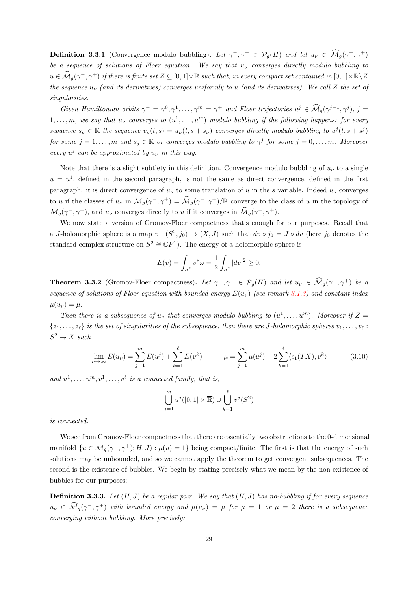**Definition 3.3.1** (Convergence modulo bubbling). Let  $\gamma^-, \gamma^+ \in \mathcal{P}_g(H)$  and let  $u_\nu \in \widehat{\mathcal{M}}_g(\gamma^-, \gamma^+)$ be a sequence of solutions of Floer equation. We say that  $u_{\nu}$  converges directly modulo bubbling to  $u\in \widehat{\mathcal{M}}_g(\gamma^-,\gamma^+)$  if there is finite set  $Z\subseteq [0,1]\times\mathbb{R}$  such that, in every compact set contained in  $[0,1]\times\mathbb{R}\setminus Z$ the sequence  $u_{\nu}$  (and its derivatives) converges uniformly to u (and its derivatives). We call Z the set of singularities.

Given Hamiltonian orbits  $\gamma^- = \gamma^0, \gamma^1, \dots, \gamma^m = \gamma^+$  and Floer trajectories  $u^j \in \widehat{\mathcal{M}}_g(\gamma^{j-1}, \gamma^j), j =$  $1, \ldots, m$ , we say that  $u_{\nu}$  converges to  $(u^1, \ldots, u^m)$  modulo bubbling if the following happens: for every sequence  $s_{\nu} \in \mathbb{R}$  the sequence  $v_{\nu}(t,s) = u_{\nu}(t, s + s_{\nu})$  converges directly modulo bubbling to  $u^{j}(t, s + s^{j})$ for some  $j = 1, \ldots, m$  and  $s_j \in \mathbb{R}$  or converges modulo bubbling to  $\gamma^j$  for some  $j = 0, \ldots, m$ . Moreover every  $u^j$  can be approximated by  $u_{\nu}$  in this way.

Note that there is a slight subtlety in this definition. Convergence modulo bubbling of  $u_{\nu}$  to a single  $u = u<sup>1</sup>$ , defined in the second paragraph, is not the same as direct convergence, defined in the first paragraph: it is direct convergence of  $u<sub>\nu</sub>$  to some translation of u in the s variable. Indeed  $u<sub>\nu</sub>$  converges to u if the classes of  $u_{\nu}$  in  $\mathcal{M}_g(\gamma^-, \gamma^+) = \widehat{\mathcal{M}}_g(\gamma^-, \gamma^+)/\mathbb{R}$  converge to the class of u in the topology of  $\mathcal{M}_g(\gamma^-,\gamma^+)$ , and  $u_\nu$  converges directly to u if it converges in  $\widehat{\mathcal{M}}_g(\gamma^-,\gamma^+)$ .

We now state a version of Gromov-Floer compactness that's enough for our purposes. Recall that a J-holomorphic sphere is a map  $v:(S^2,j_0)\to (X,J)$  such that  $dv\circ j_0=J\circ dv$  (here  $j_0$  denotes the standard complex structure on  $S^2 \cong \mathbb{C}P^1$ ). The energy of a holomorphic sphere is

$$
E(v) = \int_{S^2} v^* \omega = \frac{1}{2} \int_{S^2} |dv|^2 \ge 0.
$$

**Theorem 3.3.2** (Gromov-Floer compactness). Let  $\gamma^-, \gamma^+ \in \mathcal{P}_g(H)$  and let  $u_\nu \in \widehat{\mathcal{M}}_g(\gamma^-, \gamma^+)$  be a sequence of solutions of Floer equation with bounded energy  $E(u_\nu)$  (see remark [3.1.3\)](#page-27-1) and constant index  $\mu(u_\nu) = \mu.$ 

Then there is a subsequence of  $u_{\nu}$  that converges modulo bubbling to  $(u^1, \ldots, u^m)$ . Moreover if  $Z =$  $\{z_1, \ldots, z_\ell\}$  is the set of singularities of the subsequence, then there are J-holomorphic spheres  $v_1, \ldots, v_\ell$ :  $S^2 \to X$  such

$$
\lim_{\nu \to \infty} E(u_{\nu}) = \sum_{j=1}^{m} E(u^{j}) + \sum_{k=1}^{\ell} E(v^{k}) \qquad \mu = \sum_{j=1}^{m} \mu(u^{j}) + 2 \sum_{k=1}^{\ell} \langle c_{1}(TX), v^{k} \rangle \qquad (3.10)
$$

and  $u^1, \ldots, u^m, v^1, \ldots, v^\ell$  is a connected family, that is,

$$
\bigcup_{j=1}^{m} u^{j}([0,1] \times \overline{\mathbb{R}}) \cup \bigcup_{k=1}^{\ell} v^{j}(S^{2})
$$

is connected.

We see from Gromov-Floer compactness that there are essentially two obstructions to the 0-dimensional manifold  $\{u \in \mathcal{M}_g(\gamma^-, \gamma^+); H, J\}$ :  $\mu(u) = 1\}$  being compact/finite. The first is that the energy of such solutions may be unbounded, and so we cannot apply the theorem to get convergent subsequences. The second is the existence of bubbles. We begin by stating precisely what we mean by the non-existence of bubbles for our purposes:

<span id="page-33-0"></span>**Definition 3.3.3.** Let  $(H, J)$  be a regular pair. We say that  $(H, J)$  has no-bubbling if for every sequence  $u_{\nu} \in \widehat{\mathcal{M}}_g(\gamma^-, \gamma^+)$  with bounded energy and  $\mu(u_{\nu}) = \mu$  for  $\mu = 1$  or  $\mu = 2$  there is a subsequence converging without bubbling. More precisely: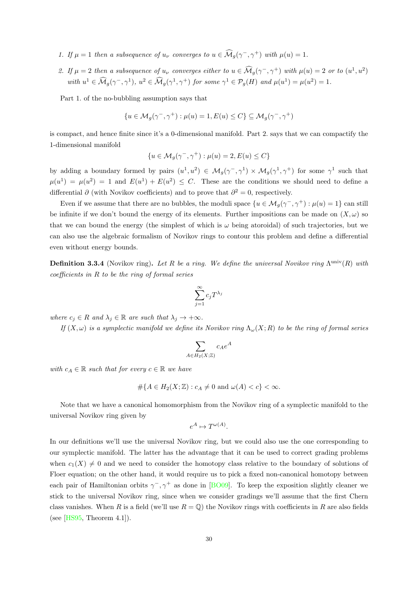- 1. If  $\mu = 1$  then a subsequence of  $u_{\nu}$  converges to  $u \in \widehat{\mathcal{M}}_g(\gamma^-, \gamma^+)$  with  $\mu(u) = 1$ .
- 2. If  $\mu = 2$  then a subsequence of  $u_{\nu}$  converges either to  $u \in \widehat{\mathcal{M}}_g(\gamma^-, \gamma^+)$  with  $\mu(u) = 2$  or to  $(u^1, u^2)$ with  $u^1 \in \widehat{\mathcal{M}}_g(\gamma^-, \gamma^1), u^2 \in \widehat{\mathcal{M}}_g(\gamma^1, \gamma^+)$  for some  $\gamma^1 \in \mathcal{P}_g(H)$  and  $\mu(u^1) = \mu(u^2) = 1$ .

Part 1. of the no-bubbling assumption says that

$$
\{u \in \mathcal{M}_g(\gamma^-,\gamma^+) : \mu(u) = 1, E(u) \le C\} \subseteq \mathcal{M}_g(\gamma^-,\gamma^+)
$$

is compact, and hence finite since it's a 0-dimensional manifold. Part 2. says that we can compactify the 1-dimensional manifold

$$
\{u \in \mathcal{M}_g(\gamma^-,\gamma^+) : \mu(u) = 2, E(u) \le C\}
$$

by adding a boundary formed by pairs  $(u^1, u^2) \in \mathcal{M}_g(\gamma^-, \gamma^1) \times \mathcal{M}_g(\gamma^1, \gamma^+)$  for some  $\gamma^1$  such that  $\mu(u^1) = \mu(u^2) = 1$  and  $E(u^1) + E(u^2) \leq C$ . These are the conditions we should need to define a differential ∂ (with Novikov coefficients) and to prove that  $\partial^2 = 0$ , respectively.

Even if we assume that there are no bubbles, the moduli space  $\{u \in \mathcal{M}_g(\gamma^-, \gamma^+) : \mu(u) = 1\}$  can still be infinite if we don't bound the energy of its elements. Further impositions can be made on  $(X, \omega)$  so that we can bound the energy (the simplest of which is  $\omega$  being atoroidal) of such trajectories, but we can also use the algebraic formalism of Novikov rings to contour this problem and define a differential even without energy bounds.

**Definition 3.3.4** (Novikov ring). Let R be a ring. We define the universal Novikov ring  $\Lambda^{\text{univ}}(R)$  with  $coefficients$  in  $R$  to be the ring of formal series

$$
\sum_{j=1}^{\infty} c_j T^{\lambda_j}
$$

where  $c_j \in R$  and  $\lambda_j \in \mathbb{R}$  are such that  $\lambda_j \to +\infty$ .

If  $(X,\omega)$  is a symplectic manifold we define its Novikov ring  $\Lambda_{\omega}(X;R)$  to be the ring of formal series

$$
\sum_{A \in H_2(X;\mathbb{Z})} c_A e^A
$$

with  $c_A \in \mathbb{R}$  such that for every  $c \in \mathbb{R}$  we have

$$
\#\{A \in H_2(X; \mathbb{Z}) : c_A \neq 0 \text{ and } \omega(A) < c\} < \infty.
$$

Note that we have a canonical homomorphism from the Novikov ring of a symplectic manifold to the universal Novikov ring given by

$$
e^A \mapsto T^{\omega(A)}.
$$

In our definitions we'll use the universal Novikov ring, but we could also use the one corresponding to our symplectic manifold. The latter has the advantage that it can be used to correct grading problems when  $c_1(X) \neq 0$  and we need to consider the homotopy class relative to the boundary of solutions of Floer equation; on the other hand, it would require us to pick a fixed non-canonical homotopy between each pair of Hamiltonian orbits  $\gamma^-, \gamma^+$  as done in [\[BO09\]](#page-88-8). To keep the exposition slightly cleaner we stick to the universal Novikov ring, since when we consider gradings we'll assume that the first Chern class vanishes. When R is a field (we'll use  $R = \mathbb{Q}$ ) the Novikov rings with coefficients in R are also fields (see  $[HSS5, Theorem 4.1].$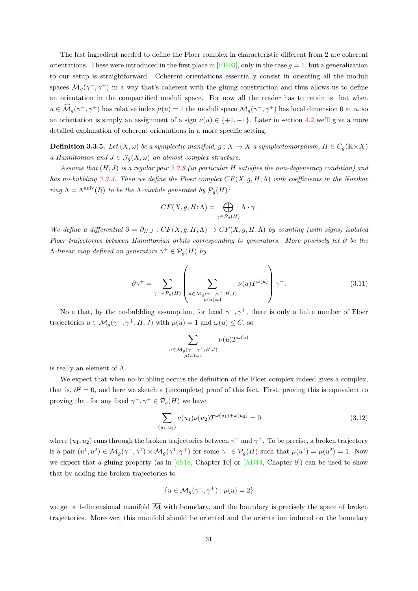The last ingredient needed to define the Floer complex in characteristic different from 2 are coherent orientations. These were introduced in the first place in [\[FH93\]](#page-89-11), only in the case  $g = 1$ , but a generalization to our setup is straightforward. Coherent orientations essentially consist in orienting all the moduli spaces  $\mathcal{M}_g(\gamma^-, \gamma^+)$  in a way that's coherent with the gluing construction and thus allows us to define an orientation in the compactified moduli space. For now all the reader has to retain is that when  $u \in \widehat{\mathcal{M}}_g(\gamma^-, \gamma^+)$  has relative index  $\mu(u) = 1$  the moduli space  $\mathcal{M}_g(\gamma^-, \gamma^+)$  has local dimension 0 at  $u$ , so an orientation is simply an assignment of a sign  $\nu(u) \in \{+1, -1\}$ . Later in section [4.2](#page-44-0) we'll give a more detailed explanation of coherent orientations in a more specific setting.

**Definition 3.3.5.** Let  $(X, \omega)$  be a symplectic manifold,  $g: X \to X$  a symplectomorphism,  $H \in C_g(\mathbb{R} \times X)$ a Hamiltonian and  $J \in \mathcal{J}_{q}(X,\omega)$  an almost complex structure.

Assume that  $(H, J)$  is a regular pair [3.2.8](#page-32-1) (in particular H satisfies the non-degeneracy condition) and has no-bubbling [3.3.3.](#page-33-0) Then we define the Floer complex  $CF(X, q, H; \Lambda)$  with coefficients in the Novikov ring  $\Lambda = \Lambda^{\text{univ}}(R)$  to be the  $\Lambda$ -module generated by  $\mathcal{P}_q(H)$ :

$$
CF(X, g, H; \Lambda) = \bigoplus_{\gamma \in \mathcal{P}_g(H)} \Lambda \cdot \gamma.
$$

We define a differential  $\partial = \partial_{H,J} : CF(X,g,H;\Lambda) \to CF(X,g,H;\Lambda)$  by counting (with signs) isolated Floer trajectories between Hamiltonian orbits corresponding to generators. More precisely let ∂ be the  $\Lambda$ -linear map defined on generators  $\gamma^+ \in \mathcal{P}_g(H)$  by

$$
\partial \gamma^+ = \sum_{\gamma^- \in \mathcal{P}_g(H)} \left( \sum_{\substack{u \in \mathcal{M}_g(\gamma^-, \gamma^+; H, J) \\ \mu(u) = 1}} \nu(u) T^{\omega(u)} \right) \gamma^-. \tag{3.11}
$$

Note that, by the no-bubbling assumption, for fixed  $\gamma^-, \gamma^+$ , there is only a finite number of Floer trajectories  $u \in M_g(\gamma^-, \gamma^+; H, J)$  with  $\mu(u) = 1$  and  $\omega(u) \leq C$ , so

$$
\sum_{\substack{u \in \mathcal{M}_g(\gamma^-, \gamma^+; H, J) \\ \mu(u)=1}} \nu(u) T^{\omega(u)}
$$

is really an element of  $\Lambda$ .

We expect that when no-bubbling occurs the definition of the Floer complex indeed gives a complex, that is,  $\partial^2 = 0$ , and here we sketch a (incomplete) proof of this fact. First, proving this is equivalent to proving that for any fixed  $\gamma^-, \gamma^+ \in \mathcal{P}_g(H)$  we have

$$
\sum_{(u_1, u_2)} \nu(u_1) \nu(u_2) T^{\omega(u_1) + \omega(u_2)} = 0 \tag{3.12}
$$

where  $(u_1, u_2)$  runs through the broken trajectories between  $\gamma^-$  and  $\gamma^+$ . To be precise, a broken trajectory is a pair  $(u^1, u^2) \in M_g(\gamma^-, \gamma^1) \times M_g(\gamma^1, \gamma^+)$  for some  $\gamma^1 \in \mathcal{P}_g(H)$  such that  $\mu(u^1) = \mu(u^2) = 1$ . Now we expect that a gluing property (as in [\[dS18,](#page-89-10) Chapter 10] or [\[AD14,](#page-88-7) Chapter 9]) can be used to show that by adding the broken trajectories to

$$
\{u \in \mathcal{M}_g(\gamma^-, \gamma^+) : \mu(u) = 2\}
$$

we get a 1-dimensional manifold  $\overline{\mathcal{M}}$  with boundary, and the boundary is precisely the space of broken trajectories. Moreover, this manifold should be oriented and the orientation induced on the boundary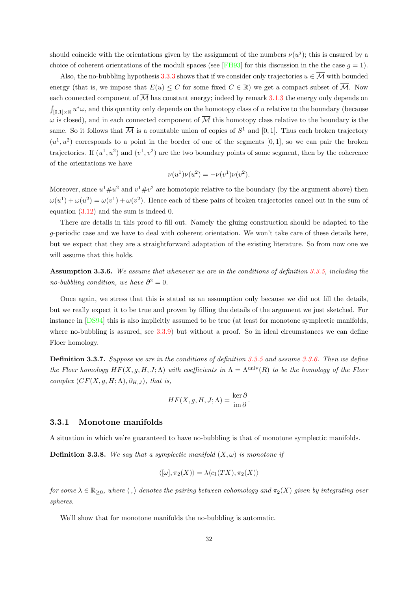should coincide with the orientations given by the assignment of the numbers  $\nu(u^j)$ ; this is ensured by a choice of coherent orientations of the moduli spaces (see [\[FH93\]](#page-89-0) for this discussion in the the case  $g = 1$ ).

Also, the no-bubbling hypothesis [3.3.3](#page-33-0) shows that if we consider only trajectories  $u \in \overline{\mathcal{M}}$  with bounded energy (that is, we impose that  $E(u) \leq C$  for some fixed  $C \in \mathbb{R}$ ) we get a compact subset of  $\overline{\mathcal{M}}$ . Now each connected component of  $\overline{\mathcal{M}}$  has constant energy; indeed by remark [3.1.3](#page-27-0) the energy only depends on  $\int_{[0,1]\times\mathbb{R}} u^*\omega$ , and this quantity only depends on the homotopy class of u relative to the boundary (because  $\omega$  is closed), and in each connected component of  $\overline{\mathcal{M}}$  this homotopy class relative to the boundary is the same. So it follows that  $\overline{\mathcal{M}}$  is a countable union of copies of  $S^1$  and [0,1]. Thus each broken trajectory  $(u^1, u^2)$  corresponds to a point in the border of one of the segments [0,1], so we can pair the broken trajectories. If  $(u^1, u^2)$  and  $(v^1, v^2)$  are the two boundary points of some segment, then by the coherence of the orientations we have

$$
\nu(u^{1})\nu(u^{2}) = -\nu(v^{1})\nu(v^{2}).
$$

Moreover, since  $u^1 \# u^2$  and  $v^1 \# v^2$  are homotopic relative to the boundary (by the argument above) then  $\omega(u^1) + \omega(u^2) = \omega(v^1) + \omega(v^2)$ . Hence each of these pairs of broken trajectories cancel out in the sum of equation [\(3.12\)](#page-35-0) and the sum is indeed 0.

There are details in this proof to fill out. Namely the gluing construction should be adapted to the g-periodic case and we have to deal with coherent orientation. We won't take care of these details here, but we expect that they are a straightforward adaptation of the existing literature. So from now one we will assume that this holds.

<span id="page-36-0"></span>Assumption 3.3.6. We assume that whenever we are in the conditions of definition [3.3.5,](#page-35-1) including the no-bubbling condition, we have  $\partial^2 = 0$ .

Once again, we stress that this is stated as an assumption only because we did not fill the details, but we really expect it to be true and proven by filling the details of the argument we just sketched. For instance in [\[DS94\]](#page-89-1) this is also implicitly assumed to be true (at least for monotone symplectic manifolds, where no-bubbling is assured, see [3.3.9\)](#page-37-0) but without a proof. So in ideal circumstances we can define Floer homology.

Definition 3.3.7. Suppose we are in the conditions of definition [3.3.5](#page-35-1) and assume [3.3.6.](#page-36-0) Then we define the Floer homology  $HF(X, g, H, J; \Lambda)$  with coefficients in  $\Lambda = \Lambda^{\text{univ}}(R)$  to be the homology of the Floer complex  $(CF(X, g, H; \Lambda), \partial_{H,J})$ , that is,

$$
HF(X, g, H, J; \Lambda) = \frac{\ker \partial}{\operatorname{im} \partial}.
$$

#### 3.3.1 Monotone manifolds

A situation in which we're guaranteed to have no-bubbling is that of monotone symplectic manifolds.

**Definition 3.3.8.** We say that a symplectic manifold  $(X, \omega)$  is monotone if

$$
\langle [\omega], \pi_2(X) \rangle = \lambda \langle c_1(TX), \pi_2(X) \rangle
$$

for some  $\lambda \in \mathbb{R}_{\geq 0}$ , where  $\langle \cdot, \rangle$  denotes the pairing between cohomology and  $\pi_2(X)$  given by integrating over spheres.

We'll show that for monotone manifolds the no-bubbling is automatic.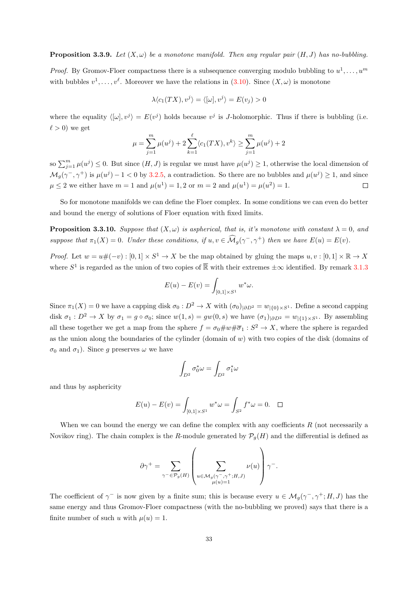#### <span id="page-37-0"></span>**Proposition 3.3.9.** Let  $(X, \omega)$  be a monotone manifold. Then any regular pair  $(H, J)$  has no-bubbling.

*Proof.* By Gromov-Floer compactness there is a subsequence converging modulo bubbling to  $u^1, \ldots, u^m$ with bubbles  $v^1, \ldots, v^{\ell}$ . Moreover we have the relations in [\(3.10\)](#page-33-1). Since  $(X, \omega)$  is monotone

$$
\lambda \langle c_1(TX), v^j \rangle = \langle [\omega], v^j \rangle = E(v_j) > 0
$$

where the equality  $\langle \omega, v^j \rangle = E(v^j)$  holds because  $v^j$  is *J*-holomorphic. Thus if there is bubbling (i.e.  $\ell > 0$ ) we get

$$
\mu = \sum_{j=1}^{m} \mu(u^{j}) + 2 \sum_{k=1}^{\ell} \langle c_1(TX), v^k \rangle \ge \sum_{j=1}^{m} \mu(u^{j}) + 2
$$

so  $\sum_{j=1}^{m} \mu(u^j) \leq 0$ . But since  $(H, J)$  is regular we must have  $\mu(u^j) \geq 1$ , otherwise the local dimension of  $\mathcal{M}_g(\gamma^-, \gamma^+)$  is  $\mu(u^j) - 1 < 0$  by [3.2.5,](#page-31-0) a contradiction. So there are no bubbles and  $\mu(u^j) \geq 1$ , and since  $\mu \leq 2$  we either have  $m = 1$  and  $\mu(u^1) = 1, 2$  or  $m = 2$  and  $\mu(u^1) = \mu(u^2) = 1$ .  $\Box$ 

So for monotone manifolds we can define the Floer complex. In some conditions we can even do better and bound the energy of solutions of Floer equation with fixed limits.

<span id="page-37-1"></span>**Proposition 3.3.10.** Suppose that  $(X, \omega)$  is aspherical, that is, it's monotone with constant  $\lambda = 0$ , and suppose that  $\pi_1(X) = 0$ . Under these conditions, if  $u, v \in \widehat{\mathcal{M}}_g(\gamma^-, \gamma^+)$  then we have  $E(u) = E(v)$ .

*Proof.* Let  $w = u \# (-v) : [0,1] \times S^1 \to X$  be the map obtained by gluing the maps  $u, v : [0,1] \times \mathbb{R} \to X$ where  $S^1$  is regarded as the union of two copies of  $\overline{\mathbb{R}}$  with their extremes  $\pm \infty$  identified. By remark [3.1.3](#page-27-0)

$$
E(u) - E(v) = \int_{[0,1] \times S^1} w^* \omega.
$$

Since  $\pi_1(X) = 0$  we have a capping disk  $\sigma_0 : D^2 \to X$  with  $(\sigma_0)_{|\partial D^2} = w_{|\{0\}\times S^1}$ . Define a second capping disk  $\sigma_1 : D^2 \to X$  by  $\sigma_1 = g \circ \sigma_0$ ; since  $w(1, s) = gw(0, s)$  we have  $(\sigma_1)_{|\partial D^2} = w_{|\{1\} \times S^1}$ . By assembling all these together we get a map from the sphere  $f = \sigma_0 \# w \# \overline{\sigma}_1 : S^2 \to X$ , where the sphere is regarded as the union along the boundaries of the cylinder (domain of  $w$ ) with two copies of the disk (domains of  $\sigma_0$  and  $\sigma_1$ ). Since g preserves  $\omega$  we have

$$
\int_{D^2}\sigma_0^*\omega=\int_{D^2}\sigma_1^*\omega
$$

and thus by asphericity

$$
E(u) - E(v) = \int_{[0,1] \times S^1} w^* \omega = \int_{S^2} f^* \omega = 0. \quad \Box
$$

When we can bound the energy we can define the complex with any coefficients  $R$  (not necessarily a Novikov ring). The chain complex is the R-module generated by  $\mathcal{P}_q(H)$  and the differential is defined as

$$
\partial \gamma^+ = \sum_{\gamma^- \in \mathcal{P}_g(H)} \left( \sum_{\substack{u \in \mathcal{M}_g(\gamma^-, \gamma^+; H, J) \\ \mu(u) = 1}} \nu(u) \right) \gamma^-.
$$

The coefficient of  $\gamma^-$  is now given by a finite sum; this is because every  $u \in \mathcal{M}_g(\gamma^-,\gamma^+;H,J)$  has the same energy and thus Gromov-Floer compactness (with the no-bubbling we proved) says that there is a finite number of such u with  $\mu(u) = 1$ .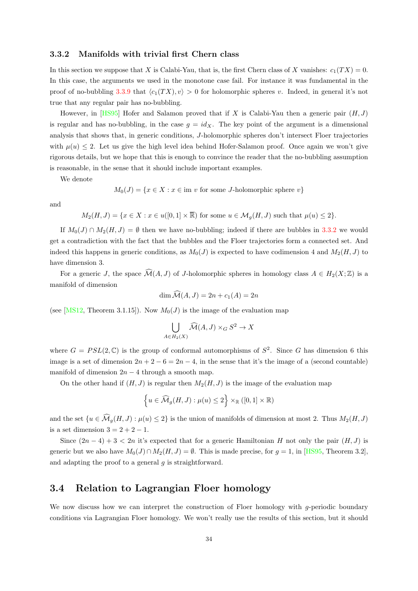#### <span id="page-38-0"></span>3.3.2 Manifolds with trivial first Chern class

In this section we suppose that X is Calabi-Yau, that is, the first Chern class of X vanishes:  $c_1(TX) = 0$ . In this case, the arguments we used in the monotone case fail. For instance it was fundamental in the proof of no-bubbling [3.3.9](#page-37-0) that  $\langle c_1(T X), v \rangle > 0$  for holomorphic spheres v. Indeed, in general it's not true that any regular pair has no-bubbling.

However, in [\[HS95\]](#page-90-0) Hofer and Salamon proved that if X is Calabi-Yau then a generic pair  $(H, J)$ is regular and has no-bubbling, in the case  $g = id_X$ . The key point of the argument is a dimensional analysis that shows that, in generic conditions, J-holomorphic spheres don't intersect Floer trajectories with  $\mu(u) \leq 2$ . Let us give the high level idea behind Hofer-Salamon proof. Once again we won't give rigorous details, but we hope that this is enough to convince the reader that the no-bubbling assumption is reasonable, in the sense that it should include important examples.

We denote

$$
M_0(J) = \{ x \in X : x \in \text{im } v \text{ for some } J\text{-holomorphic sphere } v \}
$$

and

$$
M_2(H, J) = \{x \in X : x \in u([0, 1] \times \overline{\mathbb{R}}) \text{ for some } u \in \mathcal{M}_g(H, J) \text{ such that } \mu(u) \le 2\}.
$$

If  $M_0(J) \cap M_2(H, J) = \emptyset$  then we have no-bubbling; indeed if there are bubbles in [3.3.2](#page-33-2) we would get a contradiction with the fact that the bubbles and the Floer trajectories form a connected set. And indeed this happens in generic conditions, as  $M_0(J)$  is expected to have codimension 4 and  $M_2(H, J)$  to have dimension 3.

For a generic J, the space  $\widehat{\mathcal{M}}(A, J)$  of J-holomorphic spheres in homology class  $A \in H_2(X; \mathbb{Z})$  is a manifold of dimension

$$
\dim \widehat{\mathcal{M}}(A, J) = 2n + c_1(A) = 2n
$$

(see [\[MS12,](#page-90-1) Theorem 3.1.15]). Now  $M_0(J)$  is the image of the evaluation map

$$
\bigcup_{A \in H_2(X)} \widehat{\mathcal{M}}(A, J) \times_G S^2 \to X
$$

where  $G = PSL(2, \mathbb{C})$  is the group of conformal automorphisms of  $S^2$ . Since G has dimension 6 this image is a set of dimension  $2n + 2 - 6 = 2n - 4$ , in the sense that it's the image of a (second countable) manifold of dimension  $2n - 4$  through a smooth map.

On the other hand if  $(H, J)$  is regular then  $M_2(H, J)$  is the image of the evaluation map

$$
\left\{ u \in \widehat{\mathcal{M}}_g(H,J) : \mu(u) \le 2 \right\} \times_{\mathbb{R}} ([0,1] \times \mathbb{R})
$$

and the set  $\{u \in \widehat{\mathcal{M}}_q(H, J) : \mu(u) \leq 2\}$  is the union of manifolds of dimension at most 2. Thus  $M_2(H, J)$ is a set dimension  $3 = 2 + 2 - 1$ .

Since  $(2n-4)+3 < 2n$  it's expected that for a generic Hamiltonian H not only the pair  $(H, J)$  is generic but we also have  $M_0(J) \cap M_2(H, J) = \emptyset$ . This is made precise, for  $q = 1$ , in [\[HS95,](#page-90-0) Theorem 3.2], and adapting the proof to a general g is straightforward.

#### 3.4 Relation to Lagrangian Floer homology

We now discuss how we can interpret the construction of Floer homology with  $q$ -periodic boundary conditions via Lagrangian Floer homology. We won't really use the results of this section, but it should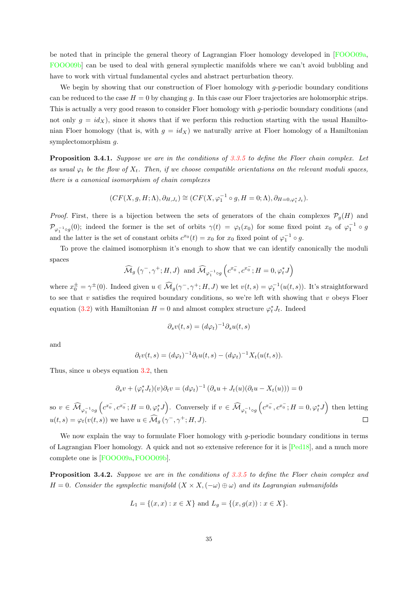be noted that in principle the general theory of Lagrangian Floer homology developed in [\[FOOO09a,](#page-89-2) [FOOO09b\]](#page-90-2) can be used to deal with general symplectic manifolds where we can't avoid bubbling and have to work with virtual fundamental cycles and abstract perturbation theory.

We begin by showing that our construction of Floer homology with g-periodic boundary conditions can be reduced to the case  $H = 0$  by changing q. In this case our Floer trajectories are holomorphic strips. This is actually a very good reason to consider Floer homology with g-periodic boundary conditions (and not only  $g = id_X$ ), since it shows that if we perform this reduction starting with the usual Hamiltonian Floer homology (that is, with  $g = id_X$ ) we naturally arrive at Floer homology of a Hamiltonian symplectomorphism g.

<span id="page-39-1"></span>Proposition 3.4.1. Suppose we are in the conditions of [3.3.5](#page-35-1) to define the Floer chain complex. Let as usual  $\varphi_t$  be the flow of  $X_t$ . Then, if we choose compatible orientations on the relevant moduli spaces, there is a canonical isomorphism of chain complexes

$$
(CF(X, g, H; \Lambda), \partial_{H, J_t}) \cong (CF(X, \varphi_1^{-1} \circ g, H = 0; \Lambda), \partial_{H=0, \varphi_t^* J_t}).
$$

*Proof.* First, there is a bijection between the sets of generators of the chain complexes  $\mathcal{P}_q(H)$  and  $\mathcal{P}_{\varphi_1^{-1} \circ g}(0)$ ; indeed the former is the set of orbits  $\gamma(t) = \varphi_t(x_0)$  for some fixed point  $x_0$  of  $\varphi_1^{-1} \circ g$ and the latter is the set of constant orbits  $c^{x_0}(t) = x_0$  for  $x_0$  fixed point of  $\varphi_1^{-1} \circ g$ .

To prove the claimed isomorphism it's enough to show that we can identify canonically the moduli spaces

$$
\widehat{\mathcal{M}}_g\left(\gamma^-,\gamma^+;H,J\right) \text{ and } \widehat{\mathcal{M}}_{\varphi_1^{-1}\circ g}\left(c^{x_0^-},c^{x_0^-};H=0,\varphi_t^*J\right)
$$

where  $x_0^{\pm} = \gamma^{\pm}(0)$ . Indeed given  $u \in \widehat{\mathcal{M}}_g(\gamma^-, \gamma^+; H, J)$  we let  $v(t, s) = \varphi_t^{-1}(u(t, s))$ . It's straightforward to see that  $v$  satisfies the required boundary conditions, so we're left with showing that  $v$  obeys Floer equation [\(3.2\)](#page-27-1) with Hamiltonian  $H = 0$  and almost complex structure  $\varphi_t^* J_t$ . Indeed

$$
\partial_s v(t,s) = (d\varphi_t)^{-1} \partial_s u(t,s)
$$

and

$$
\partial_t v(t,s) = (d\varphi_t)^{-1} \partial_t u(t,s) - (d\varphi_t)^{-1} X_t(u(t,s)).
$$

Thus, since  $u$  obeys equation [3.2,](#page-27-1) then

$$
\partial_s v + (\varphi_t^* J_t)(v) \partial_t v = (d\varphi_t)^{-1} (\partial_s u + J_t(u)(\partial_t u - X_t(u))) = 0
$$

so  $v \in \widehat{\mathcal{M}}_{\varphi_1^{-1} \circ g} \left( c^{x_0^-}, c^{x_0^-} ; H = 0, \varphi_t^* J \right)$ . Conversely if  $v \in \widehat{\mathcal{M}}_{\varphi_1^{-1} \circ g} \left( c^{x_0^-}, c^{x_0^-} ; H = 0, \varphi_t^* J \right)$  then letting  $u(t,s) = \varphi_t(v(t,s))$  we have  $u \in \widehat{\mathcal{M}}_g(\gamma^-, \gamma^+; H, J)$ .  $\Box$ 

We now explain the way to formulate Floer homology with  $g$ -periodic boundary conditions in terms of Lagrangian Floer homology. A quick and not so extensive reference for it is [\[Ped18\]](#page-91-0), and a much more complete one is [\[FOOO09a,](#page-89-2)[FOOO09b\]](#page-90-2).

<span id="page-39-0"></span>Proposition 3.4.2. Suppose we are in the conditions of [3.3.5](#page-35-1) to define the Floer chain complex and  $H = 0$ . Consider the symplectic manifold  $(X \times X, (-\omega) \oplus \omega)$  and its Lagrangian submanifolds

$$
L_1 = \{(x, x) : x \in X\}
$$
 and  $L_g = \{(x, g(x)) : x \in X\}.$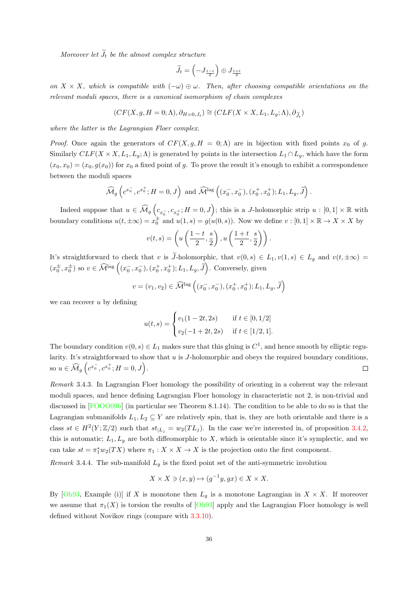Moreover let  $\widetilde{J}_t$  be the almost complex structure

$$
\widetilde{J}_t = \left(-J_{\frac{1-t}{2}}\right) \oplus J_{\frac{1+t}{2}}
$$

on  $X \times X$ , which is compatible with  $(-\omega) \oplus \omega$ . Then, after choosing compatible orientations on the relevant moduli spaces, there is a canonical isomorphism of chain complexes

$$
(CF(X, g, H = 0; \Lambda), \partial_{H=0, J_t}) \cong (CLF(X \times X, L_1, L_g; \Lambda), \partial_{\widetilde{J}_t})
$$

where the latter is the Lagrangian Floer complex.

*Proof.* Once again the generators of  $CF(X, q, H = 0; \Lambda)$  are in bijection with fixed points  $x_0$  of q. Similarly  $CLF(X \times X, L_1, L_g; \Lambda)$  is generated by points in the intersection  $L_1 \cap L_g$ , which have the form  $(x_0, x_0) = (x_0, g(x_0))$  for  $x_0$  a fixed point of g. To prove the result it's enough to exhibit a correspondence between the moduli spaces

$$
\widehat{\mathcal{M}}_g\left(c^{x_0^-}, c^{x_0^+}; H=0, J\right) \text{ and } \widehat{\mathcal{M}}^{\text{lag}}\left((x_0^-, x_0^-), (x_0^+, x_0^+); L_1, L_g, \widetilde{J}\right).
$$

Indeed suppose that  $u \in \widehat{\mathcal{M}}_g\left(c_{x_0^-}, c_{x_0^+}; H=0, J\right);$  this is a J-holomorphic strip  $u : [0,1] \times \mathbb{R}$  with boundary conditions  $u(t, \pm \infty) = x_0^{\pm}$  and  $u(1, s) = g(u(0, s))$ . Now we define  $v : [0, 1] \times \mathbb{R} \to X \times X$  by

$$
v(t,s) = \left(u\left(\frac{1-t}{2}, \frac{s}{2}\right), u\left(\frac{1+t}{2}, \frac{s}{2}\right)\right).
$$

It's straightforward to check that v is  $\widetilde{J}$ -holomorphic, that  $v(0, s) \in L_1$ ,  $v(1, s) \in L_g$  and  $v(t, \pm \infty)$  $(x_0^{\pm}, x_0^{\pm})$  so  $v \in \widehat{\mathcal{M}}^{\text{lag}}\left((x_0^-, x_0^-), (x_0^+, x_0^+); L_1, L_g, \widetilde{J}\right)$ . Conversely, given

$$
v = (v_1, v_2) \in \widehat{\mathcal{M}}^{\text{lag}}\left((x_0^-, x_0^-), (x_0^+, x_0^+); L_1, L_g, \widehat{J}\right)
$$

we can recover  $u$  by defining

$$
u(t,s) = \begin{cases} v_1(1-2t,2s) & \text{if } t \in [0,1/2] \\ v_2(-1+2t,2s) & \text{if } t \in [1/2,1]. \end{cases}
$$

The boundary condition  $v(0, s) \in L_1$  makes sure that this gluing is  $C^1$ , and hence smooth by elliptic regularity. It's straightforward to show that  $u$  is  $J$ -holomorphic and obeys the required boundary conditions, so  $u \in \widehat{\mathcal{M}}_g \left( c^{x_0^-}, c^{x_0^+} ; H = 0, J \right)$ .  $\Box$ 

Remark 3.4.3. In Lagrangian Floer homology the possibility of orienting in a coherent way the relevant moduli spaces, and hence defining Lagrangian Floer homology in characteristic not 2, is non-trivial and discussed in [\[FOOO09b\]](#page-90-2) (in particular see Theorem 8.1.14). The condition to be able to do so is that the Lagrangian submanifolds  $L_1, L_2 \subseteq Y$  are relatively spin, that is, they are both orientable and there is a class  $st \in H^2(Y;\mathbb{Z}/2)$  such that  $st_{|L_j|} = w_2(TL_j)$ . In the case we're interested in, of proposition [3.4.2,](#page-39-0) this is automatic;  $L_1, L_g$  are both diffeomorphic to X, which is orientable since it's symplectic, and we can take  $st = \pi_1^* w_2(TX)$  where  $\pi_1 : X \times X \to X$  is the projection onto the first component.

*Remark* 3.4.4. The sub-manifold  $L_g$  is the fixed point set of the anti-symmetric involution

$$
X \times X \ni (x, y) \mapsto (g^{-1}y, gx) \in X \times X.
$$

By [\[Oh93,](#page-91-1) Example (i)] if X is monotone then  $L_g$  is a monotone Lagrangian in  $X \times X$ . If moreover we assume that  $\pi_1(X)$  is torsion the results of [\[Oh93\]](#page-91-1) apply and the Lagrangian Floer homology is well defined without Novikov rings (compare with [3.3.10\)](#page-37-1).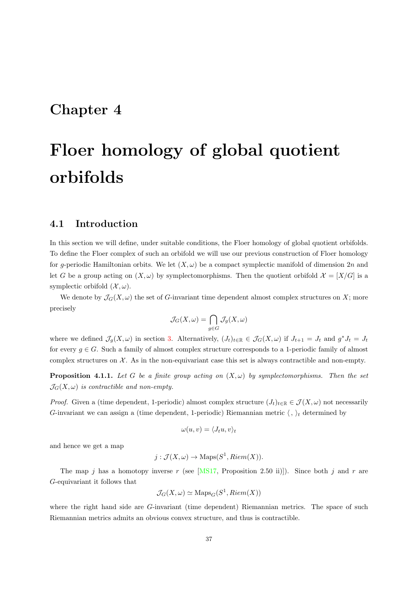## Chapter 4

# Floer homology of global quotient orbifolds

#### 4.1 Introduction

In this section we will define, under suitable conditions, the Floer homology of global quotient orbifolds. To define the Floer complex of such an orbifold we will use our previous construction of Floer homology for g-periodic Hamiltonian orbits. We let  $(X, \omega)$  be a compact symplectic manifold of dimension 2n and let G be a group acting on  $(X, \omega)$  by symplectomorphisms. Then the quotient orbifold  $\mathcal{X} = [X/G]$  is a symplectic orbifold  $(\mathcal{X}, \omega)$ .

We denote by  $\mathcal{J}_G(X,\omega)$  the set of G-invariant time dependent almost complex structures on X; more precisely

$$
\mathcal{J}_G(X,\omega)=\bigcap_{g\in G}\mathcal{J}_g(X,\omega)
$$

where we defined  $\mathcal{J}_g(X,\omega)$  in section [3.](#page-25-0) Alternatively,  $(J_t)_{t\in\mathbb{R}}\in\mathcal{J}_G(X,\omega)$  if  $J_{t+1}=J_t$  and  $g^*J_t=J_t$ for every  $g \in G$ . Such a family of almost complex structure corresponds to a 1-periodic family of almost complex structures on  $\mathcal{X}$ . As in the non-equivariant case this set is always contractible and non-empty.

**Proposition 4.1.1.** Let G be a finite group acting on  $(X, \omega)$  by symplectomorphisms. Then the set  $\mathcal{J}_G(X,\omega)$  is contractible and non-empty.

*Proof.* Given a (time dependent, 1-periodic) almost complex structure  $(J_t)_{t\in\mathbb{R}}\in\mathcal{J}(X,\omega)$  not necessarily G-invariant we can assign a (time dependent, 1-periodic) Riemannian metric  $\langle , \rangle_t$  determined by

$$
\omega(u,v) = \langle J_t u, v \rangle_t
$$

and hence we get a map

$$
j: \mathcal{J}(X,\omega) \to \text{Maps}(S^1, Riem(X)).
$$

The map j has a homotopy inverse r (see [\[MS17,](#page-91-2) Proposition 2.50 ii)]). Since both j and r are G-equivariant it follows that

$$
\mathcal{J}_G(X,\omega) \simeq \text{Maps}_G(S^1, Riem(X))
$$

where the right hand side are G-invariant (time dependent) Riemannian metrics. The space of such Riemannian metrics admits an obvious convex structure, and thus is contractible.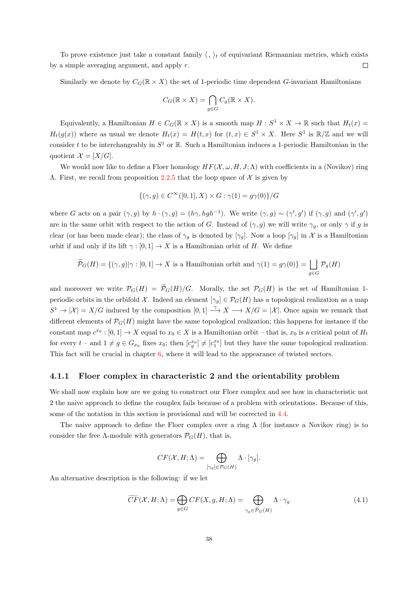To prove existence just take a constant family  $\langle , \rangle_t$  of equivariant Riemannian metrics, which exists  $\Box$ by a simple averaging argument, and apply r.

Similarly we denote by  $C_G(\mathbb{R} \times X)$  the set of 1-periodic time dependent G-invariant Hamiltonians

$$
C_G(\mathbb{R} \times X) = \bigcap_{g \in G} C_g(\mathbb{R} \times X).
$$

Equivalently, a Hamiltonian  $H \in C_G(\mathbb{R} \times X)$  is a smooth map  $H : S^1 \times X \to \mathbb{R}$  such that  $H_t(x) =$  $H_t(g(x))$  where as usual we denote  $H_t(x) = H(t, x)$  for  $(t, x) \in S^1 \times X$ . Here  $S^1$  is  $\mathbb{R}/\mathbb{Z}$  and we will consider t to be interchangeably in  $S^1$  or R. Such a Hamiltonian induces a 1-periodic Hamiltonian in the quotient  $\mathcal{X} = [X/G].$ 

We would now like to define a Floer homology  $HF(\mathcal{X}, \omega, H, J; \Lambda)$  with coefficients in a (Novikov) ring Λ. First, we recall from proposition [2.2.5](#page-14-0) that the loop space of X is given by

$$
\{(\gamma, g) \in C^{\infty}([0, 1], X) \times G : \gamma(1) = g\gamma(0)\}/G
$$

where G acts on a pair  $(\gamma, g)$  by  $h \cdot (\gamma, g) = (h\gamma, hgh^{-1})$ . We write  $(\gamma, g) \sim (\gamma', g')$  if  $(\gamma, g)$  and  $(\gamma', g')$ are in the same orbit with respect to the action of G. Instead of  $(\gamma, g)$  we will write  $\gamma_g$ , or only  $\gamma$  if g is clear (or has been made clear); the class of  $\gamma_g$  is denoted by  $[\gamma_g]$ . Now a loop  $[\gamma_g]$  in X is a Hamiltonian orbit if and only if its lift  $\gamma : [0, 1] \to X$  is a Hamiltonian orbit of H. We define

$$
\widetilde{\mathcal{P}}_{G}(H)=\{(\gamma,g)|\gamma:[0,1]\rightarrow X\text{ is a Hamiltonian orbit and }\gamma(1)=g\gamma(0)\}=\bigsqcup_{g\in G}\mathcal{P}_g(H)
$$

and moreover we write  $\mathcal{P}_G(H) = \widetilde{\mathcal{P}}_G(H)/G$ . Morally, the set  $\mathcal{P}_G(H)$  is the set of Hamiltonian 1periodic orbits in the orbifold X. Indeed an element  $[\gamma_g] \in \mathcal{P}_G(H)$  has a topological realization as a map  $S^1 \to |\mathcal{X}| = X/G$  induced by the composition  $[0,1] \to X \to X/G = |\mathcal{X}|$ . Once again we remark that different elements of  $\mathcal{P}_G(H)$  might have the same topological realization; this happens for instance if the constant map  $c^{x_0} : [0,1] \to X$  equal to  $x_0 \in X$  is a Hamiltonian orbit – that is,  $x_0$  is a critical point of  $H_t$ for every  $t$  – and  $1 \neq g \in G_{x_0}$  fixes  $x_0$ ; then  $[c_q^{x_0}] \neq [c_1^{x_0}]$  but they have the same topological realization. This fact will be crucial in chapter [6,](#page-63-0) where it will lead to the appearance of twisted sectors.

#### <span id="page-42-1"></span>4.1.1 Floer complex in characteristic 2 and the orientability problem

We shall now explain how are we going to construct our Floer complex and see how in characteristic not 2 the naive approach to define the complex fails because of a problem with orientations. Because of this, some of the notation in this section is provisional and will be corrected in [4.4.](#page-51-0)

The naive approach to define the Floer complex over a ring  $\Lambda$  (for instance a Novikov ring) is to consider the free  $\Lambda$ -module with generators  $\mathcal{P}_G(H)$ , that is,

$$
CF(\mathcal{X}, H; \Lambda) = \bigoplus_{[\gamma_g] \in \mathcal{P}_G(H)} \Lambda \cdot [\gamma_g].
$$

An alternative description is the following: if we let

<span id="page-42-0"></span>
$$
\widetilde{CF}(\mathcal{X}, H; \Lambda) = \bigoplus_{g \in G} CF(X, g, H; \Lambda) = \bigoplus_{\gamma_g \in \widetilde{\mathcal{P}}_G(H)} \Lambda \cdot \gamma_g \tag{4.1}
$$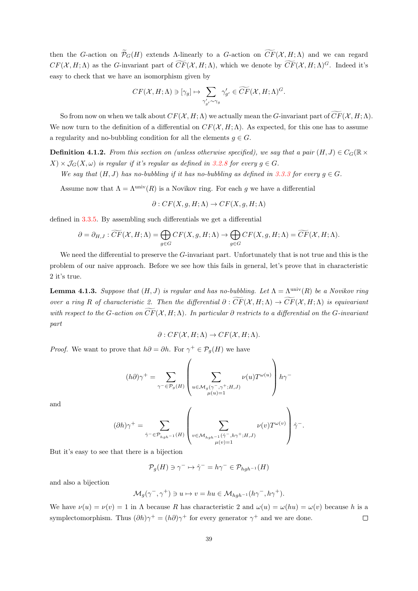then the G-action on  $\widetilde{\mathcal{P}}_G(H)$  extends Λ-linearly to a G-action on  $\widetilde{CF}(\mathcal{X}, H; \Lambda)$  and we can regard  $CF(X, H; \Lambda)$  as the G-invariant part of  $\widetilde{CF}(X, H; \Lambda)$ , which we denote by  $\widetilde{CF}(X, H; \Lambda)^G$ . Indeed it's easy to check that we have an isomorphism given by

$$
CF(\mathcal{X}, H; \Lambda) \ni [\gamma_g] \mapsto \sum_{\gamma'_{g'} \sim \gamma_g} \gamma'_{g'} \in \widetilde{CF}(\mathcal{X}, H; \Lambda)^G.
$$

So from now on when we talk about  $CF(\mathcal{X}, H; \Lambda)$  we actually mean the G-invariant part of  $CF(\mathcal{X}, H; \Lambda)$ . We now turn to the definition of a differential on  $CF(\mathcal{X}, H; \Lambda)$ . As expected, for this one has to assume a regularity and no-bubbling condition for all the elements  $q \in G$ .

<span id="page-43-0"></span>**Definition 4.1.2.** From this section on (unless otherwise specified), we say that a pair  $(H, J) \in C_G(\mathbb{R} \times$  $X) \times \mathcal{J}_G(X, \omega)$  is regular if it's regular as defined in [3.2.8](#page-32-0) for every  $g \in G$ .

We say that  $(H, J)$  has no-bubbling if it has no-bubbling as defined in [3.3.3](#page-33-0) for every  $g \in G$ .

Assume now that  $\Lambda = \Lambda^{\text{univ}}(R)$  is a Novikov ring. For each q we have a differential

$$
\partial: CF(X, g, H; \Lambda) \to CF(X, g, H; \Lambda)
$$

defined in [3.3.5.](#page-35-1) By assembling such differentials we get a differential

$$
\partial = \partial_{H,J} : \widetilde{CF}(\mathcal{X}, H; \Lambda) = \bigoplus_{g \in G} CF(X, g, H; \Lambda) \to \bigoplus_{g \in G} CF(X, g, H; \Lambda) = \widetilde{CF}(\mathcal{X}, H; \Lambda).
$$

We need the differential to preserve the  $G$ -invariant part. Unfortunately that is not true and this is the problem of our naive approach. Before we see how this fails in general, let's prove that in characteristic 2 it's true.

<span id="page-43-1"></span>**Lemma 4.1.3.** Suppose that  $(H, J)$  is regular and has no-bubbling. Let  $\Lambda = \Lambda^{\text{univ}}(R)$  be a Novikov ring over a ring R of characteristic 2. Then the differential  $\partial : \widetilde{CF}(X, H; \Lambda) \to \widetilde{CF}(X, H; \Lambda)$  is equivariant with respect to the G-action on  $\widetilde{CF}(\mathcal{X}, H; \Lambda)$ . In particular  $\partial$  restricts to a differential on the G-invariant part

$$
\partial: CF(\mathcal{X}, H; \Lambda) \to CF(\mathcal{X}, H; \Lambda).
$$

*Proof.* We want to prove that  $h\partial = \partial h$ . For  $\gamma^+ \in \mathcal{P}_g(H)$  we have

$$
(h\partial)\gamma^+=\sum_{\gamma^-\in\mathcal{P}_g(H)}\left(\sum_{\substack{u\in\mathcal{M}_g(\gamma^-,\gamma^+;H,J)\\ \mu(u)=1}}\nu(u)T^{\omega(u)}\right)h\gamma^-
$$

and

$$
(\partial h)\gamma^+ = \sum_{\hat{\gamma}^- \in \mathcal{P}_{hgh^{-1}}(H)} \left( \sum_{\substack{v \in \mathcal{M}_{hgh^{-1}}(\hat{\gamma}^-, h\gamma^+, H, J) \\ \mu(v)=1}} \nu(v) T^{\omega(v)} \right) \hat{\gamma}^-.
$$

But it's easy to see that there is a bijection

$$
\mathcal{P}_g(H) \ni \gamma^- \mapsto \hat{\gamma}^- = h\gamma^- \in \mathcal{P}_{hgh^{-1}}(H)
$$

and also a bijection

$$
\mathcal{M}_g(\gamma^-, \gamma^+) \ni u \mapsto v = hu \in \mathcal{M}_{hgh^{-1}}(h\gamma^-, h\gamma^+).
$$

We have  $\nu(u) = \nu(v) = 1$  in  $\Lambda$  because R has characteristic 2 and  $\omega(u) = \omega(hu) = \omega(v)$  because h is a symplectomorphism. Thus  $(\partial h)\gamma^+ = (h\partial)\gamma^+$  for every generator  $\gamma^+$  and we are done.  $\Box$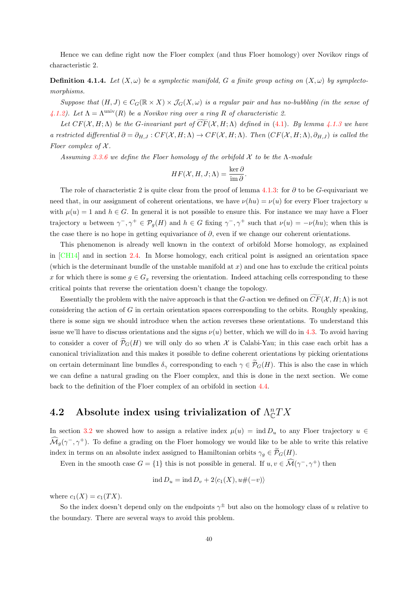Hence we can define right now the Floer complex (and thus Floer homology) over Novikov rings of characteristic 2.

**Definition 4.1.4.** Let  $(X, \omega)$  be a symplectic manifold, G a finite group acting on  $(X, \omega)$  by symplectomorphisms.

Suppose that  $(H, J) \in C_G(\mathbb{R} \times X) \times \mathcal{J}_G(X, \omega)$  is a regular pair and has no-bubbling (in the sense of [4.1.2\)](#page-43-0). Let  $\Lambda = \Lambda^{\text{univ}}(R)$  be a Novikov ring over a ring R of characteristic 2.

Let  $CF(X, H; \Lambda)$  be the G-invariant part of  $\widetilde{CF}(X, H; \Lambda)$  defined in [\(4.1\)](#page-42-0). By lemma [4.1.3](#page-43-1) we have a restricted differential  $\partial = \partial_{H,J} : CF(X,H;\Lambda) \to CF(X,H;\Lambda)$ . Then  $(CF(X,H;\Lambda),\partial_{H,J})$  is called the Floer complex of  $\mathcal X$ .

Assuming [3.3.6](#page-36-0) we define the Floer homology of the orbifold  $\mathcal X$  to be the  $\Lambda$ -module

$$
HF(\mathcal{X}, H, J; \Lambda) = \frac{\ker \partial}{\mathrm{im} \,\partial}.
$$

The role of characteristic 2 is quite clear from the proof of lemma [4.1.3:](#page-43-1) for ∂ to be G-equivariant we need that, in our assignment of coherent orientations, we have  $\nu(hu) = \nu(u)$  for every Floer trajectory u with  $\mu(u) = 1$  and  $h \in G$ . In general it is not possible to ensure this. For instance we may have a Floer trajectory u between  $\gamma^-, \gamma^+ \in \mathcal{P}_g(H)$  and  $h \in G$  fixing  $\gamma^-, \gamma^+$  such that  $\nu(u) = -\nu(hu)$ ; when this is the case there is no hope in getting equivariance of  $\partial$ , even if we change our coherent orientations.

This phenomenon is already well known in the context of orbifold Morse homology, as explained in [\[CH14\]](#page-88-0) and in section [2.4.](#page-17-0) In Morse homology, each critical point is assigned an orientation space (which is the determinant bundle of the unstable manifold at  $x$ ) and one has to exclude the critical points x for which there is some  $g \in G_x$  reversing the orientation. Indeed attaching cells corresponding to these critical points that reverse the orientation doesn't change the topology.

Essentially the problem with the naive approach is that the G-action we defined on  $CF(\mathcal{X}, H; \Lambda)$  is not considering the action of  $G$  in certain orientation spaces corresponding to the orbits. Roughly speaking, there is some sign we should introduce when the action reverses these orientations. To understand this issue we'll have to discuss orientations and the signs  $\nu(u)$  better, which we will do in [4.3.](#page-47-0) To avoid having to consider a cover of  $\tilde{\mathcal{P}}_G(H)$  we will only do so when X is Calabi-Yau; in this case each orbit has a canonical trivialization and this makes it possible to define coherent orientations by picking orientations on certain determinant line bundles  $\delta_{\gamma}$  corresponding to each  $\gamma \in \widetilde{\mathcal{P}}_G(H)$ . This is also the case in which we can define a natural grading on the Floer complex, and this is done in the next section. We come back to the definition of the Floer complex of an orbifold in section [4.4.](#page-51-0)

## <span id="page-44-0"></span>4.2 Absolute index using trivialization of  $\Lambda_{\mathbb{C}}^nTX$

In section [3.2](#page-28-0) we showed how to assign a relative index  $\mu(u) = \text{ind } D_u$  to any Floer trajectory  $u \in$  $\widehat{\mathcal{M}}_g(\gamma^-, \gamma^+)$ . To define a grading on the Floer homology we would like to be able to write this relative index in terms on an absolute index assigned to Hamiltonian orbits  $\gamma_g \in \widetilde{\mathcal{P}}_G(H)$ .

Even in the smooth case  $G = \{1\}$  this is not possible in general. If  $u, v \in \mathcal{M}(\gamma^-, \gamma^+)$  then

$$
ind D_u = ind D_v + 2\langle c_1(X), u\#(-v)\rangle
$$

where  $c_1(X) = c_1(TX)$ .

So the index doesn't depend only on the endpoints  $\gamma^{\pm}$  but also on the homology class of u relative to the boundary. There are several ways to avoid this problem.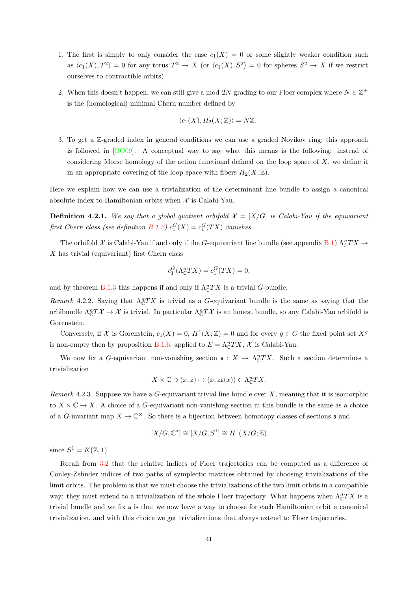- 1. The first is simply to only consider the case  $c_1(X) = 0$  or some slightly weaker condition such as  $\langle c_1(X), T^2 \rangle = 0$  for any torus  $T^2 \to X$  (or  $\langle c_1(X), S^2 \rangle = 0$  for spheres  $S^2 \to X$  if we restrict ourselves to contractible orbits)
- 2. When this doesn't happen, we can still give a mod 2N grading to our Floer complex where  $N \in \mathbb{Z}^+$ is the (homological) minimal Chern number defined by

$$
\langle c_1(X), H_2(X; \mathbb{Z}) \rangle = N \mathbb{Z}.
$$

3. To get a Z-graded index in general conditions we can use a graded Novikov ring; this approach is followed in [\[BO09\]](#page-88-1). A conceptual way to say what this means is the following: instead of considering Morse homology of the action functional defined on the loop space of  $X$ , we define it in an appropriate covering of the loop space with fibers  $H_2(X;\mathbb{Z})$ .

Here we explain how we can use a trivialization of the determinant line bundle to assign a canonical absolute index to Hamiltonian orbits when  $\mathcal X$  is Calabi-Yau.

**Definition 4.2.1.** We say that a global quotient orbifold  $\mathcal{X} = [X/G]$  is Calabi-Yau if the equivariant first Chern class (see definition [B.1.2\)](#page-86-0)  $c_1^G(X) = c_1^G(TX)$  vanishes.

The orbifold X is Calabi-Yau if and only if the G-equivariant line bundle (see appendix [B.1\)](#page-85-0)  $\Lambda_c^nTX \to$ X has trivial (equivariant) first Chern class

$$
c_1^G(\Lambda^n_{\mathbb{C}}TX) = c_1^G(TX) = 0,
$$

and by theorem [B.1.3](#page-86-1) this happens if and only if  $\Lambda_{\mathbb{C}}^{n}TX$  is a trivial G-bundle.

<span id="page-45-1"></span>Remark 4.2.2. Saying that  $\Lambda_{\mathbb{C}}^{n}TX$  is trivial as a G-equivariant bundle is the same as saying that the orbibundle  $\Lambda_{\mathbb{C}}^n T\mathcal{X} \to \mathcal{X}$  is trivial. In particular  $\Lambda_{\mathbb{C}}^n T\mathcal{X}$  is an honest bundle, so any Calabi-Yau orbifold is Gorenstein.

Conversely, if X is Gorenstein,  $c_1(X) = 0$ ,  $H^1(X; \mathbb{Z}) = 0$  and for every  $g \in G$  the fixed point set  $X^g$ is non-empty then by proposition [B.1.6,](#page-87-0) applied to  $E = \Lambda_{\mathbb{C}}^n TX$ , X is Calabi-Yau.

We now fix a G-equivariant non-vanishing section  $\mathfrak{s}: X \to \Lambda^n_{\mathbb{C}}TX$ . Such a section determines a trivialization

$$
X \times \mathbb{C} \ni (x, z) \mapsto (x, z\mathfrak{s}(x)) \in \Lambda_{\mathbb{C}}^n TX.
$$

<span id="page-45-0"></span>Remark 4.2.3. Suppose we have a G-equivariant trivial line bundle over  $X$ , meaning that it is isomorphic to  $X \times \mathbb{C} \to X$ . A choice of a G-equivariant non-vanishing section in this bundle is the same as a choice of a G-invariant map  $X \to \mathbb{C}^{\times}$ . So there is a bijection between homotopy classes of sections  $\mathfrak s$  and

$$
[X/G, \mathbb{C}^*] \cong [X/G, S^1] \cong H^1(X/G; \mathbb{Z})
$$

since  $S^1 = K(\mathbb{Z}, 1)$ .

Recall from [3.2](#page-28-0) that the relative indices of Floer trajectories can be computed as a difference of Conley-Zehnder indices of two paths of symplectic matrices obtained by choosing trivializations of the limit orbits. The problem is that we must choose the trivializations of the two limit orbits in a compatible way: they must extend to a trivialization of the whole Floer trajectory. What happens when  $\Lambda_{\mathbb{C}}^nTX$  is a trivial bundle and we fix s is that we now have a way to choose for each Hamiltonian orbit a canonical trivialization, and with this choice we get trivializations that always extend to Floer trajectories.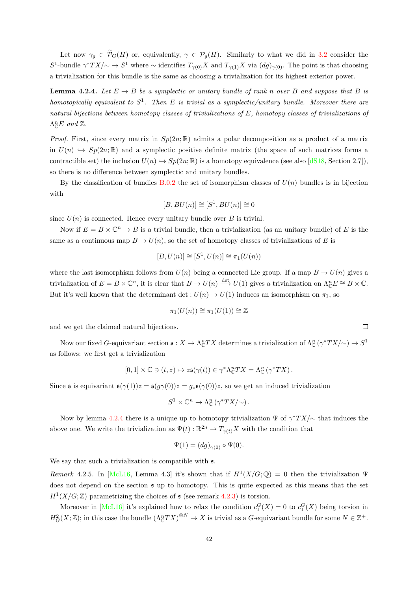Let now  $\gamma_g \in \widetilde{\mathcal{P}}_G(H)$  or, equivalently,  $\gamma \in \mathcal{P}_g(H)$ . Similarly to what we did in [3.2](#page-28-0) consider the S<sup>1</sup>-bundle  $\gamma^*TX/\sim \to S^1$  where  $\sim$  identifies  $T_{\gamma(0)}X$  and  $T_{\gamma(1)}X$  via  $(dg)_{\gamma(0)}$ . The point is that choosing a trivialization for this bundle is the same as choosing a trivialization for its highest exterior power.

<span id="page-46-0"></span>**Lemma 4.2.4.** Let  $E \rightarrow B$  be a symplectic or unitary bundle of rank n over B and suppose that B is homotopically equivalent to  $S^1$ . Then E is trivial as a symplectic/unitary bundle. Moreover there are natural bijections between homotopy classes of trivializations of E, homotopy classes of trivializations of  $\Lambda^n_{\mathbb{C}}E$  and  $\mathbb{Z}$ .

*Proof.* First, since every matrix in  $Sp(2n;\mathbb{R})$  admits a polar decomposition as a product of a matrix in  $U(n) \hookrightarrow Sp(2n;\mathbb{R})$  and a symplectic positive definite matrix (the space of such matrices forms a contractible set) the inclusion  $U(n) \hookrightarrow Sp(2n;\mathbb{R})$  is a homotopy equivalence (see also [\[dS18,](#page-89-3) Section 2.7]), so there is no difference between symplectic and unitary bundles.

By the classification of bundles [B.0.2](#page-84-0) the set of isomorphism classes of  $U(n)$  bundles is in bijection with

$$
[B,BU(n)] \cong [S^1,BU(n)] \cong 0
$$

since  $U(n)$  is connected. Hence every unitary bundle over B is trivial.

Now if  $E = B \times \mathbb{C}^n \to B$  is a trivial bundle, then a trivialization (as an unitary bundle) of E is the same as a continuous map  $B \to U(n)$ , so the set of homotopy classes of trivializations of E is

$$
[B, U(n)] \cong [S^1, U(n)] \cong \pi_1(U(n))
$$

where the last isomorphism follows from  $U(n)$  being a connected Lie group. If a map  $B \to U(n)$  gives a trivialization of  $E = B \times \mathbb{C}^n$ , it is clear that  $B \to U(n) \stackrel{\text{det}}{\longrightarrow} U(1)$  gives a trivialization on  $\Lambda_{\mathbb{C}}^n E \cong B \times \mathbb{C}$ . But it's well known that the determinant det :  $U(n) \to U(1)$  induces an isomorphism on  $\pi_1$ , so

$$
\pi_1(U(n)) \cong \pi_1(U(1)) \cong \mathbb{Z}
$$

and we get the claimed natural bijections.

Now our fixed G-equivariant section  $\mathfrak{s}: X \to \Lambda_{\mathbb{C}}^n TX$  determines a trivialization of  $\Lambda_{\mathbb{C}}^n (\gamma^* TX/\sim) \to S^1$ as follows: we first get a trivialization

$$
[0,1] \times \mathbb{C} \ni (t,z) \mapsto z\mathfrak{s}(\gamma(t)) \in \gamma^* \Lambda_{\mathbb{C}}^n TX = \Lambda_{\mathbb{C}}^n (\gamma^* TX).
$$

Since s is equivariant  $\mathfrak{s}(\gamma(1))z = \mathfrak{s}(g\gamma(0))z = g_*\mathfrak{s}(\gamma(0))z$ , so we get an induced trivialization

$$
S^1 \times \mathbb{C}^n \to \Lambda^n_{\mathbb{C}} (\gamma^* TX/\!\!\sim).
$$

Now by lemma [4.2.4](#page-46-0) there is a unique up to homotopy trivialization  $\Psi$  of  $\gamma^*TX/\sim$  that induces the above one. We write the trivialization as  $\Psi(t): \mathbb{R}^{2n} \to T_{\gamma(t)}X$  with the condition that

$$
\Psi(1) = (dg)_{\gamma(0)} \circ \Psi(0).
$$

We say that such a trivialization is compatible with  $\mathfrak{s}$ .

Remark 4.2.5. In [\[McL16,](#page-90-3) Lemma 4.3] it's shown that if  $H^1(X/G; \mathbb{Q}) = 0$  then the trivialization  $\Psi$ does not depend on the section s up to homotopy. This is quite expected as this means that the set  $H<sup>1</sup>(X/G; \mathbb{Z})$  parametrizing the choices of  $\mathfrak s$  (see remark [4.2.3\)](#page-45-0) is torsion.

Moreover in [\[McL16\]](#page-90-3) it's explained how to relax the condition  $c_1^G(X) = 0$  to  $c_1^G(X)$  being torsion in  $H^2_G(X;\mathbb{Z})$ ; in this case the bundle  $(\Lambda^n_{\mathbb{C}}TX)^{\otimes N} \to X$  is trivial as a G-equivariant bundle for some  $N \in \mathbb{Z}^+$ .

 $\Box$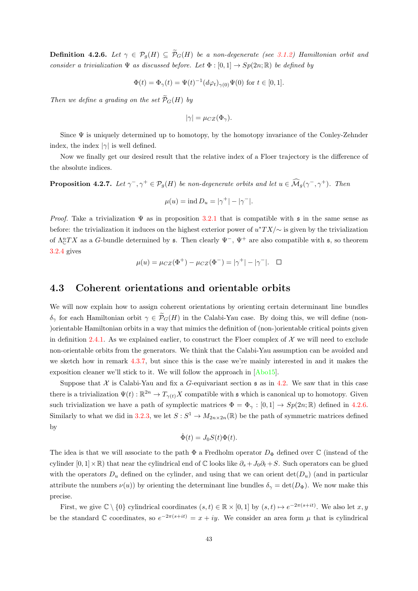<span id="page-47-1"></span>**Definition 4.2.6.** Let  $\gamma \in \mathcal{P}_q(H) \subseteq \widetilde{\mathcal{P}}_G(H)$  be a non-degenerate (see [3.1.2\)](#page-26-0) Hamiltonian orbit and consider a trivialization  $\Psi$  as discussed before. Let  $\Phi : [0,1] \to Sp(2n;\mathbb{R})$  be defined by

$$
\Phi(t) = \Phi_{\gamma}(t) = \Psi(t)^{-1} (d\varphi_t)_{\gamma(0)} \Psi(0) \text{ for } t \in [0, 1].
$$

Then we define a grading on the set  $\widetilde{\mathcal{P}}_G(H)$  by

$$
|\gamma| = \mu_{CZ}(\Phi_{\gamma}).
$$

Since  $\Psi$  is uniquely determined up to homotopy, by the homotopy invariance of the Conley-Zehnder index, the index  $|\gamma|$  is well defined.

Now we finally get our desired result that the relative index of a Floer trajectory is the difference of the absolute indices.

<span id="page-47-2"></span>**Proposition 4.2.7.** Let  $\gamma^-$ ,  $\gamma^+ \in \mathcal{P}_g(H)$  be non-degenerate orbits and let  $u \in \widehat{\mathcal{M}}_g(\gamma^-,\gamma^+)$ . Then

$$
\mu(u) = \text{ind } D_u = |\gamma^+| - |\gamma^-|.
$$

*Proof.* Take a trivialization  $\Psi$  as in proposition [3.2.1](#page-28-1) that is compatible with  $\mathfrak s$  in the same sense as before: the trivialization it induces on the highest exterior power of  $u^*TX/\sim$  is given by the trivialization of  $\Lambda_{\mathbb{C}}^nTX$  as a G-bundle determined by  $\mathfrak{s}$ . Then clearly  $\Psi^-$ ,  $\Psi^+$  are also compatible with  $\mathfrak{s}$ , so theorem [3.2.4](#page-30-0) gives

$$
\mu(u) = \mu_{CZ}(\Phi^+) - \mu_{CZ}(\Phi^-) = |\gamma^+| - |\gamma^-|. \quad \Box
$$

#### <span id="page-47-0"></span>4.3 Coherent orientations and orientable orbits

We will now explain how to assign coherent orientations by orienting certain determinant line bundles  $\delta_{\gamma}$  for each Hamiltonian orbit  $\gamma \in \tilde{\mathcal{P}}_G(H)$  in the Calabi-Yau case. By doing this, we will define (non-)orientable Hamiltonian orbits in a way that mimics the definition of (non-)orientable critical points given in definition [2.4.1.](#page-18-0) As we explained earlier, to construct the Floer complex of  $\mathcal X$  we will need to exclude non-orientable orbits from the generators. We think that the Calabi-Yau assumption can be avoided and we sketch how in remark [4.3.7,](#page-50-0) but since this is the case we're mainly interested in and it makes the exposition cleaner we'll stick to it. We will follow the approach in [\[Abo15\]](#page-88-2).

Suppose that X is Calabi-Yau and fix a G-equivariant section  $\mathfrak s$  as in [4.2.](#page-44-0) We saw that in this case there is a trivialization  $\Psi(t): \mathbb{R}^{2n} \to T_{\gamma(t)}X$  compatible with s which is canonical up to homotopy. Given such trivialization we have a path of symplectic matrices  $\Phi = \Phi_{\gamma} : [0, 1] \to Sp(2n; \mathbb{R})$  defined in [4.2.6.](#page-47-1) Similarly to what we did in [3.2.3,](#page-30-1) we let  $S: S^1 \to M_{2n \times 2n}(\mathbb{R})$  be the path of symmetric matrices defined by

$$
\dot{\Phi}(t) = J_0 S(t) \Phi(t).
$$

The idea is that we will associate to the path  $\Phi$  a Fredholm operator  $D_{\Phi}$  defined over C (instead of the cylinder  $[0,1]\times\mathbb{R}$ ) that near the cylindrical end of C looks like  $\partial_s + J_0\partial_t + S$ . Such operators can be glued with the operators  $D_u$  defined on the cylinder, and using that we can orient  $\det(D_u)$  (and in particular attribute the numbers  $\nu(u)$  by orienting the determinant line bundles  $\delta_{\gamma} = \det(D_{\Phi})$ . We now make this precise.

First, we give  $\mathbb{C} \setminus \{0\}$  cylindrical coordinates  $(s,t) \in \mathbb{R} \times [0,1]$  by  $(s,t) \mapsto e^{-2\pi(s+it)}$ . We also let  $x, y$ be the standard C coordinates, so  $e^{-2\pi(s+it)} = x + iy$ . We consider an area form  $\mu$  that is cylindrical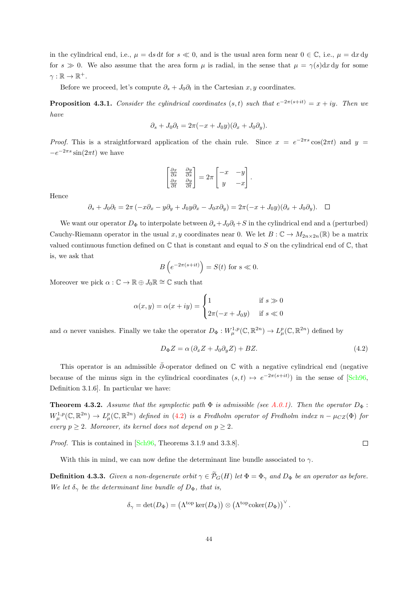in the cylindrical end, i.e.,  $\mu = ds dt$  for  $s \ll 0$ , and is the usual area form near  $0 \in \mathbb{C}$ , i.e.,  $\mu = dx dy$ for  $s \gg 0$ . We also assume that the area form  $\mu$  is radial, in the sense that  $\mu = \gamma(s)dx dy$  for some  $\gamma : \mathbb{R} \to \mathbb{R}^+.$ 

Before we proceed, let's compute  $\partial_s + J_0 \partial_t$  in the Cartesian x, y coordinates.

**Proposition 4.3.1.** Consider the cylindrical coordinates  $(s,t)$  such that  $e^{-2\pi(s+it)} = x + iy$ . Then we have

$$
\partial_s + J_0 \partial_t = 2\pi(-x + J_0 y)(\partial_x + J_0 \partial_y).
$$

*Proof.* This is a straightforward application of the chain rule. Since  $x = e^{-2\pi s} \cos(2\pi t)$  and  $y =$  $-e^{-2\pi s}\sin(2\pi t)$  we have

$$
\begin{bmatrix}\n\frac{\partial x}{\partial s} & \frac{\partial y}{\partial s} \\
\frac{\partial x}{\partial t} & \frac{\partial y}{\partial t}\n\end{bmatrix} = 2\pi \begin{bmatrix}\n-x & -y \\
y & -x\n\end{bmatrix}.
$$

Hence

$$
\partial_s + J_0 \partial_t = 2\pi \left( -x\partial_x - y\partial_y + J_0 y \partial_x - J_0 x \partial_y \right) = 2\pi \left( -x + J_0 y \right) \left( \partial_x + J_0 \partial_y \right). \quad \Box
$$

We want our operator  $D_{\Phi}$  to interpolate between  $\partial_s + J_0 \partial_t + S$  in the cylindrical end and a (perturbed) Cauchy-Riemann operator in the usual x, y coordinates near 0. We let  $B: \mathbb{C} \to M_{2n \times 2n}(\mathbb{R})$  be a matrix valued continuous function defined on  $\mathbb C$  that is constant and equal to S on the cylindrical end of  $\mathbb C$ , that is, we ask that

$$
B\left(e^{-2\pi(s+it)}\right) = S(t) \text{ for } s \ll 0.
$$

Moreover we pick  $\alpha : \mathbb{C} \to \mathbb{R} \oplus J_0\mathbb{R} \cong \mathbb{C}$  such that

$$
\alpha(x, y) = \alpha(x + iy) = \begin{cases} 1 & \text{if } s \gg 0 \\ 2\pi(-x + J_0y) & \text{if } s \ll 0 \end{cases}
$$

and  $\alpha$  never vanishes. Finally we take the operator  $D_{\Phi}: W^{1,p}_{\mu}(\mathbb{C}, \mathbb{R}^{2n}) \to L^p_{\mu}(\mathbb{C}, \mathbb{R}^{2n})$  defined by

<span id="page-48-0"></span>
$$
D_{\Phi}Z = \alpha \left(\partial_x Z + J_0 \partial_y Z\right) + BZ. \tag{4.2}
$$

This operator is an admissible  $\bar{\partial}$ -operator defined on  $\mathbb C$  with a negative cylindrical end (negative because of the minus sign in the cylindrical coordinates  $(s,t) \mapsto e^{-2\pi(s+it)}$  in the sense of [\[Sch96,](#page-91-3) Definition 3.1.6]. In particular we have:

**Theorem 4.3.2.** Assume that the symplectic path  $\Phi$  is admissible (see [A.0.1\)](#page-82-0). Then the operator  $D_{\Phi}$ :  $W^{1,p}_\mu(\mathbb{C},\mathbb{R}^{2n}) \to L^p_\mu(\mathbb{C},\mathbb{R}^{2n})$  defined in [\(4.2\)](#page-48-0) is a Fredholm operator of Fredholm index  $n-\mu_{CZ}(\Phi)$  for every  $p > 2$ . Moreover, its kernel does not depend on  $p > 2$ .

Proof. This is contained in [\[Sch96,](#page-91-3) Theorems 3.1.9 and 3.3.8].

With this in mind, we can now define the determinant line bundle associated to  $\gamma$ .

**Definition 4.3.3.** Given a non-degenerate orbit  $\gamma \in \widetilde{\mathcal{P}}_G(H)$  let  $\Phi = \Phi_{\gamma}$  and  $D_{\Phi}$  be an operator as before. We let  $\delta_{\gamma}$  be the determinant line bundle of  $D_{\Phi}$ , that is,

$$
\delta_{\gamma} = \det(D_{\Phi}) = (\Lambda^{\text{top}} \ker(D_{\Phi})) \otimes (\Lambda^{\text{top}} \text{coker}(D_{\Phi}))^{\vee}.
$$

 $\Box$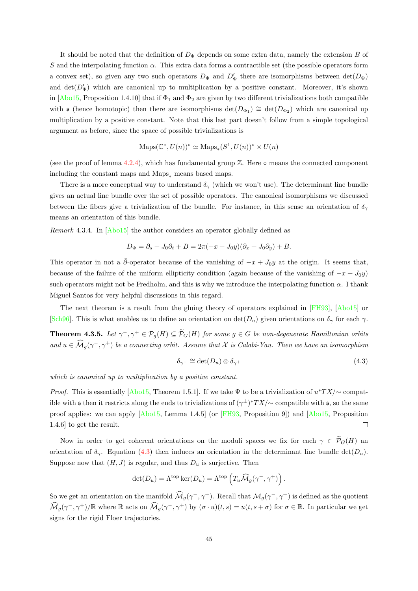It should be noted that the definition of  $D_{\Phi}$  depends on some extra data, namely the extension B of S and the interpolating function  $\alpha$ . This extra data forms a contractible set (the possible operators form a convex set), so given any two such operators  $D_{\Phi}$  and  $D'_{\Phi}$  there are isomorphisms between  $det(D_{\Phi})$ and  $\det(D'_\Phi)$  which are canonical up to multiplication by a positive constant. Moreover, it's shown in  $[Ab015,$  Proposition 1.4.10] that if  $\Phi_1$  and  $\Phi_2$  are given by two different trivializations both compatible with  $\mathfrak s$  (hence homotopic) then there are isomorphisms  $\det(D_{\Phi_1}) \cong \det(D_{\Phi_2})$  which are canonical up multiplication by a positive constant. Note that this last part doesn't follow from a simple topological argument as before, since the space of possible trivializations is

$$
Maps(\mathbb{C}^*, U(n))^{\circ} \simeq Maps_*(S^1, U(n))^{\circ} \times U(n)
$$

(see the proof of lemma [4.2.4\)](#page-46-0), which has fundamental group  $\mathbb Z$ . Here  $\circ$  means the connected component including the constant maps and  $Maps_*$  means based maps.

There is a more conceptual way to understand  $\delta_{\gamma}$  (which we won't use). The determinant line bundle gives an actual line bundle over the set of possible operators. The canonical isomorphisms we discussed between the fibers give a trivialization of the bundle. For instance, in this sense an orientation of  $\delta_{\gamma}$ means an orientation of this bundle.

Remark 4.3.4. In [\[Abo15\]](#page-88-2) the author considers an operator globally defined as

$$
D_{\Phi} = \partial_s + J_0 \partial_t + B = 2\pi(-x + J_0 y)(\partial_x + J_0 \partial_y) + B.
$$

This operator in not a  $\bar{\partial}$ -operator because of the vanishing of  $-x + J_0y$  at the origin. It seems that, because of the failure of the uniform ellipticity condition (again because of the vanishing of  $-x + J_0y$ ) such operators might not be Fredholm, and this is why we introduce the interpolating function  $\alpha$ . I thank Miguel Santos for very helpful discussions in this regard.

The next theorem is a result from the gluing theory of operators explained in [\[FH93\]](#page-89-0), [\[Abo15\]](#page-88-2) or [\[Sch96\]](#page-91-3). This is what enables us to define an orientation on  $\det(D_u)$  given orientations on  $\delta_{\gamma}$  for each  $\gamma$ .

<span id="page-49-1"></span>**Theorem 4.3.5.** Let  $\gamma^-$ ,  $\gamma^+ \in \mathcal{P}_g(H) \subseteq \widetilde{\mathcal{P}}_G(H)$  for some  $g \in G$  be non-degenerate Hamiltonian orbits and  $u \in \widehat{\mathcal{M}}_g(\gamma^-, \gamma^+)$  be a connecting orbit. Assume that  $\mathcal X$  is Calabi-Yau. Then we have an isomorphism

<span id="page-49-0"></span>
$$
\delta_{\gamma^-} \cong \det(D_u) \otimes \delta_{\gamma^+} \tag{4.3}
$$

which is canonical up to multiplication by a positive constant.

*Proof.* This is essentially [\[Abo15,](#page-88-2) Theorem 1.5.1]. If we take  $\Psi$  to be a trivialization of  $u^*TX/\sim$  compatible with s then it restricts along the ends to trivializations of  $(\gamma^{\pm})^*TX/\sim$  compatible with s, so the same proof applies: we can apply [\[Abo15,](#page-88-2) Lemma 1.4.5] (or [\[FH93,](#page-89-0) Proposition 9]) and [\[Abo15,](#page-88-2) Proposition 1.4.6] to get the result.  $\Box$ 

Now in order to get coherent orientations on the moduli spaces we fix for each  $\gamma \in \widetilde{\mathcal{P}}_G(H)$  and orientation of  $\delta_{\gamma}$ . Equation [\(4.3\)](#page-49-0) then induces an orientation in the determinant line bundle det( $D_u$ ). Suppose now that  $(H, J)$  is regular, and thus  $D_u$  is surjective. Then

$$
\det(D_u) = \Lambda^{\text{top}} \ker(D_u) = \Lambda^{\text{top}} \left( T_u \widehat{\mathcal{M}}_g(\gamma^-, \gamma^+) \right).
$$

So we get an orientation on the manifold  $\widehat{\mathcal{M}}_g(\gamma^-, \gamma^+)$ . Recall that  $\mathcal{M}_g(\gamma^-, \gamma^+)$  is defined as the quotient  $\widehat{\mathcal{M}}_g(\gamma^-, \gamma^+) / \mathbb{R}$  where  $\mathbb R$  acts on  $\widehat{\mathcal{M}}_g(\gamma^-, \gamma^+)$  by  $(\sigma \cdot u)(t, s) = u(t, s + \sigma)$  for  $\sigma \in \mathbb{R}$ . In particular we get signs for the rigid Floer trajectories.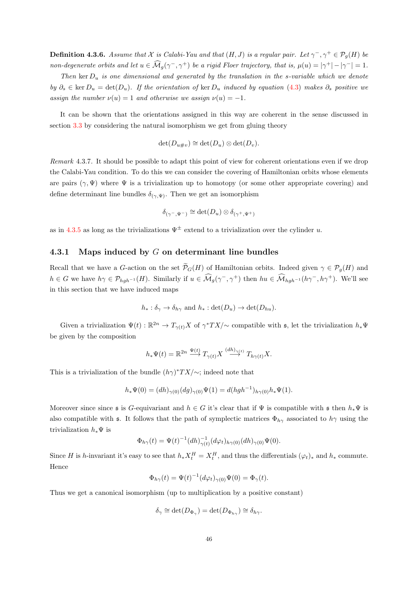<span id="page-50-1"></span>**Definition 4.3.6.** Assume that X is Calabi-Yau and that  $(H, J)$  is a regular pair. Let  $\gamma^-$ ,  $\gamma^+ \in \mathcal{P}_g(H)$  be non-degenerate orbits and let  $u \in \widehat{\mathcal{M}}_g(\gamma^-, \gamma^+)$  be a rigid Floer trajectory, that is,  $\mu(u) = |\gamma^+| - |\gamma^-| = 1$ .

Then ker  $D_u$  is one dimensional and generated by the translation in the s-variable which we denote by  $\partial_s \in \text{ker } D_u = \text{det}(D_u)$ . If the orientation of  $\text{ker } D_u$  induced by equation [\(4.3\)](#page-49-0) makes  $\partial_s$  positive we assign the number  $\nu(u) = 1$  and otherwise we assign  $\nu(u) = -1$ .

It can be shown that the orientations assigned in this way are coherent in the sense discussed in section [3.3](#page-32-1) by considering the natural isomorphism we get from gluing theory

$$
\det(D_{u\#v}) \cong \det(D_u) \otimes \det(D_v).
$$

<span id="page-50-0"></span>Remark 4.3.7. It should be possible to adapt this point of view for coherent orientations even if we drop the Calabi-Yau condition. To do this we can consider the covering of Hamiltonian orbits whose elements are pairs  $(\gamma, \Psi)$  where  $\Psi$  is a trivialization up to homotopy (or some other appropriate covering) and define determinant line bundles  $\delta_{(\gamma,\Psi)}$ . Then we get an isomorphism

$$
\delta_{(\gamma^-, \Psi^-)} \cong \det(D_u) \otimes \delta_{(\gamma^+, \Psi^+)}
$$

as in [4.3.5](#page-49-1) as long as the trivializations  $\Psi^{\pm}$  extend to a trivialization over the cylinder u.

#### 4.3.1 Maps induced by  $G$  on determinant line bundles

Recall that we have a G-action on the set  $\widetilde{\mathcal{P}}_G(H)$  of Hamiltonian orbits. Indeed given  $\gamma \in \mathcal{P}_q(H)$  and  $h \in G$  we have  $h\gamma \in \mathcal{P}_{hgh^{-1}}(H)$ . Similarly if  $u \in \widehat{\mathcal{M}}_g(\gamma^-, \gamma^+)$  then  $hu \in \widehat{\mathcal{M}}_{hgh^{-1}}(h\gamma^-, h\gamma^+)$ . We'll see in this section that we have induced maps

$$
h_* : \delta_{\gamma} \to \delta_{h_{\gamma}}
$$
 and  $h_* : \det(D_u) \to \det(D_{hu}).$ 

Given a trivialization  $\Psi(t): \mathbb{R}^{2n} \to T_{\gamma(t)}X$  of  $\gamma^*TX/\sim$  compatible with  $\mathfrak{s}$ , let the trivialization  $h_*\Psi$ be given by the composition

$$
h_*\Psi(t) = \mathbb{R}^{2n} \xrightarrow{\Psi(t)} T_{\gamma(t)} X \xrightarrow{(dh)_{\gamma(t)}} T_{h\gamma(t)} X.
$$

This is a trivialization of the bundle  $(h\gamma)^*TX/\sim$ ; indeed note that

$$
h_*\Psi(0) = (dh)_{\gamma(0)}(dg)_{\gamma(0)}\Psi(1) = d(hgh^{-1})_{h\gamma(0)}h_*\Psi(1).
$$

Moreover since since s is G-equivariant and  $h \in G$  it's clear that if  $\Psi$  is compatible with s then  $h_*\Psi$  is also compatible with s. It follows that the path of symplectic matrices  $\Phi_{h\gamma}$  associated to  $h\gamma$  using the trivialization  $h_* \Psi$  is

$$
\Phi_{h\gamma}(t) = \Psi(t)^{-1} (dh)_{\gamma(t)}^{-1} (d\varphi_t)_{h\gamma(0)} (dh)_{\gamma(0)} \Psi(0).
$$

Since H is h-invariant it's easy to see that  $h_* X_t^H = X_t^H$ , and thus the differentials  $(\varphi_t)_*$  and  $h_*$  commute. Hence

$$
\Phi_{h\gamma}(t) = \Psi(t)^{-1} (d\varphi_t)_{\gamma(0)} \Psi(0) = \Phi_{\gamma}(t).
$$

Thus we get a canonical isomorphism (up to multiplication by a positive constant)

$$
\delta_{\gamma} \cong \det(D_{\Phi_{\gamma}}) = \det(D_{\Phi_{h_{\gamma}}}) \cong \delta_{h_{\gamma}}.
$$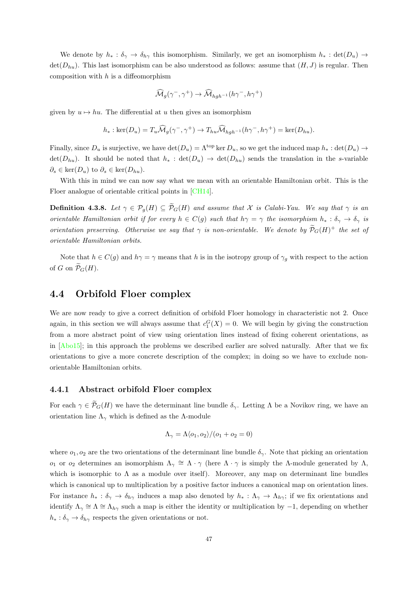We denote by  $h_* : \delta_{\gamma} \to \delta_{h\gamma}$  this isomorphism. Similarly, we get an isomorphism  $h_* : \det(D_u) \to$  $\det(D_{hu})$ . This last isomorphism can be also understood as follows: assume that  $(H, J)$  is regular. Then composition with  $h$  is a diffeomorphism

$$
\widehat{\mathcal{M}}_g(\gamma^-,\gamma^+) \to \widehat{\mathcal{M}}_{hgh^{-1}}(h\gamma^-,h\gamma^+)
$$

given by  $u \mapsto hu$ . The differential at u then gives an isomorphism

$$
h_*: \ker(D_u) = T_u \widehat{\mathcal{M}}_g(\gamma^-, \gamma^+) \to T_{hu} \widehat{\mathcal{M}}_{hgh^{-1}}(h\gamma^-, h\gamma^+) = \ker(D_{hu}).
$$

Finally, since  $D_u$  is surjective, we have  $\det(D_u) = \Lambda^{\text{top}} \ker D_u$ , so we get the induced map  $h_* : \det(D_u) \to$  $\det(D_{hu})$ . It should be noted that  $h_*$ :  $\det(D_u) \to \det(D_{hu})$  sends the translation in the s-variable  $\partial_s \in \ker(D_u)$  to  $\partial_s \in \ker(D_{hu})$ .

With this in mind we can now say what we mean with an orientable Hamiltonian orbit. This is the Floer analogue of orientable critical points in [\[CH14\]](#page-88-0).

<span id="page-51-1"></span>**Definition 4.3.8.** Let  $\gamma \in \mathcal{P}_q(H) \subseteq \widetilde{\mathcal{P}}_G(H)$  and assume that X is Calabi-Yau. We say that  $\gamma$  is an orientable Hamiltonian orbit if for every  $h \in C(g)$  such that  $h\gamma = \gamma$  the isomorphism  $h_* : \delta_{\gamma} \to \delta_{\gamma}$  is orientation preserving. Otherwise we say that  $\gamma$  is non-orientable. We denote by  $\widetilde{\mathcal{P}}_G(H)^+$  the set of orientable Hamiltonian orbits.

Note that  $h \in C(g)$  and  $h\gamma = \gamma$  means that h is in the isotropy group of  $\gamma_q$  with respect to the action of G on  $\widetilde{\mathcal{P}}_G(H)$ .

#### <span id="page-51-0"></span>4.4 Orbifold Floer complex

We are now ready to give a correct definition of orbifold Floer homology in characteristic not 2. Once again, in this section we will always assume that  $c_1^G(X) = 0$ . We will begin by giving the construction from a more abstract point of view using orientation lines instead of fixing coherent orientations, as in [\[Abo15\]](#page-88-2); in this approach the problems we described earlier are solved naturally. After that we fix orientations to give a more concrete description of the complex; in doing so we have to exclude nonorientable Hamiltonian orbits.

#### 4.4.1 Abstract orbifold Floer complex

For each  $\gamma \in \mathcal{P}_G(H)$  we have the determinant line bundle  $\delta_{\gamma}$ . Letting  $\Lambda$  be a Novikov ring, we have an orientation line  $\Lambda_{\gamma}$  which is defined as the Λ-module

$$
\Lambda_{\gamma} = \Lambda \langle o_1, o_2 \rangle / (o_1 + o_2 = 0)
$$

where  $o_1, o_2$  are the two orientations of the determinant line bundle  $\delta_{\gamma}$ . Note that picking an orientation  $o_1$  or  $o_2$  determines an isomorphism  $\Lambda_\gamma \cong \Lambda \cdot \gamma$  (here  $\Lambda \cdot \gamma$  is simply the Λ-module generated by Λ, which is isomorphic to  $\Lambda$  as a module over itself). Moreover, any map on determinant line bundles which is canonical up to multiplication by a positive factor induces a canonical map on orientation lines. For instance  $h_* : \delta_{\gamma} \to \delta_{h\gamma}$  induces a map also denoted by  $h_* : \Lambda_{\gamma} \to \Lambda_{h\gamma}$ ; if we fix orientations and identify  $\Lambda_{\gamma} \cong \Lambda \cong \Lambda_{h\gamma}$  such a map is either the identity or multiplication by  $-1$ , depending on whether  $h_* : \delta_{\gamma} \to \delta_{h_{\gamma}}$  respects the given orientations or not.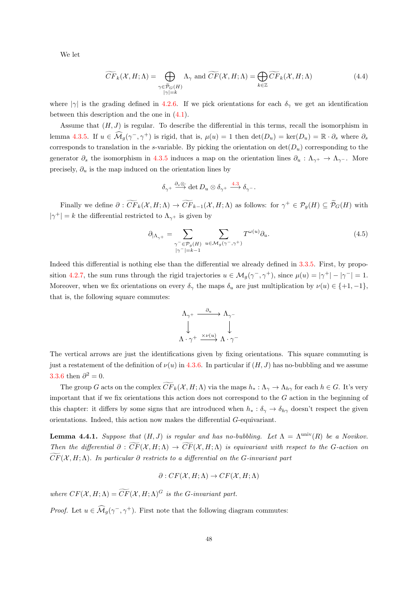We let

<span id="page-52-0"></span>
$$
\widetilde{CF}_k(\mathcal{X}, H; \Lambda) = \bigoplus_{\substack{\gamma \in \widetilde{\mathcal{P}}_G(H) \\ |\gamma| = k}} \Lambda_\gamma \text{ and } \widetilde{CF}(\mathcal{X}, H; \Lambda) = \bigoplus_{k \in \mathbb{Z}} \widetilde{CF}_k(\mathcal{X}, H; \Lambda)
$$
\n(4.4)

where  $|\gamma|$  is the grading defined in [4.2.6.](#page-47-1) If we pick orientations for each  $\delta_{\gamma}$  we get an identification between this description and the one in [\(4.1\)](#page-42-0).

Assume that  $(H, J)$  is regular. To describe the differential in this terms, recall the isomorphism in lemma [4.3.5.](#page-49-1) If  $u \in \widehat{\mathcal{M}}_g(\gamma^-, \gamma^+)$  is rigid, that is,  $\mu(u) = 1$  then  $\det(D_u) = \ker(D_u) = \mathbb{R} \cdot \partial_s$  where  $\partial_s$ corresponds to translation in the s-variable. By picking the orientation on  $\det(D_u)$  corresponding to the generator  $\partial_s$  the isomorphism in [4.3.5](#page-49-1) induces a map on the orientation lines  $\partial_u : \Lambda_{\gamma^+} \to \Lambda_{\gamma^-}$ . More precisely,  $\partial_u$  is the map induced on the orientation lines by

$$
\delta_{\gamma^+}\stackrel{\partial_s\otimes\cdot}{\longrightarrow}\det D_u\otimes\delta_{\gamma^+}\stackrel{4.3}{\longrightarrow}\delta_{\gamma^-}.
$$

Finally we define  $\partial : \widetilde{CF}_k(\mathcal{X}, H; \Lambda) \to \widetilde{CF}_{k-1}(\mathcal{X}, H; \Lambda)$  as follows: for  $\gamma^+ \in \mathcal{P}_g(H) \subseteq \widetilde{\mathcal{P}}_G(H)$  with  $|\gamma^+| = k$  the differential restricted to  $\Lambda_{\gamma^+}$  is given by

$$
\partial_{|\Lambda_{\gamma^+}} = \sum_{\substack{\gamma^- \in \mathcal{P}_g(H) \\ |\gamma^-| = k-1}} \sum_{u \in \mathcal{M}_g(\gamma^-,\gamma^+)} T^{\omega(u)} \partial_u.
$$
\n(4.5)

Indeed this differential is nothing else than the differential we already defined in [3.3.5.](#page-35-1) First, by propo-sition [4.2.7,](#page-47-2) the sum runs through the rigid trajectories  $u \in \mathcal{M}_g(\gamma^-, \gamma^+)$ , since  $\mu(u) = |\gamma^+| - |\gamma^-| = 1$ . Moreover, when we fix orientations on every  $\delta_{\gamma}$  the maps  $\delta_u$  are just multiplication by  $\nu(u) \in \{+1, -1\}$ , that is, the following square commutes:

$$
\begin{array}{ccc}\n\Lambda_{\gamma^+} & \xrightarrow{\partial_u} & \Lambda_{\gamma^-} \\
\downarrow & & \downarrow \\
\Lambda \cdot \gamma^+ & \xrightarrow{\times \nu(u)} & \Lambda \cdot \gamma^- \n\end{array}
$$

The vertical arrows are just the identifications given by fixing orientations. This square commuting is just a restatement of the definition of  $\nu(u)$  in [4.3.6.](#page-50-1) In particular if  $(H, J)$  has no-bubbling and we assume [3.3.6](#page-36-0) then  $\partial^2 = 0$ .

The group G acts on the complex  $\widetilde{CF}_k(\mathcal{X}, H; \Lambda)$  via the maps  $h_* : \Lambda_\gamma \to \Lambda_{h\gamma}$  for each  $h \in G$ . It's very important that if we fix orientations this action does not correspond to the  $G$  action in the beginning of this chapter: it differs by some signs that are introduced when  $h_* : \delta_{\gamma} \to \delta_{h_{\gamma}}$  doesn't respect the given orientations. Indeed, this action now makes the differential G-equivariant.

<span id="page-52-1"></span>**Lemma 4.4.1.** Suppose that  $(H, J)$  is regular and has no-bubbling. Let  $\Lambda = \Lambda^{\text{univ}}(R)$  be a Novikov. Then the differential  $\partial : \widetilde{CF}(X, H; \Lambda) \to \widetilde{CF}(X, H; \Lambda)$  is equivariant with respect to the G-action on  $\widetilde{CF}(X, H; \Lambda)$ . In particular  $\partial$  restricts to a differential on the G-invariant part

$$
\partial: CF(X, H; \Lambda) \to CF(X, H; \Lambda)
$$

where  $CF(X, H; \Lambda) = \widetilde{CF}(X, H; \Lambda)^G$  is the G-invariant part.

*Proof.* Let  $u \in \widehat{\mathcal{M}}_g(\gamma^-, \gamma^+)$ . First note that the following diagram commutes: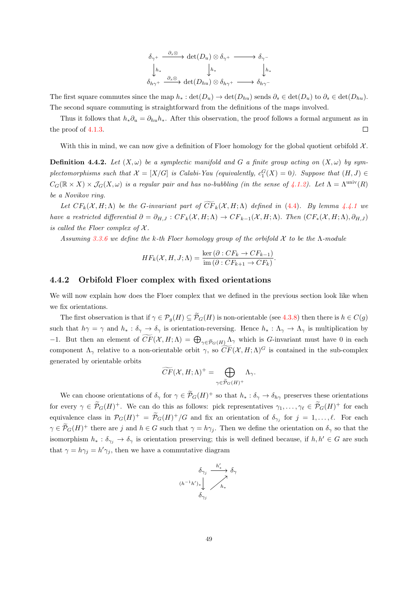$$
\begin{array}{ccc}\n\delta_{\gamma^+} & \xrightarrow{\partial_s \otimes} & \det(D_u) \otimes \delta_{\gamma^+} & \longrightarrow & \delta_{\gamma^-} \\
\downarrow h_* & & \downarrow h_* & & \downarrow h_* \\
\delta_{h\gamma^+} & \xrightarrow{\partial_s \otimes} & \det(D_{hu}) \otimes \delta_{h\gamma^+} & \longrightarrow & \delta_{h\gamma^-}\n\end{array}
$$

The first square commutes since the map  $h_* : \det(D_u) \to \det(D_{hu})$  sends  $\partial_s \in \det(D_u)$  to  $\partial_s \in \det(D_{hu})$ . The second square commuting is straightforward from the definitions of the maps involved.

Thus it follows that  $h_*\partial_u = \partial_{hu}h_*$ . After this observation, the proof follows a formal argument as in the proof of [4.1.3.](#page-43-1)  $\Box$ 

With this in mind, we can now give a definition of Floer homology for the global quotient orbifold  $\mathcal{X}$ .

**Definition 4.4.2.** Let  $(X, \omega)$  be a symplectic manifold and G a finite group acting on  $(X, \omega)$  by symplectomorphisms such that  $\mathcal{X} = [X/G]$  is Calabi-Yau (equivalently,  $c_1^G(X) = 0$ ). Suppose that  $(H, J) \in$  $C_G(\mathbb{R} \times X) \times \mathcal{J}_G(X,\omega)$  is a regular pair and has no-bubbling (in the sense of [4.1.2\)](#page-43-0). Let  $\Lambda = \Lambda^{\text{univ}}(R)$ be a Novikov ring.

Let  $CF_k(\mathcal{X}, H; \Lambda)$  be the G-invariant part of  $\widetilde{CF}_k(\mathcal{X}, H; \Lambda)$  defined in [\(4.4\)](#page-52-0). By lemma [4.4.1](#page-52-1) we have a restricted differential  $\partial = \partial_{H,J} : CF_k(\mathcal{X}, H; \Lambda) \to CF_{k-1}(\mathcal{X}, H; \Lambda)$ . Then  $(CF_*(\mathcal{X}, H; \Lambda), \partial_{H,J})$ is called the Floer complex of  $\mathcal X$ .

Assuming [3.3.6](#page-36-0) we define the k-th Floer homology group of the orbifold X to be the  $\Lambda$ -module

$$
HF_k(\mathcal{X}, H, J; \Lambda) = \frac{\ker (\partial : CF_k \to CF_{k-1})}{\mathrm{im}(\partial : CF_{k+1} \to CF_k)}.
$$

#### 4.4.2 Orbifold Floer complex with fixed orientations

We will now explain how does the Floer complex that we defined in the previous section look like when we fix orientations.

The first observation is that if  $\gamma \in \mathcal{P}_g(H) \subseteq \widetilde{\mathcal{P}}_G(H)$  is non-orientable (see [4.3.8\)](#page-51-1) then there is  $h \in C(g)$ such that  $h\gamma = \gamma$  and  $h_* : \delta_{\gamma} \to \delta_{\gamma}$  is orientation-reversing. Hence  $h_* : \Lambda_{\gamma} \to \Lambda_{\gamma}$  is multiplication by  $-1$ . But then an element of  $CF(X, H; \Lambda) = \bigoplus_{\gamma \in \widetilde{P}_G(H)} \Lambda_{\gamma}$  which is *G*-invariant must have 0 in each component  $\Lambda_{\gamma}$  relative to a non-orientable orbit  $\gamma$ , so  $\widetilde{CF}(\mathcal{X}, H; \Lambda)^G$  is contained in the sub-complex generated by orientable orbits

$$
\widetilde{CF}(\mathcal{X}, H; \Lambda)^{+} = \bigoplus_{\gamma \in \widetilde{\mathcal{P}}_{G}(H)^{+}} \Lambda_{\gamma}.
$$

We can choose orientations of  $\delta_{\gamma}$  for  $\gamma \in \tilde{\mathcal{P}}_G(H)^+$  so that  $h_* : \delta_{\gamma} \to \delta_{h_{\gamma}}$  preserves these orientations for every  $\gamma \in \widetilde{\mathcal{P}}_G(H)^+$ . We can do this as follows: pick representatives  $\gamma_1, \ldots, \gamma_\ell \in \widetilde{\mathcal{P}}_G(H)^+$  for each equivalence class in  $\mathcal{P}_G(H)^+ = \tilde{\mathcal{P}}_G(H)^+/G$  and fix an orientation of  $\delta_{\gamma_j}$  for  $j = 1, \ldots, \ell$ . For each  $\gamma \in \tilde{\mathcal{P}}_G(H)^+$  there are j and  $h \in G$  such that  $\gamma = h\gamma_j$ . Then we define the orientation on  $\delta_{\gamma}$  so that the isomorphism  $h_* : \delta_{\gamma_i} \to \delta_{\gamma}$  is orientation preserving; this is well defined because, if  $h, h' \in G$  are such that  $\gamma = h\gamma_j = h'\gamma_j$ , then we have a commutative diagram

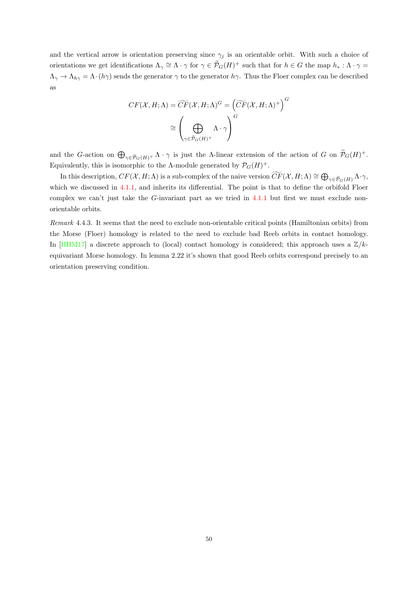and the vertical arrow is orientation preserving since  $\gamma_j$  is an orientable orbit. With such a choice of orientations we get identifications  $\Lambda_{\gamma} \cong \Lambda \cdot \gamma$  for  $\gamma \in \widetilde{\mathcal{P}}_G(H)^+$  such that for  $h \in G$  the map  $h_* : \Lambda \cdot \gamma =$  $\Lambda_{\gamma} \to \Lambda_{h\gamma} = \Lambda \cdot (h\gamma)$  sends the generator  $\gamma$  to the generator  $h\gamma$ . Thus the Floer complex can be described as

$$
CF(X, H; \Lambda) = \widetilde{CF}(X, H; \Lambda)^G = \left(\widetilde{CF}(X, H; \Lambda)^+\right)^G
$$

$$
\cong \left(\bigoplus_{\gamma \in \widetilde{\mathcal{P}}_G(H)^+} \Lambda \cdot \gamma\right)^G
$$

and the G-action on  $\bigoplus_{\gamma \in \tilde{\mathcal{P}}_G(H)^+} \Lambda \cdot \gamma$  is just the  $\Lambda$ -linear extension of the action of G on  $\tilde{\mathcal{P}}_G(H)^+$ . Equivalently, this is isomorphic to the  $\Lambda$ -module generated by  $\mathcal{P}_G(H)^+$ .

In this description,  $CF(X, H; \Lambda)$  is a sub-complex of the naive version  $\widetilde{CF}(X, H; \Lambda) \cong \bigoplus_{\gamma \in \widetilde{\mathcal{P}}_G(H)} \Lambda \cdot \gamma$ , which we discussed in [4.1.1,](#page-42-1) and inherits its differential. The point is that to define the orbifold Floer complex we can't just take the G-invariant part as we tried in [4.1.1](#page-42-1) but first we must exclude nonorientable orbits.

Remark 4.4.3. It seems that the need to exclude non-orientable critical points (Hamiltonian orbits) from the Morse (Floer) homology is related to the need to exclude bad Reeb orbits in contact homology. In [\[HHM17\]](#page-90-4) a discrete approach to (local) contact homology is considered; this approach uses a  $\mathbb{Z}/k$ equivariant Morse homology. In lemma 2.22 it's shown that good Reeb orbits correspond precisely to an orientation preserving condition.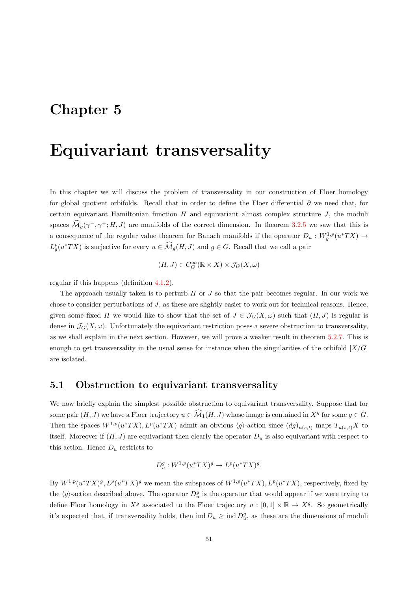## <span id="page-55-0"></span>Chapter 5

## Equivariant transversality

In this chapter we will discuss the problem of transversality in our construction of Floer homology for global quotient orbifolds. Recall that in order to define the Floer differential ∂ we need that, for certain equivariant Hamiltonian function  $H$  and equivariant almost complex structure  $J$ , the moduli spaces  $\widehat{\mathcal{M}}_g(\gamma^-, \gamma^+; H, J)$  are manifolds of the correct dimension. In theorem [3.2.5](#page-31-0) we saw that this is a consequence of the regular value theorem for Banach manifolds if the operator  $D_u: W_g^{1,p}(u^*TX) \to$  $L_g^p(u^*TX)$  is surjective for every  $u \in \widehat{\mathcal{M}}_g(H, J)$  and  $g \in G$ . Recall that we call a pair

$$
(H,J)\in C^\infty_G(\mathbb{R}\times X)\times\mathcal{J}_G(X,\omega)
$$

regular if this happens (definition [4.1.2\)](#page-43-0).

The approach usually taken is to perturb  $H$  or  $J$  so that the pair becomes regular. In our work we chose to consider perturbations of J, as these are slightly easier to work out for technical reasons. Hence, given some fixed H we would like to show that the set of  $J \in \mathcal{J}_G(X,\omega)$  such that  $(H, J)$  is regular is dense in  $\mathcal{J}_G(X,\omega)$ . Unfortunately the equivariant restriction poses a severe obstruction to transversality, as we shall explain in the next section. However, we will prove a weaker result in theorem [5.2.7.](#page-58-0) This is enough to get transversality in the usual sense for instance when the singularities of the orbifold  $[X/G]$ are isolated.

#### 5.1 Obstruction to equivariant transversality

We now briefly explain the simplest possible obstruction to equivariant transversality. Suppose that for some pair  $(H, J)$  we have a Floer trajectory  $u \in \widehat{\mathcal{M}}_1(H, J)$  whose image is contained in  $X^g$  for some  $g \in G$ . Then the spaces  $W^{1,p}(u^*TX), L^p(u^*TX)$  admit an obvious  $\langle g \rangle$ -action since  $(dg)_{u(s,t)}$  maps  $T_{u(s,t)}X$  to itself. Moreover if  $(H, J)$  are equivariant then clearly the operator  $D_u$  is also equivariant with respect to this action. Hence  $D_u$  restricts to

$$
D_u^g: W^{1,p}(u^*TX)^g \to L^p(u^*TX)^g.
$$

By  $W^{1,p}(u^*TX)^g$ ,  $L^p(u^*TX)^g$  we mean the subspaces of  $W^{1,p}(u^*TX)$ ,  $L^p(u^*TX)$ , respectively, fixed by the  $\langle g \rangle$ -action described above. The operator  $D_u^g$  is the operator that would appear if we were trying to define Floer homology in  $X^g$  associated to the Floer trajectory  $u : [0,1] \times \mathbb{R} \to X^g$ . So geometrically it's expected that, if transversality holds, then  $\text{ind } D_u \geq \text{ind } D_u^g$ , as these are the dimensions of moduli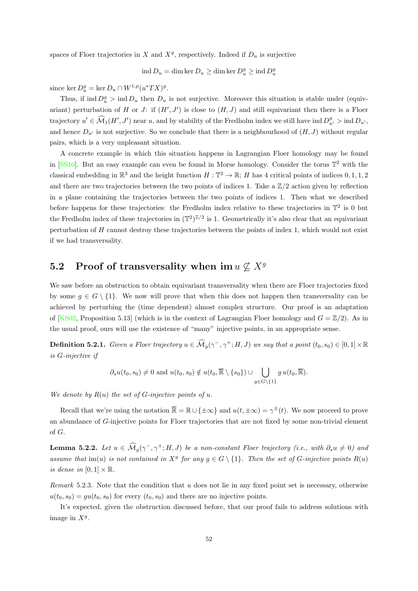spaces of Floer trajectories in X and  $X<sup>g</sup>$ , respectively. Indeed if  $D<sub>u</sub>$  is surjective

 $\text{ind } D_u = \dim \ker D_u \geq \dim \ker D_u^g \geq \text{ind } D_u^g$ 

since  $\ker D_u^g = \ker D_u \cap W^{1,p}(u^*TX)^g$ .

Thus, if ind  $D_u^g$  > ind  $D_u$  then  $D_u$  is not surjective. Moreover this situation is stable under (equivariant) perturbation of H or J: if  $(H', J')$  is close to  $(H, J)$  and still equivariant then there is a Floer trajectory  $u' \in \widehat{\mathcal{M}}_1(H', J')$  near u, and by stability of the Fredholm index we still have ind  $D_{u'}^g > \text{ind } D_{u'}$ , and hence  $D_{u'}$  is not surjective. So we conclude that there is a neighbourhood of  $(H, J)$  without regular pairs, which is a very unpleasant situation.

A concrete example in which this situation happens in Lagrangian Floer homology may be found in [\[SS10\]](#page-91-4). But an easy example can even be found in Morse homology. Consider the torus  $\mathbb{T}^2$  with the classical embedding in  $\mathbb{R}^3$  and the height function  $H : \mathbb{T}^2 \to \mathbb{R}$ ; H has 4 critical points of indices  $0, 1, 1, 2$ and there are two trajectories between the two points of indices 1. Take a  $\mathbb{Z}/2$  action given by reflection in a plane containing the trajectories between the two points of indices 1. Then what we described before happens for these trajectories: the Fredholm index relative to these trajectories in  $\mathbb{T}^2$  is 0 but the Fredholm index of these trajectories in  $(\mathbb{T}^2)^{\mathbb{Z}/2}$  is 1. Geometrically it's also clear that an equivariant perturbation of  $H$  cannot destroy these trajectories between the points of index 1, which would not exist if we had transversality.

### <span id="page-56-1"></span>5.2 Proof of transversality when im  $u \nsubseteq X^g$

We saw before an obstruction to obtain equivariant transversality when there are Floer trajectories fixed by some  $q \in G \setminus \{1\}$ . We now will prove that when this does not happen then transversality can be achieved by perturbing the (time dependent) almost complex structure. Our proof is an adaptation of [\[KS02,](#page-90-5) Proposition 5.13] (which is in the context of Lagrangian Floer homology and  $G = \mathbb{Z}/2$ ). As in the usual proof, ours will use the existence of "many" injective points, in an appropriate sense.

**Definition 5.2.1.** Given a Floer trajectory  $u \in \widehat{\mathcal{M}}_g(\gamma^-, \gamma^+; H, J)$  we say that a point  $(t_0, s_0) \in [0, 1] \times \mathbb{R}$ is G-injective if

$$
\partial_s u(t_0, s_0) \neq 0
$$
 and  $u(t_0, s_0) \notin u(t_0, \overline{\mathbb{R}} \setminus \{s_0\}) \cup \bigcup_{g \in G \setminus \{1\}} g u(t_0, \overline{\mathbb{R}}).$ 

We denote by  $R(u)$  the set of G-injective points of u.

Recall that we're using the notation  $\overline{\mathbb{R}} = \mathbb{R} \cup {\pm \infty}$  and  $u(t, \pm \infty) = \gamma^{\pm}(t)$ . We now proceed to prove an abundance of G-injective points for Floer trajectories that are not fixed by some non-trivial element of G.

<span id="page-56-0"></span>**Lemma 5.2.2.** Let  $u \in \widehat{\mathcal{M}}_g(\gamma^-, \gamma^+; H, J)$  be a non-constant Floer trajectory (i.e., with  $\partial_s u \neq 0$ ) and assume that im(u) is not contained in  $X^g$  for any  $g \in G \setminus \{1\}$ . Then the set of G-injective points  $R(u)$ is dense in  $[0, 1] \times \mathbb{R}$ .

Remark 5.2.3. Note that the condition that  $u$  does not lie in any fixed point set is necessary, otherwise  $u(t_0, s_0) = gu(t_0, s_0)$  for every  $(t_0, s_0)$  and there are no injective points.

It's expected, given the obstruction discussed before, that our proof fails to address solutions with image in  $X^g$ .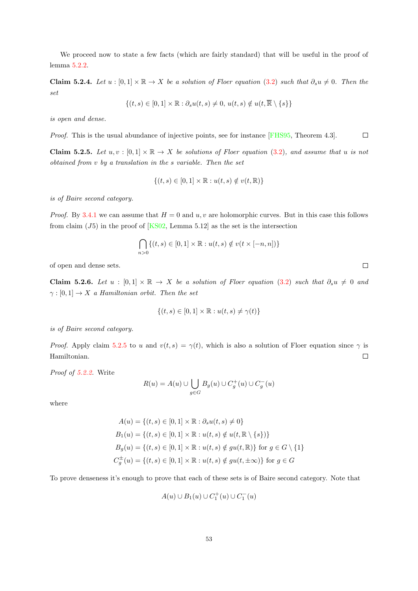We proceed now to state a few facts (which are fairly standard) that will be useful in the proof of lemma [5.2.2.](#page-56-0)

<span id="page-57-1"></span>Claim 5.2.4. Let u : [0, 1]  $\times \mathbb{R} \to X$  be a solution of Floer equation [\(3.2\)](#page-27-1) such that  $\partial_s u \neq 0$ . Then the set

$$
\{(t,s)\in[0,1]\times\mathbb{R}:\partial_s u(t,s)\neq 0,\,u(t,s)\notin u(t,\overline{\mathbb{R}}\setminus\{s\}\}\
$$

is open and dense.

Proof. This is the usual abundance of injective points, see for instance [\[FHS95,](#page-89-4) Theorem 4.3].  $\Box$ 

<span id="page-57-0"></span>**Claim 5.2.5.** Let  $u, v : [0, 1] \times \mathbb{R} \to X$  be solutions of Floer equation [\(3.2\)](#page-27-1), and assume that u is not obtained from v by a translation in the s variable. Then the set

$$
\{(t,s)\in[0,1]\times\mathbb{R}:u(t,s)\notin v(t,\mathbb{R})\}
$$

is of Baire second category.

*Proof.* By [3.4.1](#page-39-1) we can assume that  $H = 0$  and u, v are holomorphic curves. But in this case this follows from claim  $(J5)$  in the proof of  $[KS02, \text{ Lemma } 5.12]$  $[KS02, \text{ Lemma } 5.12]$  as the set is the intersection

$$
\bigcap_{n>0} \{ (t,s) \in [0,1] \times \mathbb{R} : u(t,s) \notin v(t \times [-n,n]) \}
$$

of open and dense sets.

<span id="page-57-2"></span>Claim 5.2.6. Let  $u : [0,1] \times \mathbb{R} \rightarrow X$  be a solution of Floer equation [\(3.2\)](#page-27-1) such that  $\partial_s u \neq 0$  and  $\gamma : [0, 1] \rightarrow X$  a Hamiltonian orbit. Then the set

$$
\{(t,s) \in [0,1] \times \mathbb{R} : u(t,s) \neq \gamma(t)\}
$$

is of Baire second category.

*Proof.* Apply claim [5.2.5](#page-57-0) to u and  $v(t, s) = \gamma(t)$ , which is also a solution of Floer equation since  $\gamma$  is Hamiltonian.  $\Box$ 

Proof of [5.2.2.](#page-56-0) Write

$$
R(u) = A(u) \cup \bigcup_{g \in G} B_g(u) \cup C_g^+(u) \cup C_g^-(u)
$$

where

$$
A(u) = \{(t, s) \in [0, 1] \times \mathbb{R} : \partial_s u(t, s) \neq 0\}
$$
  
\n
$$
B_1(u) = \{(t, s) \in [0, 1] \times \mathbb{R} : u(t, s) \notin u(t, \mathbb{R} \setminus \{s\})\}
$$
  
\n
$$
B_g(u) = \{(t, s) \in [0, 1] \times \mathbb{R} : u(t, s) \notin gu(t, \mathbb{R})\}
$$
 for  $g \in G \setminus \{1\}$   
\n
$$
C_g^{\pm}(u) = \{(t, s) \in [0, 1] \times \mathbb{R} : u(t, s) \notin gu(t, \pm \infty)\}
$$
 for  $g \in G$ 

To prove denseness it's enough to prove that each of these sets is of Baire second category. Note that

$$
A(u) \cup B_1(u) \cup C_1^+(u) \cup C_1^-(u)
$$

 $\Box$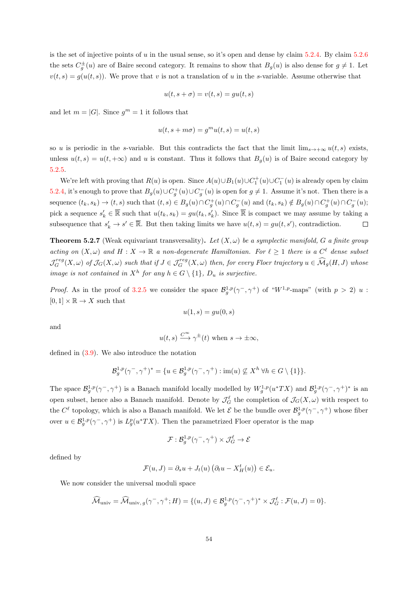is the set of injective points of u in the usual sense, so it's open and dense by claim  $5.2.4$ . By claim  $5.2.6$ the sets  $C_g^{\pm}(u)$  are of Baire second category. It remains to show that  $B_g(u)$  is also dense for  $g \neq 1$ . Let  $v(t, s) = g(u(t, s))$ . We prove that v is not a translation of u in the s-variable. Assume otherwise that

$$
u(t, s + \sigma) = v(t, s) = gu(t, s)
$$

and let  $m = |G|$ . Since  $g<sup>m</sup> = 1$  it follows that

$$
u(t, s + m\sigma) = g^m u(t, s) = u(t, s)
$$

so u is periodic in the s-variable. But this contradicts the fact that the limit  $\lim_{s\to+\infty}u(t,s)$  exists, unless  $u(t, s) = u(t, +\infty)$  and u is constant. Thus it follows that  $B<sub>g</sub>(u)$  is of Baire second category by [5.2.5.](#page-57-0)

We're left with proving that  $R(u)$  is open. Since  $A(u) \cup B_1(u) \cup C_1^+(u) \cup C_1^-(u)$  is already open by claim [5.2.4,](#page-57-1) it's enough to prove that  $B_g(u) \cup C_g^+(u) \cup C_g^-(u)$  is open for  $g \neq 1$ . Assume it's not. Then there is a sequence  $(t_k, s_k) \to (t, s)$  such that  $(t, s) \in B_g(u) \cap C_g^+(u) \cap C_g^-(u)$  and  $(t_k, s_k) \notin B_g(u) \cap C_g^+(u) \cap C_g^-(u)$ ; pick a sequence  $s'_k \in \overline{\mathbb{R}}$  such that  $u(t_k, s_k) = gu(t_k, s'_k)$ . Since  $\overline{\mathbb{R}}$  is compact we may assume by taking a subsequence that  $s'_k \to s' \in \overline{\mathbb{R}}$ . But then taking limits we have  $u(t, s) = gu(t, s')$ , contradiction.  $\Box$ 

<span id="page-58-0"></span>**Theorem 5.2.7** (Weak equivariant transversality). Let  $(X, \omega)$  be a symplectic manifold, G a finite group acting on  $(X, \omega)$  and  $H : X \to \mathbb{R}$  a non-degenerate Hamiltonian. For  $\ell \geq 1$  there is a  $C^{\ell}$  dense subset  $\mathcal{J}_G^{reg}(X,\omega)$  of  $\mathcal{J}_G(X,\omega)$  such that if  $J \in \mathcal{J}_G^{reg}(X,\omega)$  then, for every Floer trajectory  $u \in \widehat{\mathcal{M}}_g(H,J)$  whose image is not contained in  $X^h$  for any  $h \in G \setminus \{1\}$ ,  $D_u$  is surjective.

*Proof.* As in the proof of [3.2.5](#page-31-0) we consider the space  $\mathcal{B}_g^{1,p}(\gamma^-, \gamma^+)$  of "W<sup>1,p</sup>-maps" (with  $p > 2$ ) u:  $[0, 1] \times \mathbb{R} \to X$  such that

$$
u(1,s) = gu(0,s)
$$

and

$$
u(t,s) \xrightarrow{C^{\infty}} \gamma^{\pm}(t)
$$
 when  $s \to \pm \infty$ ,

defined in [\(3.9\)](#page-31-1). We also introduce the notation

$$
\mathcal{B}_g^{1,p}(\gamma^-,\gamma^+)^* = \{ u \in \mathcal{B}_g^{1,p}(\gamma^-,\gamma^+) : \text{im}(u) \not\subseteq X^h \,\forall h \in G \setminus \{1\} \}.
$$

The space  $\mathcal{B}_{g}^{1,p}(\gamma^-, \gamma^+)$  is a Banach manifold locally modelled by  $W_g^{1,p}(u^*TX)$  and  $\mathcal{B}_{g}^{1,p}(\gamma^-, \gamma^+)^*$  is an open subset, hence also a Banach manifold. Denote by  $\mathcal{J}_G^{\ell}$  the completion of  $\mathcal{J}_G(X,\omega)$  with respect to the  $C^{\ell}$  topology, which is also a Banach manifold. We let  $\mathcal{E}$  be the bundle over  $\mathcal{B}_g^{1,p}(\gamma^-, \gamma^+)$  whose fiber over  $u \in \mathcal{B}_{g}^{1,p}(\gamma^-, \gamma^+)$  is  $L_g^p(u^*TX)$ . Then the parametrized Floer operator is the map

$$
\mathcal{F}:\mathcal{B}_{g}^{1,p}(\gamma^{-},\gamma^{+})\times \mathcal{J}^{\ell}_G\to \mathcal{E}
$$

defined by

$$
\mathcal{F}(u, J) = \partial_s u + J_t(u) \left( \partial_t u - X_H^t(u) \right) \in \mathcal{E}_u.
$$

We now consider the universal moduli space

$$
\widehat{\mathcal{M}}_{\text{univ}} = \widehat{\mathcal{M}}_{\text{univ}, g}(\gamma^-, \gamma^+; H) = \{ (u, J) \in \mathcal{B}_g^{1, p}(\gamma^-, \gamma^+)^* \times \mathcal{J}_G^{\ell} : \mathcal{F}(u, J) = 0 \}.
$$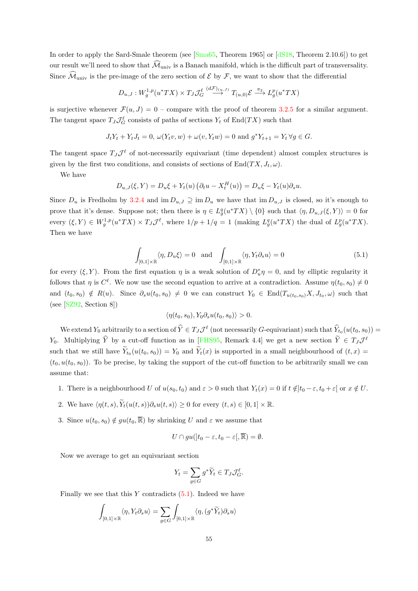In order to apply the Sard-Smale theorem (see [\[Sma65,](#page-91-5) Theorem 1965] or [\[dS18,](#page-89-3) Theorem 2.10.6]) to get our result we'll need to show that  $\widehat{\mathcal{M}}_{\text{univ}}$  is a Banach manifold, which is the difficult part of transversality. Since  $\widehat{\mathcal{M}}_{\text{univ}}$  is the pre-image of the zero section of  $\mathcal E$  by  $\mathcal F$ , we want to show that the differential

$$
D_{u,J}: W_g^{1,p}(u^*TX) \times T_J \mathcal{J}_G^{\ell} \stackrel{(d\mathcal{F})_{(u,J)}}{\longrightarrow} T_{(u,0)} \mathcal{E} \stackrel{\pi_2}{\longrightarrow} L_g^p(u^*TX)
$$

is surjective whenever  $\mathcal{F}(u, J) = 0$  – compare with the proof of theorem [3.2.5](#page-31-0) for a similar argument. The tangent space  $T_J \mathcal{J}_{G}^{\ell}$  consists of paths of sections  $Y_t$  of End $(TX)$  such that

$$
J_t Y_t + Y_t J_t = 0, \ \omega(Y_t v, w) + \omega(v, Y_t w) = 0 \text{ and } g^* Y_{t+1} = Y_t \ \forall g \in G.
$$

The tangent space  $T_J\mathcal{J}^{\ell}$  of not-necessarily equivariant (time dependent) almost complex structures is given by the first two conditions, and consists of sections of  $\text{End}(TX, J_t, \omega)$ .

We have

$$
D_{u,J}(\xi,Y) = D_u \xi + Y_t(u) \left( \partial_t u - X_t^H(u) \right) = D_u \xi - Y_t(u) \partial_s u.
$$

Since  $D_u$  is Fredholm by [3.2.4](#page-30-0) and im  $D_{u,J} \supseteq \text{im } D_u$  we have that im  $D_{u,J}$  is closed, so it's enough to prove that it's dense. Suppose not; then there is  $\eta \in L_g^q(u^*TX) \setminus \{0\}$  such that  $\langle \eta, D_{u,J}(\xi, Y) \rangle = 0$  for every  $(\xi, Y) \in W_g^{1,p}(u^*TX) \times T_J\mathcal{J}^{\ell}$ , where  $1/p + 1/q = 1$  (making  $L_g^q(u^*TX)$  the dual of  $L_g^p(u^*TX)$ . Then we have

<span id="page-59-0"></span>
$$
\int_{[0,1]\times\mathbb{R}} \langle \eta, D_u \xi \rangle = 0 \quad \text{and} \quad \int_{[0,1]\times\mathbb{R}} \langle \eta, Y_t \partial_s u \rangle = 0 \tag{5.1}
$$

for every  $(\xi, Y)$ . From the first equation  $\eta$  is a weak solution of  $D^*_{u}\eta = 0$ , and by elliptic regularity it follows that  $\eta$  is  $C^{\ell}$ . We now use the second equation to arrive at a contradiction. Assume  $\eta(t_0, s_0) \neq 0$ and  $(t_0, s_0) \notin R(u)$ . Since  $\partial_s u(t_0, s_0) \neq 0$  we can construct  $Y_0 \in \text{End}(T_{u(t_0, s_0)}X, J_{t_0}, \omega)$  such that (see [\[SZ92,](#page-91-6) Section 8])

$$
\langle \eta(t_0, s_0), Y_0 \partial_s u(t_0, s_0) \rangle > 0.
$$

We extend  $Y_0$  arbitrarily to a section of  $\hat{Y} \in T_J \mathcal{J}^{\ell}$  (not necessarily G-equivariant) such that  $\hat{Y}_{t_0}(u(t_0, s_0)) =$ Y<sub>0</sub>. Multiplying  $\hat{Y}$  by a cut-off function as in [\[FHS95,](#page-89-4) Remark 4.4] we get a new section  $\tilde{Y} \in T_J \mathcal{J}^k$ such that we still have  $Y_{t_0}(u(t_0, s_0)) = Y_0$  and  $Y_t(x)$  is supported in a small neighbourhood of  $(t, x) =$  $(t_0, u(t_0, s_0))$ . To be precise, by taking the support of the cut-off function to be arbitrarily small we can assume that:

- 1. There is a neighbourhood U of  $u(s_0, t_0)$  and  $\varepsilon > 0$  such that  $Y_t(x) = 0$  if  $t \notin ]t_0 \varepsilon, t_0 + \varepsilon]$  or  $x \notin U$ .
- 2. We have  $\langle \eta(t, s), \widetilde{Y}_t(u(t, s))\partial_s u(t, s)\rangle \geq 0$  for every  $(t, s) \in [0, 1] \times \mathbb{R}$ .
- 3. Since  $u(t_0, s_0) \notin gu(t_0, \overline{\mathbb{R}})$  by shrinking U and  $\varepsilon$  we assume that

$$
U\cap gu(|t_0-\varepsilon,t_0-\varepsilon|,\overline{\mathbb{R}})=\emptyset.
$$

Now we average to get an equivariant section

$$
Y_t = \sum_{g \in G} g^* \widetilde{Y}_t \in T_J \mathcal{J}_G^{\ell}.
$$

Finally we see that this  $Y$  contradicts  $(5.1)$ . Indeed we have

$$
\int_{[0,1]\times\mathbb{R}} \langle \eta, Y_t \partial_s u \rangle = \sum_{g \in G} \int_{[0,1]\times\mathbb{R}} \langle \eta, (g^* \widetilde{Y}_t) \partial_s u \rangle
$$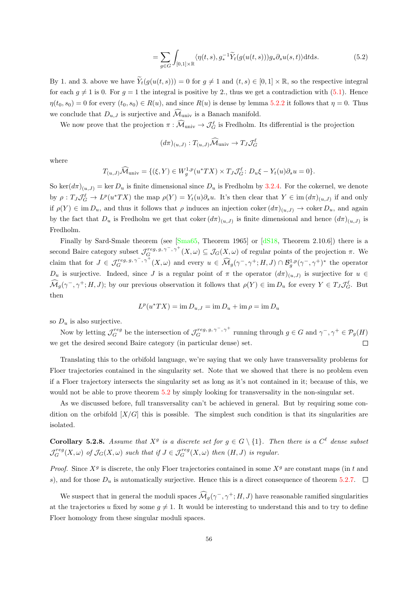$$
= \sum_{g \in G} \int_{[0,1] \times \mathbb{R}} \langle \eta(t,s), g_*^{-1} \widetilde{Y}_t(g(u(t,s))) g_* \partial_s u(s,t) \rangle dt ds.
$$
 (5.2)

By 1. and 3. above we have  $\widetilde{Y}_t(g(u(t, s))) = 0$  for  $g \neq 1$  and  $(t, s) \in [0, 1] \times \mathbb{R}$ , so the respective integral for each  $g \neq 1$  is 0. For  $g = 1$  the integral is positive by 2., thus we get a contradiction with [\(5.1\)](#page-59-0). Hence  $\eta(t_0, s_0) = 0$  for every  $(t_0, s_0) \in R(u)$ , and since  $R(u)$  is dense by lemma [5.2.2](#page-56-0) it follows that  $\eta = 0$ . Thus we conclude that  $D_{u,J}$  is surjective and  $\widehat{\mathcal{M}}_{\text{univ}}$  is a Banach manifold.

We now prove that the projection  $\pi : \widehat{\mathcal{M}}_{\text{univ}} \to \mathcal{J}_{G}^{\ell}$  is Fredholm. Its differential is the projection

$$
(d\pi)_{(u,J)}: T_{(u,J)}\widehat{\mathcal{M}}_{\text{univ}} \to T_J \mathcal{J}_G^{\ell}
$$

where

$$
T_{(u,J)}\widehat{\mathcal{M}}_{\text{univ}} = \{(\xi, Y) \in W_g^{1,p}(u^*TX) \times T_J\mathcal{J}_G^{\ell}: D_u\xi - Y_t(u)\partial_s u = 0\}.
$$

So ker $(d\pi)_{(u,J)} = \ker D_u$  is finite dimensional since  $D_u$  is Fredholm by [3.2.4.](#page-30-0) For the cokernel, we denote by  $\rho: T_J \mathcal{J}_G^{\ell} \to L^p(u^*TX)$  the map  $\rho(Y) = Y_t(u)\partial_s u$ . It's then clear that  $Y \in \text{im}(d\pi)_{(u,J)}$  if and only if  $\rho(Y) \in \text{im } D_u$ , and thus it follows that  $\rho$  induces an injection coker  $(d\pi)_{(u,J)} \to \text{coker } D_u$ , and again by the fact that  $D_u$  is Fredholm we get that coker  $(d\pi)_{(u,J)}$  is finite dimensional and hence  $(d\pi)_{(u,J)}$  is Fredholm.

Finally by Sard-Smale theorem (see [\[Sma65,](#page-91-5) Theorem 1965] or [\[dS18,](#page-89-3) Theorem 2.10.6]) there is a second Baire category subset  $\mathcal{J}_G^{reg, g, \gamma^-, \gamma^+}(X, \omega) \subseteq \mathcal{J}_G(X, \omega)$  of regular points of the projection  $\pi$ . We claim that for  $J \in \mathcal{J}_G^{reg, g, \gamma^-, \gamma^+}(X, \omega)$  and every  $u \in \widehat{\mathcal{M}}_g(\gamma^-, \gamma^+; H, J) \cap \mathcal{B}_g^{1, p}(\gamma^-, \gamma^+)^*$  the operator  $D_u$  is surjective. Indeed, since J is a regular point of  $\pi$  the operator  $(d\pi)_{(u,J)}$  is surjective for  $u \in$  $\widehat{\mathcal{M}}_g(\gamma^-, \gamma^+; H, J)$ ; by our previous observation it follows that  $\rho(Y) \in \text{im } D_u$  for every  $Y \in T_J \mathcal{J}_G^{\ell}$ . But then

$$
L^p(u^*TX) = \operatorname{im} D_{u,J} = \operatorname{im} D_u + \operatorname{im} \rho = \operatorname{im} D_u
$$

so  $D_u$  is also surjective.

Now by letting  $\mathcal{J}_G^{reg}$  be the intersection of  $\mathcal{J}_G^{reg, g, \gamma^-, \gamma^+}$  running through  $g \in G$  and  $\gamma^-, \gamma^+ \in \mathcal{P}_g(H)$ we get the desired second Baire category (in particular dense) set.  $\Box$ 

Translating this to the orbifold language, we're saying that we only have transversality problems for Floer trajectories contained in the singularity set. Note that we showed that there is no problem even if a Floer trajectory intersects the singularity set as long as it's not contained in it; because of this, we would not be able to prove theorem [5.2](#page-56-1) by simply looking for transversality in the non-singular set.

As we discussed before, full transversality can't be achieved in general. But by requiring some condition on the orbifold  $[X/G]$  this is possible. The simplest such condition is that its singularities are isolated.

<span id="page-60-0"></span>**Corollary 5.2.8.** Assume that  $X^g$  is a discrete set for  $g \in G \setminus \{1\}$ . Then there is a  $C^{\ell}$  dense subset  $\mathcal{J}_G^{reg}(X,\omega)$  of  $\mathcal{J}_G(X,\omega)$  such that if  $J \in \mathcal{J}_G^{reg}(X,\omega)$  then  $(H,J)$  is regular.

*Proof.* Since  $X<sup>g</sup>$  is discrete, the only Floer trajectories contained in some  $X<sup>g</sup>$  are constant maps (in t and s), and for those  $D_u$  is automatically surjective. Hence this is a direct consequence of theorem [5.2.7.](#page-58-0)  $\Box$ 

We suspect that in general the moduli spaces  $\widehat{\mathcal{M}}_g(\gamma^-, \gamma^+; H, J)$  have reasonable ramified singularities at the trajectories u fixed by some  $g \neq 1$ . It would be interesting to understand this and to try to define Floer homology from these singular moduli spaces.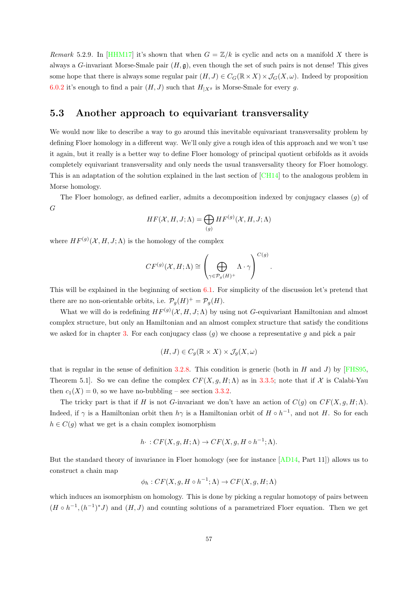Remark 5.2.9. In [\[HHM17\]](#page-90-4) it's shown that when  $G = \mathbb{Z}/k$  is cyclic and acts on a manifold X there is always a G-invariant Morse-Smale pair  $(H, \mathfrak{g})$ , even though the set of such pairs is not dense! This gives some hope that there is always some regular pair  $(H, J) \in C_G(\mathbb{R} \times X) \times \mathcal{J}_G(X, \omega)$ . Indeed by proposition [6.0.2](#page-64-0) it's enough to find a pair  $(H, J)$  such that  $H_{|X^g}$  is Morse-Smale for every g.

#### 5.3 Another approach to equivariant transversality

We would now like to describe a way to go around this inevitable equivariant transversality problem by defining Floer homology in a different way. We'll only give a rough idea of this approach and we won't use it again, but it really is a better way to define Floer homology of principal quotient orbifolds as it avoids completely equivariant transversality and only needs the usual transversality theory for Floer homology. This is an adaptation of the solution explained in the last section of [\[CH14\]](#page-88-0) to the analogous problem in Morse homology.

The Floer homology, as defined earlier, admits a decomposition indexed by conjugacy classes (g) of G

$$
HF(\mathcal{X}, H, J; \Lambda) = \bigoplus_{(g)} HF^{(g)}(\mathcal{X}, H, J; \Lambda)
$$

where  $HF^{(g)}(\mathcal{X}, H, J; \Lambda)$  is the homology of the complex

$$
CF^{(g)}(\mathcal{X}, H; \Lambda) \cong \left(\bigoplus_{\gamma \in \mathcal{P}_g(H)^+} \Lambda \cdot \gamma\right)^{C(g)}.
$$

This will be explained in the beginning of section [6.1.](#page-64-1) For simplicity of the discussion let's pretend that there are no non-orientable orbits, i.e.  $\mathcal{P}_g(H)^{+} = \mathcal{P}_g(H)$ .

What we will do is redefining  $HF^{(g)}(\mathcal{X}, H, J; \Lambda)$  by using not G-equivariant Hamiltonian and almost complex structure, but only an Hamiltonian and an almost complex structure that satisfy the conditions we asked for in chapter [3.](#page-25-0) For each conjugacy class  $(g)$  we choose a representative g and pick a pair

$$
(H, J) \in C_g(\mathbb{R} \times X) \times \mathcal{J}_g(X, \omega)
$$

that is regular in the sense of definition [3.2.8.](#page-32-0) This condition is generic (both in H and J) by [\[FHS95,](#page-89-4) Theorem 5.1]. So we can define the complex  $CF(X, q, H; \Lambda)$  as in [3.3.5;](#page-35-1) note that if X is Calabi-Yau then  $c_1(X) = 0$ , so we have no-bubbling – see section [3.3.2.](#page-38-0)

The tricky part is that if H is not G-invariant we don't have an action of  $C(g)$  on  $CF(X, g, H; \Lambda)$ . Indeed, if  $\gamma$  is a Hamiltonian orbit then  $h\gamma$  is a Hamiltonian orbit of  $H \circ h^{-1}$ , and not H. So for each  $h \in C(q)$  what we get is a chain complex isomorphism

$$
h \cdot : CF(X, g, H; \Lambda) \to CF(X, g, H \circ h^{-1}; \Lambda).
$$

But the standard theory of invariance in Floer homology (see for instance [\[AD14,](#page-88-3) Part 11]) allows us to construct a chain map

$$
\phi_h: CF(X, g, H \circ h^{-1}; \Lambda) \to CF(X, g, H; \Lambda)
$$

which induces an isomorphism on homology. This is done by picking a regular homotopy of pairs between  $(H \circ h^{-1}, (h^{-1})^*J)$  and  $(H, J)$  and counting solutions of a parametrized Floer equation. Then we get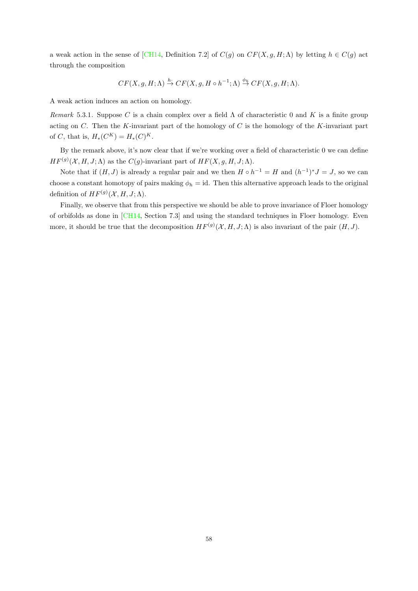a weak action in the sense of [\[CH14,](#page-88-0) Definition 7.2] of  $C(g)$  on  $CF(X, g, H; \Lambda)$  by letting  $h \in C(g)$  act through the composition

$$
CF(X, g, H; \Lambda) \stackrel{h}{\to} CF(X, g, H \circ h^{-1}; \Lambda) \stackrel{\phi_h}{\to} CF(X, g, H; \Lambda).
$$

A weak action induces an action on homology.

Remark 5.3.1. Suppose C is a chain complex over a field  $\Lambda$  of characteristic 0 and K is a finite group acting on  $C$ . Then the K-invariant part of the homology of  $C$  is the homology of the K-invariant part of *C*, that is,  $H_*(C^K) = H_*(C^K)$ .

By the remark above, it's now clear that if we're working over a field of characteristic 0 we can define  $HF^{(g)}(\mathcal{X}, H, J; \Lambda)$  as the  $C(g)$ -invariant part of  $HF(X, g, H, J; \Lambda)$ .

Note that if  $(H, J)$  is already a regular pair and we then  $H \circ h^{-1} = H$  and  $(h^{-1})^* J = J$ , so we can choose a constant homotopy of pairs making  $\phi_h = id$ . Then this alternative approach leads to the original definition of  $HF^{(g)}(\mathcal{X}, H, J; \Lambda)$ .

Finally, we observe that from this perspective we should be able to prove invariance of Floer homology of orbifolds as done in [\[CH14,](#page-88-0) Section 7.3] and using the standard techniques in Floer homology. Even more, it should be true that the decomposition  $HF^{(g)}(\mathcal{X}, H, J; \Lambda)$  is also invariant of the pair  $(H, J)$ .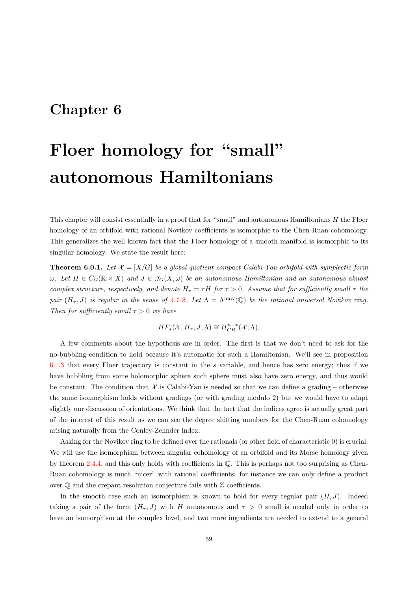## <span id="page-63-0"></span>Chapter 6

# Floer homology for "small" autonomous Hamiltonians

This chapter will consist essentially in a proof that for "small" and autonomous Hamiltonians H the Floer homology of an orbifold with rational Novikov coefficients is isomorphic to the Chen-Ruan cohomology. This generalizes the well known fact that the Floer homology of a smooth manifold is isomorphic to its singular homology. We state the result here:

<span id="page-63-1"></span>**Theorem 6.0.1.** Let  $\mathcal{X} = [X/G]$  be a global quotient compact Calabi-Yau orbifold with symplectic form  $\omega$ . Let  $H \in C_G(\mathbb{R} \times X)$  and  $J \in \mathcal{J}_G(X, \omega)$  be an autonomous Hamiltonian and an autonomous almost complex structure, respectively, and denote  $H_{\tau} = \tau H$  for  $\tau > 0$ . Assume that for sufficiently small  $\tau$  the pair  $(H_{\tau}, J)$  is regular in the sense of [4.1.2.](#page-43-0) Let  $\Lambda = \Lambda^{\text{univ}}(\mathbb{Q})$  be the rational universal Novikov ring. Then for sufficiently small  $\tau > 0$  we have

$$
HF_*(\mathcal{X}, H_\tau, J; \Lambda) \cong H^{n-*}_{CR}(\mathcal{X}; \Lambda).
$$

A few comments about the hypothesis are in order. The first is that we don't need to ask for the no-bubbling condition to hold because it's automatic for such a Hamiltonian. We'll see in proposition [6.1.3](#page-66-0) that every Floer trajectory is constant in the s variable, and hence has zero energy; thus if we have bubbling from some holomorphic sphere such sphere must also have zero energy, and thus would be constant. The condition that  $\mathcal X$  is Calabi-Yau is needed so that we can define a grading – otherwise the same isomorphism holds without gradings (or with grading modulo 2) but we would have to adapt slightly our discussion of orientations. We think that the fact that the indices agree is actually great part of the interest of this result as we can see the degree shifting numbers for the Chen-Ruan cohomology arising naturally from the Conley-Zehnder index.

Asking for the Novikov ring to be defined over the rationals (or other field of characteristic 0) is crucial. We will use the isomorphism between singular cohomology of an orbifold and its Morse homology given by theorem [2.4.4,](#page-19-0) and this only holds with coefficients in Q. This is perhaps not too surprising as Chen-Ruan cohomology is much "nicer" with rational coefficients: for instance we can only define a product over  $\mathbb Q$  and the crepant resolution conjecture fails with  $\mathbb Z$  coefficients.

In the smooth case such an isomorphism is known to hold for every regular pair  $(H, J)$ . Indeed taking a pair of the form  $(H_{\tau}, J)$  with H autonomous and  $\tau > 0$  small is needed only in order to have an isomorphism at the complex level, and two more ingredients are needed to extend to a general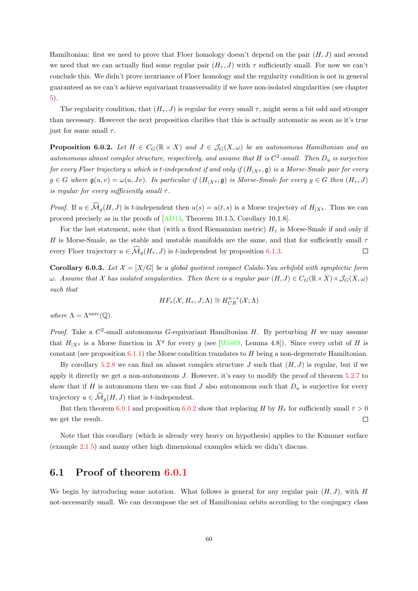Hamiltonian: first we need to prove that Floer homology doesn't depend on the pair  $(H, J)$  and second we need that we can actually find some regular pair  $(H_{\tau}, J)$  with  $\tau$  sufficiently small. For now we can't conclude this. We didn't prove invariance of Floer homology and the regularity condition is not in general guaranteed as we can't achieve equivariant transversality if we have non-isolated singularities (see chapter [5\)](#page-55-0).

The regularity condition, that  $(H_{\tau}, J)$  is regular for every small  $\tau$ , might seem a bit odd and stronger than necessary. However the next proposition clarifies that this is actually automatic as soon as it's true just for some small  $\tau$ .

<span id="page-64-0"></span>**Proposition 6.0.2.** Let  $H \in C_G(\mathbb{R} \times X)$  and  $J \in \mathcal{J}_G(X,\omega)$  be an autonomous Hamiltonian and an autonomous almost complex structure, respectively, and assume that H is  $C^2$ -small. Then  $D_u$  is surjective for every Floer trajectory u which is t-independent if and only if  $(H_{|X^g}, \mathfrak{g})$  is a Morse-Smale pair for every  $g \in G$  where  $\mathfrak{g}(u, v) = \omega(u, Jv)$ . In particular if  $(H_{|X^g}, \mathfrak{g})$  is Morse-Smale for every  $g \in G$  then  $(H_\tau, J)$ is regular for every sufficiently small  $\tau$ .

*Proof.* If  $u \in \widehat{\mathcal{M}}_q(H, J)$  is t-independent then  $u(s) = u(t, s)$  is a Morse trajectory of  $H_{|X_s}$ . Thus we can proceed precisely as in the proofs of [\[AD14,](#page-88-3) Theorem 10.1.5, Corollary 10.1.8].

For the last statement, note that (with a fixed Riemannian metric)  $H<sub>\tau</sub>$  is Morse-Smale if and only if H is Morse-Smale, as the stable and unstable manifolds are the same, and that for sufficiently small  $\tau$ every Floer trajectory  $u \in \widehat{\mathcal{M}}_q(H_\tau, J)$  is t-independent by proposition [6.1.3.](#page-66-0)  $\Box$ 

**Corollary 6.0.3.** Let  $\mathcal{X} = [X/G]$  be a global quotient compact Calabi-Yau orbifold with symplectic form  $\omega$ . Assume that X has isolated singularities. Then there is a regular pair  $(H, J) \in C_G(\mathbb{R} \times X) \times \mathcal{J}_G(X, \omega)$ such that

$$
HF_*(\mathcal{X}, H_\tau, J; \Lambda) \cong H^{n-*}_{CR}(\mathcal{X}; \Lambda)
$$

where  $\Lambda = \Lambda^{\mathrm{univ}}(\mathbb{Q})$ .

*Proof.* Take a  $C^2$ -small autonomous G-equivariant Hamiltonian H. By perturbing H we may assume that  $H_{|X^g}$  is a Morse function in  $X^g$  for every g (see [\[Was69,](#page-91-7) Lemma 4.8]). Since every orbit of H is constant (see proposition  $6.1.1$ ) the Morse condition translates to H being a non-degenerate Hamiltonian.

By corollary [5.2.8](#page-60-0) we can find an almost complex structure  $J$  such that  $(H, J)$  is regular, but if we apply it directly we get a non-autonomous J. However, it's easy to modify the proof of theorem [5.2.7](#page-58-0) to show that if H is autonomous then we can find J also autonomous such that  $D_u$  is surjective for every trajectory  $u \in \widehat{\mathcal{M}}_q(H, J)$  that is t-independent.

But then theorem [6.0.1](#page-63-1) and proposition [6.0.2](#page-64-0) show that replacing H by  $H<sub>\tau</sub>$  for sufficiently small  $\tau > 0$ we get the result.  $\Box$ 

Note that this corollary (which is already very heavy on hypothesis) applies to the Kummer surface (example [2.1.5\)](#page-10-0) and many other high dimensional examples which we didn't discuss.

#### <span id="page-64-1"></span>6.1 Proof of theorem [6.0.1](#page-63-1)

We begin by introducing some notation. What follows is general for any regular pair  $(H, J)$ , with H not-necessarily small. We can decompose the set of Hamiltonian orbits according to the conjugacy class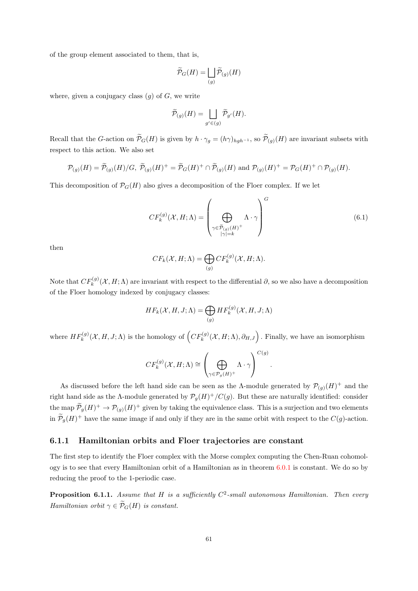of the group element associated to them, that is,

$$
\widetilde{\mathcal{P}}_G(H) = \bigsqcup_{(g)} \widetilde{\mathcal{P}}_{(g)}(H)
$$

where, given a conjugacy class  $(g)$  of  $G$ , we write

$$
\widetilde{\mathcal{P}}_{(g)}(H)=\bigsqcup_{g'\in (g)}\widetilde{\mathcal{P}}_{g'}(H).
$$

Recall that the G-action on  $\mathcal{P}_G(H)$  is given by  $h \cdot \gamma_g = (h\gamma)_{hgh^{-1}}$ , so  $\mathcal{P}_{(g)}(H)$  are invariant subsets with respect to this action. We also set

$$
\mathcal{P}_{(g)}(H) = \widetilde{\mathcal{P}}_{(g)}(H)/G, \ \widetilde{\mathcal{P}}_{(g)}(H)^{+} = \widetilde{\mathcal{P}}_{G}(H)^{+} \cap \widetilde{\mathcal{P}}_{(g)}(H) \text{ and } \mathcal{P}_{(g)}(H)^{+} = \mathcal{P}_{G}(H)^{+} \cap \mathcal{P}_{(g)}(H).
$$

This decomposition of  $\mathcal{P}_G(H)$  also gives a decomposition of the Floer complex. If we let

$$
CF_k^{(g)}(\mathcal{X}, H; \Lambda) = \left(\bigoplus_{\substack{\gamma \in \widetilde{\mathcal{P}}_{(g)}(H)^+ \\ |\gamma| = k}} \Lambda \cdot \gamma\right)^G
$$
\n(6.1)

then

$$
CF_k(\mathcal{X}, H; \Lambda) = \bigoplus_{(g)} CF_k^{(g)}(\mathcal{X}, H; \Lambda).
$$

Note that  $CF_k^{(g)}(\mathcal{X}, H; \Lambda)$  are invariant with respect to the differential  $\partial$ , so we also have a decomposition of the Floer homology indexed by conjugacy classes:

$$
HF_k(\mathcal{X}, H, J; \Lambda) = \bigoplus_{(g)} HF_k^{(g)}(\mathcal{X}, H, J; \Lambda)
$$

where  $HF_k^{(g)}(\mathcal{X},H,J;\Lambda)$  is the homology of  $\left(CF_k^{(g)}(\mathcal{X},H;\Lambda),\partial_{H,J}\right)$  . Finally, we have an isomorphism

$$
CF_k^{(g)}(\mathcal{X}, H; \Lambda) \cong \left(\bigoplus_{\gamma \in \mathcal{P}_g(H)^+} \Lambda \cdot \gamma\right)^{C(g)}.
$$

As discussed before the left hand side can be seen as the Λ-module generated by  $\mathcal{P}_{(g)}(H)^+$  and the right hand side as the A-module generated by  $\mathcal{P}_g(H)^+/C(g)$ . But these are naturally identified: consider the map  $\tilde{\mathcal{P}}_g(H)^+ \to \mathcal{P}_{(g)}(H)^+$  given by taking the equivalence class. This is a surjection and two elements in  $\tilde{\mathcal{P}}_g(H)^+$  have the same image if and only if they are in the same orbit with respect to the  $C(g)$ -action.

#### 6.1.1 Hamiltonian orbits and Floer trajectories are constant

The first step to identify the Floer complex with the Morse complex computing the Chen-Ruan cohomology is to see that every Hamiltonian orbit of a Hamiltonian as in theorem [6.0.1](#page-63-1) is constant. We do so by reducing the proof to the 1-periodic case.

<span id="page-65-0"></span>**Proposition 6.1.1.** Assume that H is a sufficiently  $C^2$ -small autonomous Hamiltonian. Then every Hamiltonian orbit  $\gamma \in \widetilde{\mathcal{P}}_G(H)$  is constant.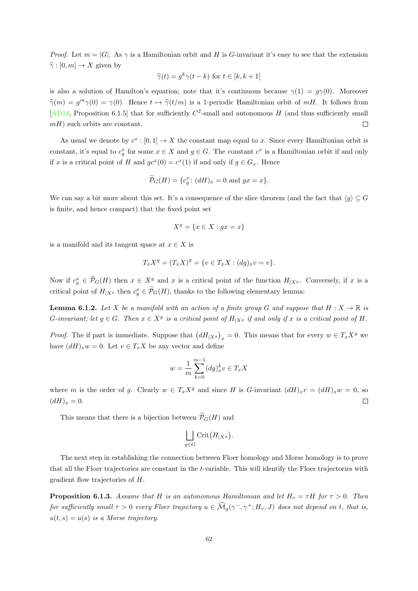*Proof.* Let  $m = |G|$ . As  $\gamma$  is a Hamiltonian orbit and H is G-invariant it's easy to see that the extension  $\hat{\gamma}: [0, m] \to X$  given by

$$
\widehat{\gamma}(t) = g^k \gamma(t - k) \text{ for } t \in [k, k + 1]
$$

is also a solution of Hamilton's equation; note that it's continuous because  $\gamma(1) = g\gamma(0)$ . Moreover  $\hat{\gamma}(m) = g^m \gamma(0) = \gamma(0)$ . Hence  $t \mapsto \hat{\gamma}(t/m)$  is a 1-periodic Hamiltonian orbit of  $mH$ . It follows from [\[AD14,](#page-88-3) Proposition 6.1.5] that for sufficiently  $C^2$ -small and autonomous H (and thus sufficiently small  $mH$ ) such orbits are constant.  $\Box$ 

As usual we denote by  $c^x : [0, 1] \to X$  the constant map equal to x. Since every Hamiltonian orbit is constant, it's equal to  $c_g^x$  for some  $x \in X$  and  $g \in G$ . The constant  $c^x$  is a Hamiltonian orbit if and only if x is a critical point of H and  $gc^x(0) = c^x(1)$  if and only if  $g \in G_x$ . Hence

$$
\widetilde{\mathcal{P}}_G(H) = \{c_g^x \colon (dH)_x = 0 \text{ and } gx = x\}.
$$

We can say a bit more about this set. It's a consequence of the slice theorem (and the fact that  $\langle q \rangle \subseteq G$ is finite, and hence compact) that the fixed point set

$$
X^g = \{ x \in X : gx = x \}
$$

is a manifold and its tangent space at  $x \in X$  is

$$
T_x X^g = (T_x X)^g = \{ v \in T_x X : (dg)_x v = v \}.
$$

Now if  $c_g^x \in \widetilde{\mathcal{P}}_G(H)$  then  $x \in X^g$  and x is a critical point of the function  $H_{|X^g}$ . Conversely, if x is a critical point of  $H_{|X^g}$  then  $c_g^x \in \widetilde{\mathcal{P}}_G(H)$ , thanks to the following elementary lemma:

**Lemma 6.1.2.** Let X be a manifold with an action of a finite group G and suppose that  $H: X \to \mathbb{R}$  is G-invariant; let  $g \in G$ . Then  $x \in X^g$  is a critical point of  $H_{|X^g}$  if and only if x is a critical point of H.

*Proof.* The if part is immediate. Suppose that  $(dH_{|X_g})_x = 0$ . This means that for every  $w \in T_x X^g$  we have  $(dH)_xw = 0$ . Let  $v \in T_xX$  be any vector and define

$$
w = \frac{1}{m} \sum_{k=0}^{m-1} (dg)_x^k v \in T_x X
$$

where m is the order of g. Clearly  $w \in T_x X^g$  and since H is G-invariant  $(dH)_x v = (dH)_x w = 0$ , so  $(dH)_x = 0.$  $\Box$ 

This means that there is a bijection between  $\widetilde{\mathcal{P}}_G(H)$  and

$$
\bigsqcup_{g \in G} \mathrm{Crit}\big(H_{|X^g}\big)
$$

.

The next step in establishing the connection between Floer homology and Morse homology is to prove that all the Floer trajectories are constant in the t-variable. This will identify the Floer trajectories with gradient flow trajectories of H.

<span id="page-66-0"></span>**Proposition 6.1.3.** Assume that H is an autonomous Hamiltonian and let  $H_{\tau} = \tau H$  for  $\tau > 0$ . Then for sufficiently small  $\tau > 0$  every Floer trajectory  $u \in \widehat{\mathcal{M}}_g(\gamma^-,\gamma^+;H_\tau,J)$  does not depend on t, that is,  $u(t, s) = u(s)$  is a Morse trajectory.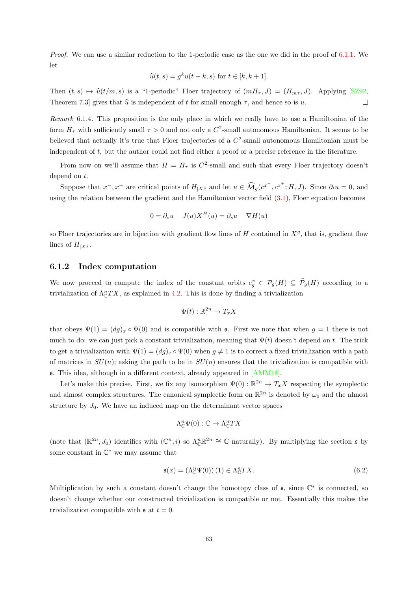Proof. We can use a similar reduction to the 1-periodic case as the one we did in the proof of [6.1.1.](#page-65-0) We let

$$
\widehat{u}(t,s) = g^k u(t-k,s) \text{ for } t \in [k,k+1].
$$

Then  $(t, s) \mapsto \hat{u}(t/m, s)$  is a "1-periodic" Floer trajectory of  $(mH_{\tau}, J) = (H_{m\tau}, J)$ . Applying [\[SZ92,](#page-91-6)<br>Theorem 7.3] gives that  $\hat{u}$  is independent of t for small enough  $\tau$ , and hence so is u. Theorem 7.3] gives that  $\hat{u}$  is independent of t for small enough  $\tau$ , and hence so is u.

Remark 6.1.4. This proposition is the only place in which we really have to use a Hamiltonian of the form  $H_{\tau}$  with sufficiently small  $\tau > 0$  and not only a  $C^2$ -small autonomous Hamiltonian. It seems to be believed that actually it's true that Floer trajectories of a  $C^2$ -small autonomous Hamiltonian must be independent of t, but the author could not find either a proof or a precise reference in the literature.

From now on we'll assume that  $H = H_{\tau}$  is  $C^2$ -small and such that every Floer trajectory doesn't depend on t.

Suppose that  $x^-, x^+$  are critical points of  $H_{|X^g}$  and let  $u \in \widehat{\mathcal{M}}_g(c^{x^-}, c^{x^+}; H, J)$ . Since  $\partial_t u = 0$ , and using the relation between the gradient and the Hamiltonian vector field [\(3.1\)](#page-26-1), Floer equation becomes

$$
0 = \partial_s u - J(u)X^H(u) = \partial_s u - \nabla H(u)
$$

so Floer trajectories are in bijection with gradient flow lines of  $H$  contained in  $X<sup>g</sup>$ , that is, gradient flow lines of  $H_{|X^g}$ .

#### 6.1.2 Index computation

We now proceed to compute the index of the constant orbits  $c_g^x \in \mathcal{P}_g(H) \subseteq \widetilde{\mathcal{P}}_g(H)$  according to a trivialization of  $\Lambda_c^nTX$ , as explained in [4.2.](#page-44-0) This is done by finding a trivialization

$$
\Psi(t): \mathbb{R}^{2n} \to T_x X
$$

that obeys  $\Psi(1) = (dg)_x \circ \Psi(0)$  and is compatible with s. First we note that when  $g = 1$  there is not much to do: we can just pick a constant trivialization, meaning that  $\Psi(t)$  doesn't depend on t. The trick to get a trivialization with  $\Psi(1) = (dg)_x \circ \Psi(0)$  when  $g \neq 1$  is to correct a fixed trivialization with a path of matrices in  $SU(n)$ ; asking the path to be in  $SU(n)$  ensures that the trivialization is compatible with s. This idea, although in a different context, already appeared in [\[AMM18\]](#page-88-4).

Let's make this precise. First, we fix any isomorphism  $\Psi(0)$ :  $\mathbb{R}^{2n} \to T_xX$  respecting the symplectic and almost complex structures. The canonical symplectic form on  $\mathbb{R}^{2n}$  is denoted by  $\omega_0$  and the almost structure by  $J_0$ . We have an induced map on the determinant vector spaces

$$
\Lambda^n_{\mathbb{C}}\Psi(0): \mathbb{C} \to \Lambda^n_{\mathbb{C}}TX
$$

(note that  $(\mathbb{R}^{2n}, J_0)$  identifies with  $(\mathbb{C}^n, i)$  so  $\Lambda_{\mathbb{C}}^{n} \mathbb{R}^{2n} \cong \mathbb{C}$  naturally). By multiplying the section  $\mathfrak s$  by some constant in  $\mathbb{C}^*$  we may assume that

<span id="page-67-0"></span>
$$
\mathfrak{s}(x) = \left(\Lambda^n_{\mathbb{C}} \Psi(0)\right)(1) \in \Lambda^n_{\mathbb{C}} TX. \tag{6.2}
$$

Multiplication by such a constant doesn't change the homotopy class of  $\mathfrak{s}$ , since  $\mathbb{C}^*$  is connected, so doesn't change whether our constructed trivialization is compatible or not. Essentially this makes the trivialization compatible with  $\mathfrak{s}$  at  $t = 0$ .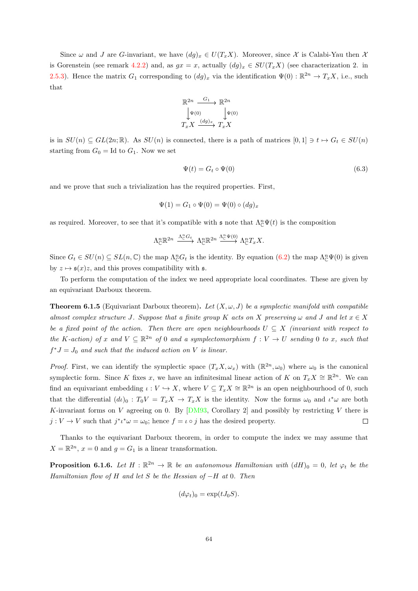Since  $\omega$  and J are G-invariant, we have  $(dg)_x \in U(T_xX)$ . Moreover, since X is Calabi-Yau then X is Gorenstein (see remark [4.2.2\)](#page-45-1) and, as  $gx = x$ , actually  $(dg)_x \in SU(T_xX)$  (see characterization 2. in [2.5.3\)](#page-21-0). Hence the matrix  $G_1$  corresponding to  $(dg)_x$  via the identification  $\Psi(0): \mathbb{R}^{2n} \to T_xX$ , i.e., such that

$$
\begin{array}{ccc}\n\mathbb{R}^{2n} & \xrightarrow{G_1} & \mathbb{R}^{2n} \\
\downarrow \Psi(0) & & \downarrow \Psi(0) \\
T_x X & \xrightarrow{(dg)_x} & T_x X\n\end{array}
$$

is in  $SU(n) \subseteq GL(2n;\mathbb{R})$ . As  $SU(n)$  is connected, there is a path of matrices  $[0,1] \ni t \mapsto G_t \in SU(n)$ starting from  $G_0 = \text{Id}$  to  $G_1$ . Now we set

<span id="page-68-1"></span>
$$
\Psi(t) = G_t \circ \Psi(0) \tag{6.3}
$$

and we prove that such a trivialization has the required properties. First,

$$
\Psi(1) = G_1 \circ \Psi(0) = \Psi(0) \circ (dg)_x
$$

as required. Moreover, to see that it's compatible with  $\mathfrak{s}$  note that  $\Lambda_{\mathbb{C}}^n \Psi(t)$  is the composition

$$
\Lambda_{\mathbb{C}}^{n}\mathbb{R}^{2n}\xrightarrow{\Lambda_{\mathbb{C}}^{n}G_{t}}\Lambda_{\mathbb{C}}^{n}\mathbb{R}^{2n}\xrightarrow{\Lambda_{\mathbb{C}}^{n}\Psi(0)}\Lambda_{\mathbb{C}}^{n}T_{x}X.
$$

Since  $G_t \in SU(n) \subseteq SL(n, \mathbb{C})$  the map  $\Lambda_{\mathbb{C}}^n G_t$  is the identity. By equation  $(6.2)$  the map  $\Lambda_{\mathbb{C}}^n \Psi(0)$  is given by  $z \mapsto \mathfrak{s}(x)z$ , and this proves compatibility with  $\mathfrak{s}$ .

To perform the computation of the index we need appropriate local coordinates. These are given by an equivariant Darboux theorem.

<span id="page-68-0"></span>**Theorem 6.1.5** (Equivariant Darboux theorem). Let  $(X, \omega, J)$  be a symplectic manifold with compatible almost complex structure J. Suppose that a finite group K acts on X preserving  $\omega$  and J and let  $x \in X$ be a fixed point of the action. Then there are open neighbourhoods  $U \subseteq X$  (invariant with respect to the K-action) of x and  $V \subseteq \mathbb{R}^{2n}$  of 0 and a symplectomorphism  $f: V \to U$  sending 0 to x, such that  $f^*J = J_0$  and such that the induced action on V is linear.

*Proof.* First, we can identify the symplectic space  $(T_x X, \omega_x)$  with  $(\mathbb{R}^{2n}, \omega_0)$  where  $\omega_0$  is the canonical symplectic form. Since K fixes x, we have an infinitesimal linear action of K on  $T_xX \cong \mathbb{R}^{2n}$ . We can find an equivariant embedding  $\iota: V \hookrightarrow X$ , where  $V \subseteq T_xX \cong \mathbb{R}^{2n}$  is an open neighbourhood of 0, such that the differential  $(d\iota)_0 : T_0V = T_xX \to T_xX$  is the identity. Now the forms  $\omega_0$  and  $\iota^*\omega$  are both K-invariant forms on V agreeing on 0. By  $[DM93,$  Corollary 2 and possibly by restricting V there is  $j: V \to V$  such that  $j^* \iota^* \omega = \omega_0$ ; hence  $f = \iota \circ j$  has the desired property.  $\Box$ 

Thanks to the equivariant Darboux theorem, in order to compute the index we may assume that  $X = \mathbb{R}^{2n}$ ,  $x = 0$  and  $g = G_1$  is a linear transformation.

<span id="page-68-2"></span>**Proposition 6.1.6.** Let  $H : \mathbb{R}^{2n} \to \mathbb{R}$  be an autonomous Hamiltonian with  $(dH)_0 = 0$ , let  $\varphi_t$  be the Hamiltonian flow of H and let S be the Hessian of  $-H$  at 0. Then

$$
(d\varphi_t)_0 = \exp(tJ_0S).
$$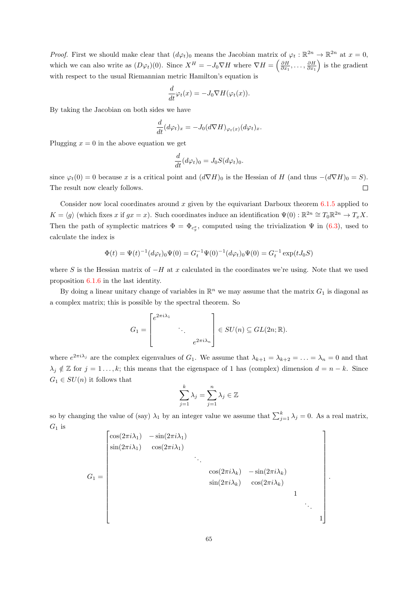*Proof.* First we should make clear that  $(d\varphi_t)_0$  means the Jacobian matrix of  $\varphi_t : \mathbb{R}^{2n} \to \mathbb{R}^{2n}$  at  $x = 0$ , which we can also write as  $(D\varphi_t)(0)$ . Since  $X^H = -J_0 \nabla H$  where  $\nabla H = \left(\frac{\partial H}{\partial x_1}, \ldots, \frac{\partial H}{\partial x_1}\right)$  is the gradient with respect to the usual Riemannian metric Hamilton's equation is

$$
\frac{d}{dt}\varphi_t(x) = -J_0 \nabla H(\varphi_t(x)).
$$

By taking the Jacobian on both sides we have

$$
\frac{d}{dt}(d\varphi_t)_x = -J_0(d\nabla H)_{\varphi_t(x)}(d\varphi_t)_x.
$$

Plugging  $x = 0$  in the above equation we get

$$
\frac{d}{dt}(d\varphi_t)_0 = J_0 S(d\varphi_t)_0.
$$

since  $\varphi_t(0) = 0$  because x is a critical point and  $(d\nabla H)_0$  is the Hessian of H (and thus  $-(d\nabla H)_0 = S$ ). The result now clearly follows.  $\Box$ 

Consider now local coordinates around x given by the equivariant Darboux theorem  $6.1.5$  applied to  $K = \langle g \rangle$  (which fixes x if  $gx = x$ ). Such coordinates induce an identification  $\Psi(0) : \mathbb{R}^{2n} \cong T_0 \mathbb{R}^{2n} \to T_x X$ . Then the path of symplectic matrices  $\Phi = \Phi_{c_g^x}$ , computed using the trivialization  $\Psi$  in [\(6.3\)](#page-68-1), used to calculate the index is

$$
\Phi(t) = \Psi(t)^{-1} (d\varphi_t)_0 \Psi(0) = G_t^{-1} \Psi(0)^{-1} (d\varphi_t)_0 \Psi(0) = G_t^{-1} \exp(tJ_0 S)
$$

where S is the Hessian matrix of  $-H$  at x calculated in the coordinates we're using. Note that we used proposition [6.1.6](#page-68-2) in the last identity.

By doing a linear unitary change of variables in  $\mathbb{R}^n$  we may assume that the matrix  $G_1$  is diagonal as a complex matrix; this is possible by the spectral theorem. So

$$
G_1 = \begin{bmatrix} e^{2\pi i \lambda_1} & & \\ & \ddots & \\ & & e^{2\pi i \lambda_n} \end{bmatrix} \in SU(n) \subseteq GL(2n; \mathbb{R}).
$$

where  $e^{2\pi i \lambda_j}$  are the complex eigenvalues of  $G_1$ . We assume that  $\lambda_{k+1} = \lambda_{k+2} = \ldots = \lambda_n = 0$  and that  $\lambda_j \notin \mathbb{Z}$  for  $j = 1 \ldots, k$ ; this means that the eigenspace of 1 has (complex) dimension  $d = n - k$ . Since  $G_1 \in SU(n)$  it follows that

$$
\sum_{j=1}^{k} \lambda_j = \sum_{j=1}^{n} \lambda_j \in \mathbb{Z}
$$

so by changing the value of (say)  $\lambda_1$  by an integer value we assume that  $\sum_{j=1}^k \lambda_j = 0$ . As a real matrix,  $G_1$  is

$$
G_1 = \begin{bmatrix} \cos(2\pi i \lambda_1) & -\sin(2\pi i \lambda_1) & & & \\ \sin(2\pi i \lambda_1) & \cos(2\pi i \lambda_1) & & \\ & \ddots & & \\ & & \cos(2\pi i \lambda_k) & -\sin(2\pi i \lambda_k) \\ & & & \sin(2\pi i \lambda_k) & \cos(2\pi i \lambda_k) \\ & & & & 1 \end{bmatrix}.
$$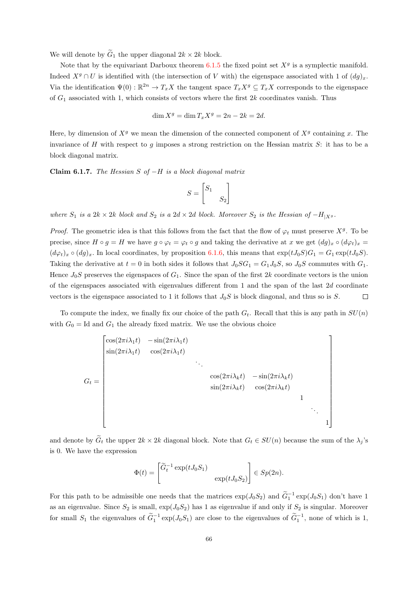We will denote by  $\widetilde{G}_1$  the upper diagonal  $2k \times 2k$  block.

Note that by the equivariant Darboux theorem  $6.1.5$  the fixed point set  $X<sup>g</sup>$  is a symplectic manifold. Indeed  $X^g \cap U$  is identified with (the intersection of V with) the eigenspace associated with 1 of  $(dq)_x$ . Via the identification  $\Psi(0) : \mathbb{R}^{2n} \to T_x X$  the tangent space  $T_x X^g \subseteq T_x X$  corresponds to the eigenspace of  $G_1$  associated with 1, which consists of vectors where the first  $2k$  coordinates vanish. Thus

$$
\dim X^g = \dim T_x X^g = 2n - 2k = 2d.
$$

Here, by dimension of  $X<sup>g</sup>$  we mean the dimension of the connected component of  $X<sup>g</sup>$  containing x. The invariance of H with respect to g imposes a strong restriction on the Hessian matrix  $S$ : it has to be a block diagonal matrix.

Claim 6.1.7. The Hessian S of  $-H$  is a block diagonal matrix

$$
S = \begin{bmatrix} S_1 & \\ & S_2 \end{bmatrix}
$$

where  $S_1$  is a 2k × 2k block and  $S_2$  is a 2d × 2d block. Moreover  $S_2$  is the Hessian of  $-H_{|X^g}$ .

*Proof.* The geometric idea is that this follows from the fact that the flow of  $\varphi_t$  must preserve  $X^g$ . To be precise, since  $H \circ q = H$  we have  $q \circ \varphi_t = \varphi_t \circ q$  and taking the derivative at x we get  $(dq)_x \circ (d\varphi_t)_x =$  $(d\varphi_t)_x \circ (dg)_x$ . In local coordinates, by proposition [6.1.6,](#page-68-2) this means that  $\exp(tJ_0S)G_1 = G_1 \exp(tJ_0S)$ . Taking the derivative at  $t = 0$  in both sides it follows that  $J_0SG_1 = G_1J_0S$ , so  $J_0S$  commutes with  $G_1$ . Hence  $J_0S$  preserves the eigenspaces of  $G_1$ . Since the span of the first 2k coordinate vectors is the union of the eigenspaces associated with eigenvalues different from 1 and the span of the last 2d coordinate vectors is the eigenspace associated to 1 it follows that  $J_0S$  is block diagonal, and thus so is S.  $\Box$ 

To compute the index, we finally fix our choice of the path  $G_t$ . Recall that this is any path in  $SU(n)$ with  $G_0 = \text{Id}$  and  $G_1$  the already fixed matrix. We use the obvious choice

$$
G_{t} = \begin{bmatrix} \cos(2\pi i \lambda_{1}t) & -\sin(2\pi i \lambda_{1}t) & & & \\ \sin(2\pi i \lambda_{1}t) & \cos(2\pi i \lambda_{1}t) & & & \\ & & \ddots & & \\ & & & \cos(2\pi i \lambda_{k}t) & -\sin(2\pi i \lambda_{k}t) \\ & & & & \sin(2\pi i \lambda_{k}t) & \cos(2\pi i \lambda_{k}t) \\ & & & & & 1 \\ & & & & & & 1 \end{bmatrix}
$$

and denote by  $G_t$  the upper  $2k \times 2k$  diagonal block. Note that  $G_t \in SU(n)$  because the sum of the  $\lambda_j$ 's is 0. We have the expression

$$
\Phi(t) = \begin{bmatrix} \widetilde{G}_t^{-1} \exp(tJ_0S_1) & \\ \exp(tJ_0S_2) & \end{bmatrix} \in Sp(2n).
$$

For this path to be admissible one needs that the matrices  $\exp(J_0S_2)$  and  $\tilde{G}_1^{-1} \exp(J_0S_1)$  don't have 1 as an eigenvalue. Since  $S_2$  is small,  $\exp(J_0S_2)$  has 1 as eigenvalue if and only if  $S_2$  is singular. Moreover for small  $S_1$  the eigenvalues of  $\tilde{G}_1^{-1}$  exp( $J_0S_1$ ) are close to the eigenvalues of  $\tilde{G}_1^{-1}$ , none of which is 1,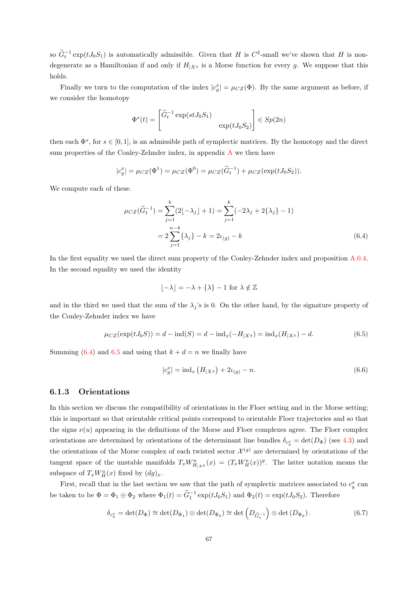so  $\widetilde{G}_t^{-1} \exp(tJ_0S_1)$  is automatically admissible. Given that H is  $C^2$ -small we've shown that H is nondegenerate as a Hamiltonian if and only if  $H_{|X^g}$  is a Morse function for every g. We suppose that this holds.

Finally we turn to the computation of the index  $|c_g^x| = \mu_{CZ}(\Phi)$ . By the same argument as before, if we consider the homotopy

$$
\Phi^s(t) = \begin{bmatrix} \widetilde{G}_t^{-1} \exp(st J_0 S_1) & \\ & \exp(t J_0 S_2) \end{bmatrix} \in Sp(2n)
$$

then each  $\Phi^s$ , for  $s \in [0,1]$ , is an admissible path of symplectic matrices. By the homotopy and the direct sum properties of the Conley-Zehnder index, in appendix [A](#page-82-1) we then have

$$
|c_g^x| = \mu_{CZ}(\Phi^1) = \mu_{CZ}(\Phi^0) = \mu_{CZ}(\widetilde{G}_t^{-1}) + \mu_{CZ}(\exp(tJ_0S_2)).
$$

We compute each of these.

$$
\mu_{CZ}(\widetilde{G}_t^{-1}) = \sum_{j=1}^k (2[-\lambda_j] + 1) = \sum_{j=1}^k (-2\lambda_j + 2\{\lambda_j\} - 1)
$$

$$
= 2\sum_{j=1}^{n-k} {\lambda_j} - k = 2\iota_{(g)} - k
$$
(6.4)

In the first equality we used the direct sum property of the Conley-Zehnder index and proposition [A.0.4.](#page-83-0) In the second equality we used the identity

<span id="page-71-0"></span>
$$
\lfloor -\lambda \rfloor = -\lambda + \{\lambda\} - 1 \text{ for } \lambda \notin \mathbb{Z}
$$

and in the third we used that the sum of the  $\lambda_i$ 's is 0. On the other hand, by the signature property of the Conley-Zehnder index we have

<span id="page-71-1"></span>
$$
\mu_{CZ}(\exp(tJ_0S)) = d - \text{ind}(S) = d - \text{ind}_x(-H_{|X^g}) = \text{ind}_x(H_{|X^g}) - d. \tag{6.5}
$$

Summing [\(6.4\)](#page-71-0) and [6.5](#page-71-1) and using that  $k + d = n$  we finally have

$$
|c_g^x| = \text{ind}_x \left( H_{|X^g} \right) + 2\iota_{(g)} - n. \tag{6.6}
$$

#### 6.1.3 Orientations

In this section we discuss the compatibility of orientations in the Floer setting and in the Morse setting; this is important so that orientable critical points correspond to orientable Floer trajectories and so that the signs  $\nu(u)$  appearing in the definitions of the Morse and Floer complexes agree. The Floer complex orientations are determined by orientations of the determinant line bundles  $\delta_{c_g^x} = \det(D_\Phi)$  (see [4.3\)](#page-47-0) and the orientations of the Morse complex of each twisted sector  $\mathcal{X}^{(g)}$  are determined by orientations of the tangent space of the unstable manifolds  $T_x W^u_{H|Xg}(x) = (T_x W^u_H(x))^g$ . The latter notation means the subspace of  $T_x W_H^u(x)$  fixed by  $(dg)_x$ .

First, recall that in the last section we saw that the path of symplectic matrices associated to  $c_g^x$  can be taken to be  $\Phi = \Phi_1 \oplus \Phi_2$  where  $\Phi_1(t) = \widetilde{G}_1^{-1} \exp(tJ_0S_1)$  and  $\Phi_2(t) = \exp(tJ_0S_2)$ . Therefore

$$
\delta_{c_g^x} = \det(D_{\Phi}) \cong \det(D_{\Phi_1}) \otimes \det(D_{\Phi_2}) \cong \det(D_{\widetilde{G}_t^{-1}}) \otimes \det(D_{\Phi_2}). \tag{6.7}
$$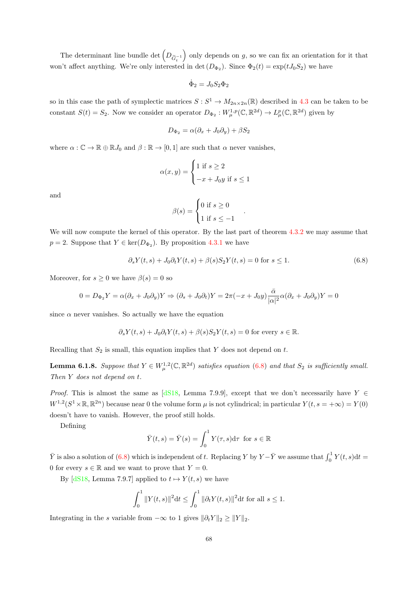The determinant line bundle det  $\left(D_{\tilde{G}_t^{-1}}\right)$ only depends on  $g$ , so we can fix an orientation for it that won't affect anything. We're only interested in det  $(D_{\Phi_2})$ . Since  $\Phi_2(t) = \exp(tJ_0S_2)$  we have

$$
\dot{\Phi}_2 = J_0 S_2 \Phi_2
$$

so in this case the path of symplectic matrices  $S: S^1 \to M_{2n \times 2n}(\mathbb{R})$  described in [4.3](#page-47-0) can be taken to be constant  $S(t) = S_2$ . Now we consider an operator  $D_{\Phi_2}: W^{1,p}_{\mu}(\mathbb{C}, \mathbb{R}^{2d}) \to L^p_{\mu}(\mathbb{C}, \mathbb{R}^{2d})$  given by

$$
D_{\Phi_2} = \alpha(\partial_x + J_0 \partial_y) + \beta S_2
$$

where  $\alpha : \mathbb{C} \to \mathbb{R} \oplus \mathbb{R} J_0$  and  $\beta : \mathbb{R} \to [0, 1]$  are such that  $\alpha$  never vanishes,

$$
\alpha(x, y) = \begin{cases} 1 \text{ if } s \ge 2 \\ -x + J_0 y \text{ if } s \le 1 \end{cases}
$$

and

$$
\beta(s) = \begin{cases} 0 \text{ if } s \ge 0 \\ 1 \text{ if } s \le -1 \end{cases}
$$

We will now compute the kernel of this operator. By the last part of theorem  $4.3.2$  we may assume that  $p = 2$ . Suppose that  $Y \in \text{ker}(D_{\Phi_2})$ . By proposition [4.3.1](#page-48-1) we have

<span id="page-72-0"></span>
$$
\partial_s Y(t,s) + J_0 \partial_t Y(t,s) + \beta(s) S_2 Y(t,s) = 0 \text{ for } s \le 1.
$$
 (6.8)

.

Moreover, for  $s \geq 0$  we have  $\beta(s) = 0$  so

$$
0 = D_{\Phi_2}Y = \alpha(\partial_x + J_0\partial_y)Y \Rightarrow (\partial_s + J_0\partial_t)Y = 2\pi(-x + J_0y)\frac{\bar{\alpha}}{|\alpha|^2}\alpha(\partial_x + J_0\partial_y)Y = 0
$$

since  $\alpha$  never vanishes. So actually we have the equation

$$
\partial_s Y(t,s) + J_0 \partial_t Y(t,s) + \beta(s) S_2 Y(t,s) = 0
$$
 for every  $s \in \mathbb{R}$ .

Recalling that  $S_2$  is small, this equation implies that Y does not depend on t.

**Lemma 6.1.8.** Suppose that  $Y \in W^{1,2}_\mu(\mathbb{C}, \mathbb{R}^{2d})$  satisfies equation [\(6.8\)](#page-72-0) and that  $S_2$  is sufficiently small. Then Y does not depend on t.

*Proof.* This is almost the same as [\[dS18,](#page-89-0) Lemma 7.9.9], except that we don't necessarily have  $Y \in$  $W^{1,2}(S^1\times\mathbb{R},\mathbb{R}^{2n})$  because near 0 the volume form  $\mu$  is not cylindrical; in particular  $Y(t,s=+\infty)=Y(0)$ doesn't have to vanish. However, the proof still holds.

Defining

$$
\bar{Y}(t,s) = \bar{Y}(s) = \int_0^1 Y(\tau,s) \mathrm{d}\tau \text{ for } s \in \mathbb{R}
$$

 $\overline{Y}$  is also a solution of [\(6.8\)](#page-72-0) which is independent of t. Replacing Y by Y – $\overline{Y}$  we assume that  $\int_0^1 Y(t, s) dt =$ 0 for every  $s \in \mathbb{R}$  and we want to prove that  $Y = 0$ .

By  $[dS18, Lemma 7.9.7]$  $[dS18, Lemma 7.9.7]$  applied to  $t \mapsto Y(t, s)$  we have

$$
\int_0^1 \|Y(t,s)\|^2 dt \le \int_0^1 \|\partial_t Y(t,s)\|^2 dt \text{ for all } s \le 1.
$$

Integrating in the s variable from  $-\infty$  to 1 gives  $\|\partial_t Y\|_2 \geq \|Y\|_2$ .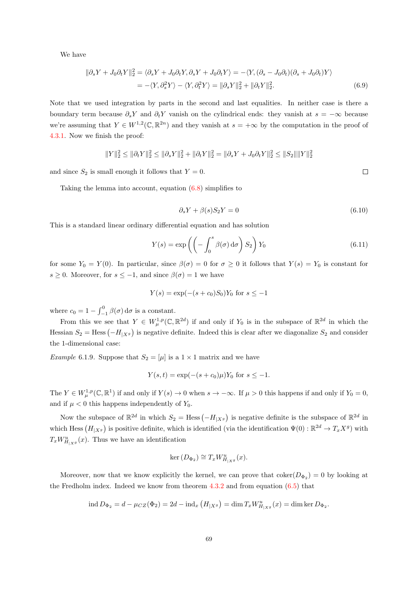We have

$$
\|\partial_s Y + J_0 \partial_t Y\|_2^2 = \langle \partial_s Y + J_0 \partial_t Y, \partial_s Y + J_0 \partial_t Y \rangle = -\langle Y, (\partial_s - J_0 \partial_t)(\partial_s + J_0 \partial_t)Y \rangle
$$
  
= -\langle Y, \partial\_s^2 Y \rangle - \langle Y, \partial\_t^2 Y \rangle = \|\partial\_s Y\|\_2^2 + \|\partial\_t Y\|\_2^2. (6.9)

Note that we used integration by parts in the second and last equalities. In neither case is there a boundary term because  $\partial_s Y$  and  $\partial_t Y$  vanish on the cylindrical ends: they vanish at  $s = -\infty$  because we're assuming that  $Y \in W^{1,2}(\mathbb{C}, \mathbb{R}^{2n})$  and they vanish at  $s = +\infty$  by the computation in the proof of [4.3.1.](#page-48-1) Now we finish the proof:

$$
||Y||_2^2 \le ||\partial_t Y||_2^2 \le ||\partial_s Y||_2^2 + ||\partial_t Y||_2^2 = ||\partial_s Y + J_0 \partial_t Y||_2^2 \le ||S_2|| ||Y||_2^2
$$

and since  $S_2$  is small enough it follows that  $Y = 0$ .

Taking the lemma into account, equation [\(6.8\)](#page-72-0) simplifies to

$$
\partial_s Y + \beta(s) S_2 Y = 0 \tag{6.10}
$$

This is a standard linear ordinary differential equation and has solution

$$
Y(s) = \exp\left(\left(-\int_0^s \beta(\sigma) d\sigma\right) S_2\right) Y_0 \tag{6.11}
$$

for some  $Y_0 = Y(0)$ . In particular, since  $\beta(\sigma) = 0$  for  $\sigma \ge 0$  it follows that  $Y(s) = Y_0$  is constant for s ≥ 0. Moreover, for  $s \leq -1$ , and since  $\beta(\sigma) = 1$  we have

$$
Y(s) = \exp(-(s+c_0)S_0)Y_0 \text{ for } s \le -1
$$

where  $c_0 = 1 - \int_{-1}^{0} \beta(\sigma) d\sigma$  is a constant.

From this we see that  $Y \in W^{1,p}_\mu(\mathbb{C},\mathbb{R}^{2d})$  if and only if  $Y_0$  is in the subspace of  $\mathbb{R}^{2d}$  in which the Hessian  $S_2$  = Hess  $(-H_{|X_g})$  is negative definite. Indeed this is clear after we diagonalize  $S_2$  and consider the 1-dimensional case:

*Example* 6.1.9. Suppose that  $S_2 = [\mu]$  is a  $1 \times 1$  matrix and we have

$$
Y(s,t) = \exp(-(s+c_0)\mu)Y_0 \text{ for } s \le -1.
$$

The  $Y \in W^{1,p}_\mu(\mathbb{C}, \mathbb{R}^1)$  if and only if  $Y(s) \to 0$  when  $s \to -\infty$ . If  $\mu > 0$  this happens if and only if  $Y_0 = 0$ , and if  $\mu < 0$  this happens independently of  $Y_0$ .

Now the subspace of  $\mathbb{R}^{2d}$  in which  $S_2 = \text{Hess}(-H_{|X^g})$  is negative definite is the subspace of  $\mathbb{R}^{2d}$  in which Hess  $(H_{|X_g})$  is positive definite, which is identified (via the identification  $\Psi(0)$ :  $\mathbb{R}^{2d} \to T_x X^g$ ) with  $T_x W_{H_{|X}g}^u(x)$ . Thus we have an identification

$$
\ker \left( D_{\Phi_2} \right) \cong T_x W^u_{H_{|X^g}}(x).
$$

Moreover, now that we know explicitly the kernel, we can prove that  $\text{coker}(D_{\Phi_2})=0$  by looking at the Fredholm index. Indeed we know from theorem [4.3.2](#page-48-0) and from equation [\(6.5\)](#page-71-0) that

$$
\text{ind } D_{\Phi_2} = d - \mu_{CZ}(\Phi_2) = 2d - \text{ind}_x \left( H_{|X^g} \right) = \text{dim } T_x W^u_{H_{|X^g}}(x) = \text{dim }\text{ker } D_{\Phi_2}.
$$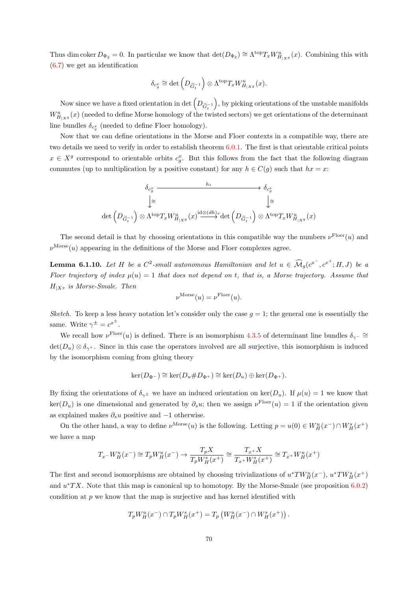Thus dim coker  $D_{\Phi_2} = 0$ . In particular we know that  $\det(D_{\Phi_2}) \cong \Lambda^{top} T_x W_{H_{|X}g}^u(x)$ . Combining this with [\(6.7\)](#page-71-1) we get an identification

$$
\delta_{c_g^x} \cong \det \left( D_{\widetilde{G}_t^{-1}} \right) \otimes \Lambda^{\text{top}} T_x W^u_{H_{|X}g}(x).
$$

Now since we have a fixed orientation in det  $\left(D_{\tilde{G}_t^{-1}}\right)$  , by picking orientations of the unstable manifolds  $W^u_{H_{|X^g}}(x)$  (needed to define Morse homology of the twisted sectors) we get orientations of the determinant line bundles  $\delta_{c_g^x}$  (needed to define Floer homology).

Now that we can define orientations in the Morse and Floer contexts in a compatible way, there are two details we need to verify in order to establish theorem [6.0.1.](#page-63-0) The first is that orientable critical points  $x \in X<sup>g</sup>$  correspond to orientable orbits  $c<sub>g</sub><sup>x</sup>$ . But this follows from the fact that the following diagram commutes (up to multiplication by a positive constant) for any  $h \in C(q)$  such that  $hx = x$ :

$$
\delta_{c_g^x} \xrightarrow{h_*} \delta_{c_g^x}
$$
\n
$$
\downarrow \cong \qquad \qquad \downarrow \cong
$$
\n
$$
\text{det}\left(D_{\widetilde{G}_t^{-1}}\right) \otimes \Lambda^{\text{top}} T_x W_{H_{|X^g}}^u(x) \xrightarrow{\text{id} \otimes (dh)_x} \text{det}\left(D_{\widetilde{G}_t^{-1}}\right) \otimes \Lambda^{\text{top}} T_x W_{H_{|X^g}}^u(x)
$$

The second detail is that by choosing orientations in this compatible way the numbers  $\nu^{\text{Floer}}(u)$  and  $\nu^{\text{Morse}}(u)$  appearing in the definitions of the Morse and Floer complexes agree.

<span id="page-74-0"></span>**Lemma 6.1.10.** Let H be a  $C^2$ -small autonomous Hamiltonian and let  $u \in \widehat{\mathcal{M}}_g(c^{x^-}, c^{x^+}; H, J)$  be a Floer trajectory of index  $\mu(u) = 1$  that does not depend on t, that is, a Morse trajectory. Assume that  $H_{|X^g}$  is Morse-Smale. Then

$$
\nu^{\text{Morse}}(u) = \nu^{\text{Floer}}(u).
$$

Sketch. To keep a less heavy notation let's consider only the case  $q = 1$ ; the general one is essentially the same. Write  $\gamma^{\pm} = c^{x^{\pm}}$ .

We recall how  $\nu^{\text{Floer}}(u)$  is defined. There is an isomorphism [4.3.5](#page-49-0) of determinant line bundles  $\delta_{\gamma^-} \cong$  $\det(D_u) \otimes \delta_{\gamma^+}$ . Since in this case the operators involved are all surjective, this isomorphism is induced by the isomorphism coming from gluing theory

$$
\ker(D_{\Phi^-}) \cong \ker(D_u \# D_{\Phi^+}) \cong \ker(D_u) \oplus \ker(D_{\Phi^+}).
$$

By fixing the orientations of  $\delta_{\gamma^{\pm}}$  we have an induced orientation on ker(D<sub>u</sub>). If  $\mu(u) = 1$  we know that  $\ker(D_u)$  is one dimensional and generated by  $\partial_s u$ ; then we assign  $\nu^{\text{Floer}}(u) = 1$  if the orientation given as explained makes  $\partial_s u$  positive and  $-1$  otherwise.

On the other hand, a way to define  $\nu^{\text{Morse}}(u)$  is the following. Letting  $p = u(0) \in W_H^u(x^-) \cap W_H^s(x^+)$ we have a map

$$
T_x - W_H^u(x^-) \cong T_p W_H^u(x^-) \to \frac{T_p X}{T_p W_H^s(x^+)} \cong \frac{T_x + X}{T_x + W_H^s(x^+)} \cong T_x + W_H^u(x^+)
$$

The first and second isomorphisms are obtained by choosing trivializations of  $u^*TW_H^u(x^-)$ ,  $u^*TW_H^s(x^+)$ and  $u^*TX$ . Note that this map is canonical up to homotopy. By the Morse-Smale (see proposition  $6.0.2$ ) condition at  $p$  we know that the map is surjective and has kernel identified with

$$
T_p W_H^u(x^-) \cap T_p W_H^s(x^+) = T_p \left( W_H^u(x^-) \cap W_H^s(x^+) \right).
$$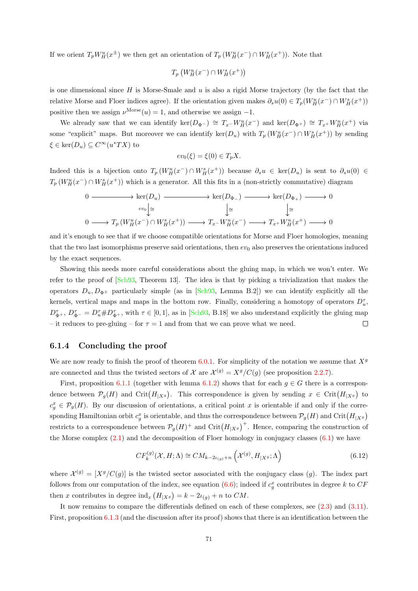If we orient  $T_p W_H^u(x^{\pm})$  we then get an orientation of  $T_p (W_H^u(x^-) \cap W_H^s(x^+))$ . Note that

$$
T_p\left(W^u_H(x^-) \cap W^s_H(x^+)\right)
$$

is one dimensional since  $H$  is Morse-Smale and  $u$  is also a rigid Morse trajectory (by the fact that the relative Morse and Floer indices agree). If the orientation given makes  $\partial_s u(0) \in T_p(W_H^u(x^-) \cap W_H^s(x^+))$ positive then we assign  $\nu^{\text{Morse}}(u) = 1$ , and otherwise we assign -1.

We already saw that we can identify ker( $D_{\Phi^{-}}$ )  $\cong T_{x}$ - $W_{H}^{u}(x^{-})$  and ker( $D_{\Phi^{+}}$ )  $\cong T_{x}$ + $W_{H}^{u}(x^{+})$  via some "explicit" maps. But moreover we can identify  $\ker(D_u)$  with  $T_p(W_H^u(x^-) \cap W_H^s(x^+))$  by sending  $\xi \in \ker(D_u) \subseteq C^\infty(u^*TX)$  to

$$
ev_0(\xi) = \xi(0) \in T_p X.
$$

Indeed this is a bijection onto  $T_p(W_H^u(x^-) \cap W_H^s(x^+))$  because  $\partial_s u \in \text{ker}(D_u)$  is sent to  $\partial_s u(0) \in$  $T_p(W_H^u(x^-) \cap W_H^s(x^+))$  which is a generator. All this fits in a (non-strictly commutative) diagram

$$
\begin{array}{ccccccc}\n0 & \xrightarrow{\hspace{2cm}} & \ker(D_u) & \xrightarrow{\hspace{2cm}} & \ker(D_{\Phi_-}) & \xrightarrow{\hspace{2cm}} & \ker(D_{\Phi_+}) & \xrightarrow{\hspace{2cm}} & 0 \\
& \downarrow^{\geq} & & \downarrow^{\geq} & & \downarrow^{\geq} \\
0 & \xrightarrow{\hspace{2cm}} & T_p \left( W_H^u(x^-) \cap W_H^s(x^+) \right) & \xrightarrow{\hspace{2cm}} & T_x - W_H^u(x^-) & \xrightarrow{\hspace{2cm}} & T_{x^+} W_H^u(x^+) & \xrightarrow{\hspace{2cm}} & 0\n\end{array}
$$

and it's enough to see that if we choose compatible orientations for Morse and Floer homologies, meaning that the two last isomorphisms preserve said orientations, then  $ev_0$  also preserves the orientations induced by the exact sequences.

Showing this needs more careful considerations about the gluing map, in which we won't enter. We refer to the proof of [\[Sch93,](#page-91-0) Theorem 13]. The idea is that by picking a trivialization that makes the operators  $D_u, D_{\Phi^{\pm}}$  particularly simple (as in [\[Sch93,](#page-91-0) Lemma B.2]) we can identify explicitly all the kernels, vertical maps and maps in the bottom row. Finally, considering a homotopy of operators  $D_u^{\tau}$ ,  $D_{\Phi^+}^{\tau}$ ,  $D_{\Phi^-}^{\tau} = D_u^{\tau} \# D_{\Phi^+}^{\tau}$ , with  $\tau \in [0, 1]$ , as in [\[Sch93,](#page-91-0) B.18] we also understand explicitly the gluing map – it reduces to pre-gluing – for  $\tau = 1$  and from that we can prove what we need.  $\Box$ 

#### 6.1.4 Concluding the proof

We are now ready to finish the proof of theorem [6.0.1.](#page-63-0) For simplicity of the notation we assume that  $X<sup>g</sup>$ are connected and thus the twisted sectors of X are  $\mathcal{X}^{(g)} = X^g/C(g)$  (see proposition [2.2.7\)](#page-15-0).

First, proposition [6.1.1](#page-65-0) (together with lemma [6.1.2\)](#page-66-0) shows that for each  $g \in G$  there is a correspondence between  $\mathcal{P}_g(H)$  and  $\mathrm{Crit}(H_{|X^g})$ . This correspondence is given by sending  $x \in \mathrm{Crit}(H_{|X^g})$  to  $c_g^x \in \mathcal{P}_g(H)$ . By our discussion of orientations, a critical point x is orientable if and only if the corresponding Hamiltonian orbit  $c_g^x$  is orientable, and thus the correspondence between  $\mathcal{P}_g(H)$  and  $\mathrm{Crit}(H_{|X^g})$ restricts to a correspondence between  $\mathcal{P}_g(H)^+$  and  $\mathrm{Crit}(H_{|X^g})^+$ . Hence, comparing the construction of the Morse complex  $(2.1)$  and the decomposition of Floer homology in conjugacy classes  $(6.1)$  we have

$$
CF_k^{(g)}(\mathcal{X}, H; \Lambda) \cong CM_{k-2\iota_{(g)}+n}\left(\mathcal{X}^{(g)}, H_{|X^g}; \Lambda\right)
$$
\n(6.12)

where  $\mathcal{X}^{(g)} = [X^g/C(g)]$  is the twisted sector associated with the conjugacy class (g). The index part follows from our computation of the index, see equation [\(6.6\)](#page-71-2); indeed if  $c_g^x$  contributes in degree k to  $CF$ then x contributes in degree  $\text{ind}_x \left( H_{|X^g} \right) = k - 2\iota_{(g)} + n$  to CM.

It now remains to compare the differentials defined on each of these complexes, see [\(2.3\)](#page-18-1) and [\(3.11\)](#page-35-0). First, proposition [6.1.3](#page-66-1) (and the discussion after its proof) shows that there is an identification between the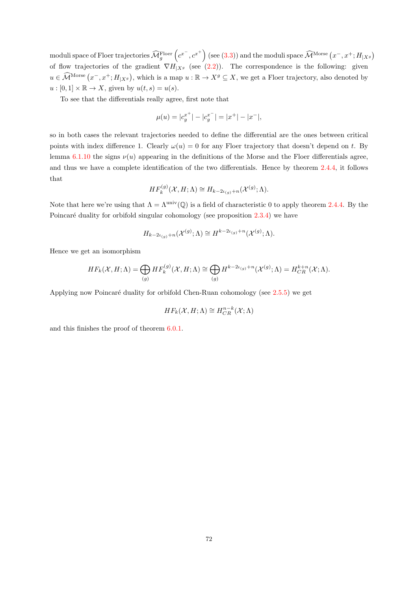$\mod$ uli space of Floer trajectories  $\widehat{\mathcal{M}}_g^\text{Floer}\left(c^{x^-},c^{x^+}\right)$  (see [\(3.3\)](#page-27-0)) and the moduli space  $\widehat{\mathcal{M}}^\text{Morse}\left(x^-,x^+;H_{|X^g}\right)$ of flow trajectories of the gradient  $\nabla H_{Xg}$  (see [\(2.2\)](#page-18-2)). The correspondence is the following: given  $u \in \widehat{\mathcal{M}}^{\text{Morse}}(x^-, x^+; H_{|X^g})$ , which is a map  $u : \mathbb{R} \to X^g \subseteq X$ , we get a Floer trajectory, also denoted by  $u : [0,1] \times \mathbb{R} \to X$ , given by  $u(t,s) = u(s)$ .

To see that the differentials really agree, first note that

$$
\mu(u) = |c_g^{x^+}| - |c_g^{x^-}| = |x^+| - |x^-|,
$$

so in both cases the relevant trajectories needed to define the differential are the ones between critical points with index difference 1. Clearly  $\omega(u) = 0$  for any Floer trajectory that doesn't depend on t. By lemma [6.1.10](#page-74-0) the signs  $\nu(u)$  appearing in the definitions of the Morse and the Floer differentials agree, and thus we have a complete identification of the two differentials. Hence by theorem [2.4.4,](#page-19-0) it follows that

$$
HF_k^{(g)}(\mathcal{X}, H; \Lambda) \cong H_{k-2\iota_{(g)}+n}(\mathcal{X}^{(g)}; \Lambda).
$$

Note that here we're using that  $\Lambda = \Lambda^{\text{univ}}(\mathbb{Q})$  is a field of characteristic 0 to apply theorem [2.4.4.](#page-19-0) By the Poincaré duality for orbifold singular cohomology (see proposition  $2.3.4$ ) we have

$$
H_{k-2\iota_{(g)}+n}(\mathcal{X}^{(g)};\Lambda) \cong H^{k-2\iota_{(g)}+n}(\mathcal{X}^{(g)};\Lambda).
$$

Hence we get an isomorphism

$$
HF_k(\mathcal{X}, H; \Lambda) = \bigoplus_{(g)} HF_k^{(g)}(\mathcal{X}, H; \Lambda) \cong \bigoplus_{(g)} H^{k-2\iota_{(g)}+n}(\mathcal{X}^{(g)}; \Lambda) = H^{k+n}_{CR}(\mathcal{X}; \Lambda).
$$

Applying now Poincaré duality for orbifold Chen-Ruan cohomology (see [2.5.5\)](#page-22-0) we get

$$
HF_k(\mathcal{X}, H; \Lambda) \cong H^{n-k}_{CR}(\mathcal{X}; \Lambda)
$$

and this finishes the proof of theorem [6.0.1.](#page-63-0)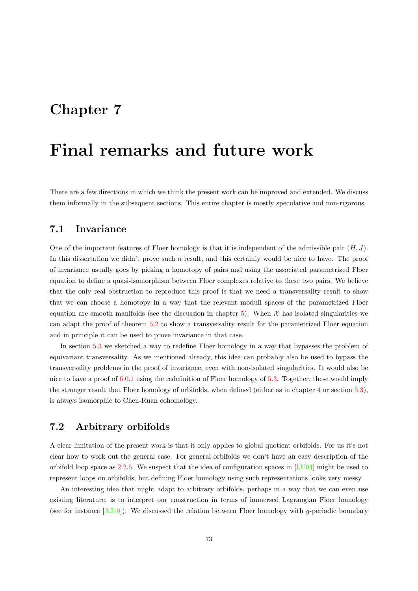## Chapter 7

# Final remarks and future work

There are a few directions in which we think the present work can be improved and extended. We discuss them informally in the subsequent sections. This entire chapter is mostly speculative and non-rigorous.

### 7.1 Invariance

One of the important features of Floer homology is that it is independent of the admissible pair  $(H, J)$ . In this dissertation we didn't prove such a result, and this certainly would be nice to have. The proof of invariance usually goes by picking a homotopy of pairs and using the associated parametrized Floer equation to define a quasi-isomorphism between Floer complexes relative to these two pairs. We believe that the only real obstruction to reproduce this proof is that we need a transversality result to show that we can choose a homotopy in a way that the relevant moduli spaces of the parametrized Floer equation are smooth manifolds (see the discussion in chapter [5\)](#page-55-0). When  $\mathcal X$  has isolated singularities we can adapt the proof of theorem [5.2](#page-56-0) to show a transversality result for the parametrized Floer equation and in principle it can be used to prove invariance in that case.

In section [5.3](#page-61-0) we sketched a way to redefine Floer homology in a way that bypasses the problem of equivariant transversality. As we mentioned already, this idea can probably also be used to bypass the transversality problems in the proof of invariance, even with non-isolated singularities. It would also be nice to have a proof of [6.0.1](#page-63-0) using the redefinition of Floer homology of [5.3.](#page-61-0) Together, these would imply the stronger result that Floer homology of orbifolds, when defined (either as in chapter [4](#page-41-0) or section [5.3\)](#page-61-0), is always isomorphic to Chen-Ruan cohomology.

### 7.2 Arbitrary orbifolds

A clear limitation of the present work is that it only applies to global quotient orbifolds. For us it's not clear how to work out the general case. For general orbifolds we don't have an easy description of the orbifold loop space as [2.2.5.](#page-14-0) We suspect that the idea of configuration spaces in  $[LU04]$  might be used to represent loops on orbifolds, but defining Floer homology using such representations looks very messy.

An interesting idea that might adapt to arbitrary orbifolds, perhaps in a way that we can even use existing literature, is to interpret our construction in terms of immersed Lagrangian Floer homology (see for instance  $[AJ10]$ ). We discussed the relation between Floer homology with g-periodic boundary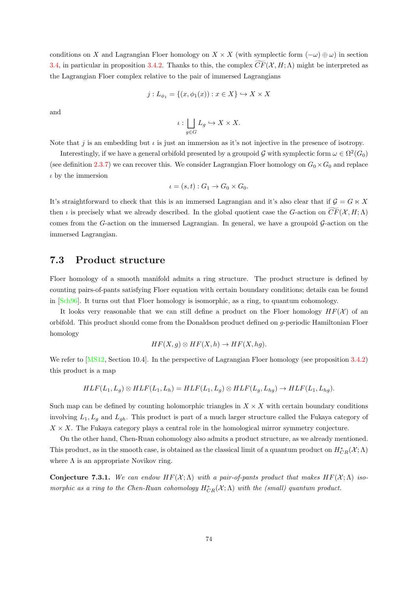conditions on X and Lagrangian Floer homology on  $X \times X$  (with symplectic form  $(-\omega) \oplus \omega$ ) in section [3.4,](#page-38-0) in particular in proposition [3.4.2.](#page-39-0) Thanks to this, the complex  $CF(\mathcal{X}, H; \Lambda)$  might be interpreted as the Lagrangian Floer complex relative to the pair of immersed Lagrangians

$$
j: L_{\phi_1} = \{(x, \phi_1(x)) : x \in X\} \hookrightarrow X \times X
$$

and

$$
\iota: \bigsqcup_{g \in G} L_g \hookrightarrow X \times X.
$$

Note that j is an embedding but  $\iota$  is just an immersion as it's not injective in the presence of isotropy.

Interestingly, if we have a general orbifold presented by a groupoid G with symplectic form  $\omega \in \Omega^2(G_0)$ (see definition [2.3.7\)](#page-17-0) we can recover this. We consider Lagrangian Floer homology on  $G_0 \times G_0$  and replace  $\iota$  by the immersion

$$
\iota = (s, t) : G_1 \to G_0 \times G_0.
$$

It's straightforward to check that this is an immersed Lagrangian and it's also clear that if  $\mathcal{G} = G \ltimes X$ then *i* is precisely what we already described. In the global quotient case the G-action on  $\widetilde{CF}(\mathcal{X}, H; \Lambda)$ comes from the G-action on the immersed Lagrangian. In general, we have a groupoid  $\mathcal{G}\text{-action}$  on the immersed Lagrangian.

### 7.3 Product structure

Floer homology of a smooth manifold admits a ring structure. The product structure is defined by counting pairs-of-pants satisfying Floer equation with certain boundary conditions; details can be found in [\[Sch96\]](#page-91-1). It turns out that Floer homology is isomorphic, as a ring, to quantum cohomology.

It looks very reasonable that we can still define a product on the Floer homology  $HF(\mathcal{X})$  of an orbifold. This product should come from the Donaldson product defined on g-periodic Hamiltonian Floer homology

$$
HF(X, g) \otimes HF(X, h) \to HF(X, hg).
$$

We refer to [\[MS12,](#page-90-1) Section 10.4]. In the perspective of Lagrangian Floer homology (see proposition [3.4.2\)](#page-39-0) this product is a map

$$
HLF(L_1, L_g) \otimes HLF(L_1, L_h) = HLF(L_1, L_g) \otimes HLF(L_g, L_{hg}) \rightarrow HLF(L_1, L_{hg}).
$$

Such map can be defined by counting holomorphic triangles in  $X \times X$  with certain boundary conditions involving  $L_1, L_g$  and  $L_{gh}$ . This product is part of a much larger structure called the Fukaya category of  $X \times X$ . The Fukaya category plays a central role in the homological mirror symmetry conjecture.

On the other hand, Chen-Ruan cohomology also admits a product structure, as we already mentioned. This product, as in the smooth case, is obtained as the classical limit of a quantum product on  $H^*_{CR}(\mathcal{X};\Lambda)$ where  $\Lambda$  is an appropriate Novikov ring.

Conjecture 7.3.1. We can endow  $HF(X; \Lambda)$  with a pair-of-pants product that makes  $HF(X; \Lambda)$  isomorphic as a ring to the Chen-Ruan cohomology  $H^*_{CR}(\mathcal{X};\Lambda)$  with the (small) quantum product.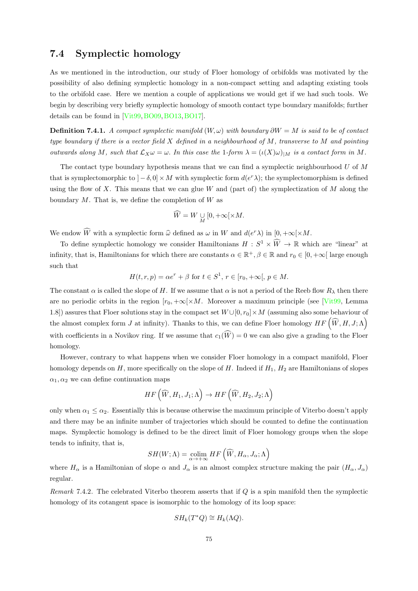### 7.4 Symplectic homology

As we mentioned in the introduction, our study of Floer homology of orbifolds was motivated by the possibility of also defining symplectic homology in a non-compact setting and adapting existing tools to the orbifold case. Here we mention a couple of applications we would get if we had such tools. We begin by describing very briefly symplectic homology of smooth contact type boundary manifolds; further details can be found in [\[Vit99,](#page-91-2)[BO09,](#page-88-1)[BO13,](#page-88-2)[BO17\]](#page-88-3).

**Definition 7.4.1.** A compact symplectic manifold  $(W, \omega)$  with boundary  $\partial W = M$  is said to be of contact type boundary if there is a vector field  $X$  defined in a neighbourhood of  $M$ , transverse to  $M$  and pointing outwards along M, such that  $\mathcal{L}_X \omega = \omega$ . In this case the 1-form  $\lambda = (\iota(X)\omega)_{|M}$  is a contact form in M.

The contact type boundary hypothesis means that we can find a symplectic neighbourhood  $U$  of  $M$ that is symplectomorphic to  $]-\delta,0] \times M$  with symplectic form  $d(e^r \lambda)$ ; the symplectomorphism is defined using the flow of X. This means that we can glue  $W$  and (part of) the symplectization of  $M$  along the boundary  $M$ . That is, we define the completion of  $W$  as

$$
\widehat{W} = W \underset{M}{\cup} [0, +\infty[ \times M.
$$

We endow  $\widehat{W}$  with a symplectic form  $\widehat{\omega}$  defined as  $\omega$  in W and  $d(e^r\lambda)$  in  $[0, +\infty[\times M.$ 

To define symplectic homology we consider Hamiltonians  $H: S^1 \times \widehat{W} \to \mathbb{R}$  which are "linear" at infinity, that is, Hamiltonians for which there are constants  $\alpha \in \mathbb{R}^+$ ,  $\beta \in \mathbb{R}$  and  $r_0 \in [0, +\infty]$  large enough such that

$$
H(t,r,p) = \alpha e^r + \beta \text{ for } t \in S^1, r \in [r_0, +\infty[, p \in M.
$$

The constant  $\alpha$  is called the slope of H. If we assume that  $\alpha$  is not a period of the Reeb flow  $R_{\lambda}$  then there are no periodic orbits in the region  $[r_0, +\infty[\times M]$ . Moreover a maximum principle (see [\[Vit99,](#page-91-2) Lemma 1.8]) assures that Floer solutions stay in the compact set  $W \cup [0, r_0] \times M$  (assuming also some behaviour of the almost complex form J at infinity). Thanks to this, we can define Floer homology  $HF(\widehat{W}, H, J; \Lambda)$ with coefficients in a Novikov ring. If we assume that  $c_1(\widehat{W}) = 0$  we can also give a grading to the Floer homology.

However, contrary to what happens when we consider Floer homology in a compact manifold, Floer homology depends on  $H$ , more specifically on the slope of  $H$ . Indeed if  $H_1$ ,  $H_2$  are Hamiltonians of slopes  $\alpha_1, \alpha_2$  we can define continuation maps

$$
HF\left(\widehat{W},H_1,J_1;\Lambda\right)\to HF\left(\widehat{W},H_2,J_2;\Lambda\right)
$$

only when  $\alpha_1 \leq \alpha_2$ . Essentially this is because otherwise the maximum principle of Viterbo doesn't apply and there may be an infinite number of trajectories which should be counted to define the continuation maps. Symplectic homology is defined to be the direct limit of Floer homology groups when the slope tends to infinity, that is,

$$
SH(W; \Lambda) = \underset{\alpha \to +\infty}{\text{colim}} HF\left(\widehat{W}, H_{\alpha}, J_{\alpha}; \Lambda\right)
$$

where  $H_{\alpha}$  is a Hamiltonian of slope  $\alpha$  and  $J_{\alpha}$  is an almost complex structure making the pair  $(H_{\alpha}, J_{\alpha})$ regular.

Remark 7.4.2. The celebrated Viterbo theorem asserts that if  $Q$  is a spin manifold then the symplectic homology of its cotangent space is isomorphic to the homology of its loop space:

$$
SH_k(T^*Q) \cong H_k(\Lambda Q).
$$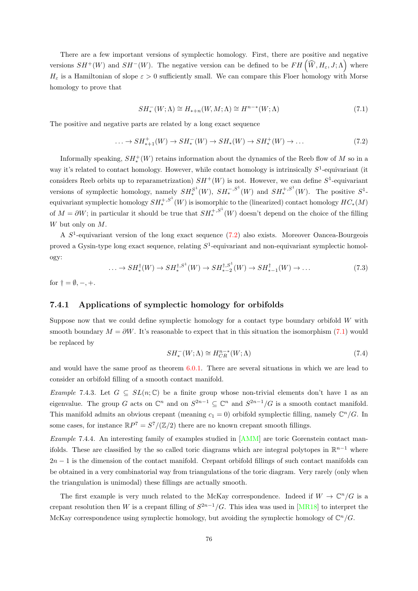There are a few important versions of symplectic homology. First, there are positive and negative versions  $SH^+(W)$  and  $SH^-(W)$ . The negative version can be defined to be  $FH(\widehat{W}, H_\varepsilon, J; \Lambda)$  where  $H_{\varepsilon}$  is a Hamiltonian of slope  $\varepsilon > 0$  sufficiently small. We can compare this Floer homology with Morse homology to prove that

<span id="page-80-1"></span>
$$
SH_*^-(W;\Lambda) \cong H_{*+n}(W,M;\Lambda) \cong H^{n-*}(W;\Lambda)
$$
\n(7.1)

The positive and negative parts are related by a long exact sequence

<span id="page-80-0"></span>
$$
\ldots \to SH_{\ast+1}^+(W) \to SH_{\ast}^-(W) \to SH_{\ast}(W) \to SH_{\ast}^+(W) \to \ldots \tag{7.2}
$$

Informally speaking,  $SH^+(W)$  retains information about the dynamics of the Reeb flow of M so in a way it's related to contact homology. However, while contact homology is intrinsically  $S^1$ -equivariant (it considers Reeb orbits up to reparametrization)  $SH^+(W)$  is not. However, we can define  $S^1$ -equivariant versions of symplectic homology, namely  $SH_*^{S^1}(W)$ ,  $SH_*^{-,S^1}(W)$  and  $SH_*^{+,S^1}(W)$ . The positive  $S^1$ equivariant symplectic homology  $SH_*^{+,S^1}(W)$  is isomorphic to the (linearized) contact homology  $HC_*(M)$ of  $M = \partial W$ ; in particular it should be true that  $SH_*^{+,S^1}(W)$  doesn't depend on the choice of the filling W but only on M.

A  $S<sup>1</sup>$ -equivariant version of the long exact sequence [\(7.2\)](#page-80-0) also exists. Moreover Oancea-Bourgeois proved a Gysin-type long exact sequence, relating  $S^1$ -equivariant and non-equivariant symplectic homology:

<span id="page-80-2"></span>
$$
\dots \to SH^{\dagger}_{*}(W) \to SH^{\dagger,S^{1}}_{*}(W) \to SH^{\dagger,S^{1}}_{*-2}(W) \to SH^{\dagger}_{*-1}(W) \to \dots
$$
\n
$$
(7.3)
$$

for  $\dagger = \emptyset, -, +$ .

#### 7.4.1 Applications of symplectic homology for orbifolds

Suppose now that we could define symplectic homology for a contact type boundary orbifold W with smooth boundary  $M = \partial W$ . It's reasonable to expect that in this situation the isomorphism [\(7.1\)](#page-80-1) would be replaced by

$$
SH_*^-(W;\Lambda) \cong H_{CR}^{n-*}(W;\Lambda)
$$
\n(7.4)

and would have the same proof as theorem [6.0.1.](#page-63-0) There are several situations in which we are lead to consider an orbifold filling of a smooth contact manifold.

Example 7.4.3. Let  $G \subseteq SL(n;\mathbb{C})$  be a finite group whose non-trivial elements don't have 1 as an eigenvalue. The group G acts on  $\mathbb{C}^n$  and on  $S^{2n-1} \subseteq \mathbb{C}^n$  and  $S^{2n-1}/G$  is a smooth contact manifold. This manifold admits an obvious crepant (meaning  $c_1 = 0$ ) orbifold symplectic filling, namely  $\mathbb{C}^n/G$ . In some cases, for instance  $\mathbb{R}P^7 = S^7/(\mathbb{Z}/2)$  there are no known crepant smooth fillings.

Example 7.4.4. An interesting family of examples studied in [\[AMM\]](#page-88-4) are toric Gorenstein contact manifolds. These are classified by the so called toric diagrams which are integral polytopes in  $\mathbb{R}^{n-1}$  where  $2n-1$  is the dimension of the contact manifold. Crepant orbifold fillings of such contact manifolds can be obtained in a very combinatorial way from triangulations of the toric diagram. Very rarely (only when the triangulation is unimodal) these fillings are actually smooth.

The first example is very much related to the McKay correspondence. Indeed if  $W \to \mathbb{C}^n/G$  is a crepant resolution then W is a crepant filling of  $S^{2n-1}/G$ . This idea was used in [\[MR18\]](#page-90-2) to interpret the McKay correspondence using symplectic homology, but avoiding the symplectic homology of  $\mathbb{C}^n/G$ .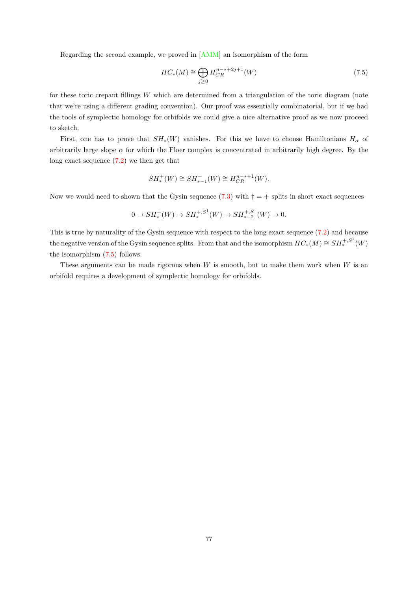Regarding the second example, we proved in [\[AMM\]](#page-88-4) an isomorphism of the form

<span id="page-81-0"></span>
$$
HC_*(M) \cong \bigoplus_{j\geq 0} H_{CR}^{n-*+2j+1}(W)
$$
\n(7.5)

for these toric crepant fillings  $W$  which are determined from a triangulation of the toric diagram (note that we're using a different grading convention). Our proof was essentially combinatorial, but if we had the tools of symplectic homology for orbifolds we could give a nice alternative proof as we now proceed to sketch.

First, one has to prove that  $SH_*(W)$  vanishes. For this we have to choose Hamiltonians  $H_\alpha$  of arbitrarily large slope  $\alpha$  for which the Floer complex is concentrated in arbitrarily high degree. By the long exact sequence [\(7.2\)](#page-80-0) we then get that

$$
SH_*^+(W) \cong SH_{*-1}^-(W) \cong H_{CR}^{n-*+1}(W).
$$

Now we would need to shown that the Gysin sequence [\(7.3\)](#page-80-2) with  $\dagger = +$  splits in short exact sequences

$$
0 \to SH_*^+(W) \to SH_*^{+,S^1}(W) \to SH_{*-2}^{+,S^1}(W) \to 0.
$$

This is true by naturality of the Gysin sequence with respect to the long exact sequence [\(7.2\)](#page-80-0) and because the negative version of the Gysin sequence splits. From that and the isomorphism  $HC_*(M) \cong SH_*^{+,S^1}(W)$ the isomorphism [\(7.5\)](#page-81-0) follows.

These arguments can be made rigorous when  $W$  is smooth, but to make them work when  $W$  is an orbifold requires a development of symplectic homology for orbifolds.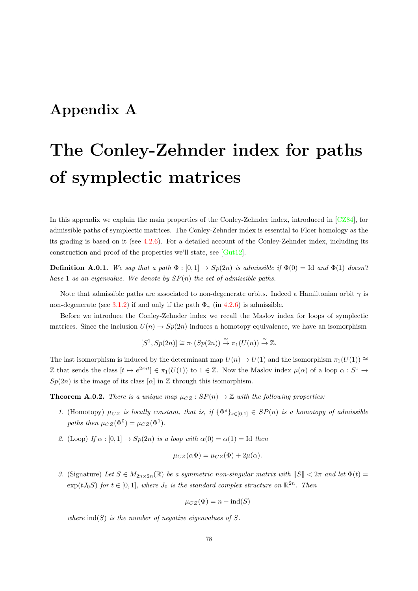# Appendix A

# The Conley-Zehnder index for paths of symplectic matrices

In this appendix we explain the main properties of the Conley-Zehnder index, introduced in [\[CZ84\]](#page-89-1), for admissible paths of symplectic matrices. The Conley-Zehnder index is essential to Floer homology as the its grading is based on it (see [4.2.6\)](#page-47-1). For a detailed account of the Conley-Zehnder index, including its construction and proof of the properties we'll state, see [\[Gut12\]](#page-90-3).

**Definition A.0.1.** We say that a path  $\Phi : [0,1] \rightarrow Sp(2n)$  is admissible if  $\Phi(0) = \text{Id}$  and  $\Phi(1)$  doesn't have 1 as an eigenvalue. We denote by  $SP(n)$  the set of admissible paths.

Note that admissible paths are associated to non-degenerate orbits. Indeed a Hamiltonian orbit  $\gamma$  is non-degenerate (see [3.1.2\)](#page-26-0) if and only if the path  $\Phi_{\gamma}$  (in [4.2.6\)](#page-47-1) is admissible.

Before we introduce the Conley-Zehnder index we recall the Maslov index for loops of symplectic matrices. Since the inclusion  $U(n) \to Sp(2n)$  induces a homotopy equivalence, we have an isomorphism

$$
[S^1, Sp(2n)] \cong \pi_1(Sp(2n)) \stackrel{\cong}{\to} \pi_1(U(n)) \stackrel{\cong}{\to} \mathbb{Z}.
$$

The last isomorphism is induced by the determinant map  $U(n) \to U(1)$  and the isomorphism  $\pi_1(U(1)) \cong$ Z that sends the class  $[t \mapsto e^{2\pi i t}] \in \pi_1(U(1))$  to  $1 \in \mathbb{Z}$ . Now the Maslov index  $\mu(\alpha)$  of a loop  $\alpha : S^1 \to$  $Sp(2n)$  is the image of its class  $[\alpha]$  in  $\mathbb Z$  through this isomorphism.

**Theorem A.0.2.** There is a unique map  $\mu_{CZ} : SP(n) \to \mathbb{Z}$  with the following properties:

- 1. (Homotopy)  $\mu_{CZ}$  is locally constant, that is, if  $\{\Phi^s\}_{s\in[0,1]}\in SP(n)$  is a homotopy of admissible paths then  $\mu_{CZ}(\Phi^0) = \mu_{CZ}(\Phi^1)$ .
- 2. (Loop) If  $\alpha : [0, 1] \to Sp(2n)$  is a loop with  $\alpha(0) = \alpha(1) = \text{Id}$  then

$$
\mu_{CZ}(\alpha \Phi) = \mu_{CZ}(\Phi) + 2\mu(\alpha).
$$

3. (Signature) Let  $S \in M_{2n \times 2n}(\mathbb{R})$  be a symmetric non-singular matrix with  $||S|| < 2\pi$  and let  $\Phi(t)$  $\exp(tJ_0S)$  for  $t \in [0,1]$ , where  $J_0$  is the standard complex structure on  $\mathbb{R}^{2n}$ . Then

$$
\mu_{CZ}(\Phi) = n - \text{ind}(S)
$$

where  $\text{ind}(S)$  is the number of negative eigenvalues of S.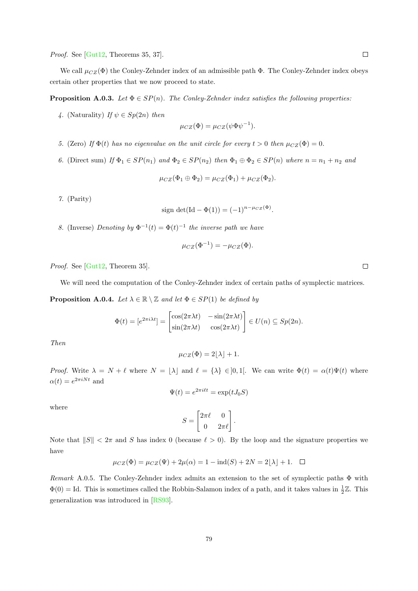Proof. See [\[Gut12,](#page-90-3) Theorems 35, 37].

We call  $\mu_{CZ}(\Phi)$  the Conley-Zehnder index of an admissible path  $\Phi$ . The Conley-Zehnder index obeys certain other properties that we now proceed to state.

**Proposition A.0.3.** Let  $\Phi \in SP(n)$ . The Conley-Zehnder index satisfies the following properties:

4. (Naturality) If  $\psi \in Sp(2n)$  then

$$
\mu_{CZ}(\Phi) = \mu_{CZ}(\psi \Phi \psi^{-1}).
$$

- 5. (Zero) If  $\Phi(t)$  has no eigenvalue on the unit circle for every  $t > 0$  then  $\mu_{CZ}(\Phi) = 0$ .
- 6. (Direct sum) If  $\Phi_1 \in SP(n_1)$  and  $\Phi_2 \in SP(n_2)$  then  $\Phi_1 \oplus \Phi_2 \in SP(n)$  where  $n = n_1 + n_2$  and

$$
\mu_{CZ}(\Phi_1 \oplus \Phi_2) = \mu_{CZ}(\Phi_1) + \mu_{CZ}(\Phi_2).
$$

7. (Parity)

sign det
$$
(Id - \Phi(1)) = (-1)^{n-\mu_{CZ}(\Phi)}
$$
.

8. (Inverse) Denoting by  $\Phi^{-1}(t) = \Phi(t)^{-1}$  the inverse path we have

$$
\mu_{CZ}(\Phi^{-1}) = -\mu_{CZ}(\Phi).
$$

Proof. See [\[Gut12,](#page-90-3) Theorem 35].

We will need the computation of the Conley-Zehnder index of certain paths of symplectic matrices.

**Proposition A.0.4.** Let  $\lambda \in \mathbb{R} \setminus \mathbb{Z}$  and let  $\Phi \in SP(1)$  be defined by

$$
\Phi(t) = [e^{2\pi i \lambda t}] = \begin{bmatrix} \cos(2\pi \lambda t) & -\sin(2\pi \lambda t) \\ \sin(2\pi \lambda t) & \cos(2\pi \lambda t) \end{bmatrix} \in U(n) \subseteq Sp(2n).
$$

Then

$$
\mu_{CZ}(\Phi) = 2[\lambda] + 1.
$$

*Proof.* Write  $\lambda = N + \ell$  where  $N = |\lambda|$  and  $\ell = {\lambda} \in ]0,1[$ . We can write  $\Phi(t) = \alpha(t)\Psi(t)$  where  $\alpha(t) = e^{2\pi i N t}$  and

$$
\Psi(t) = e^{2\pi i \ell t} = \exp(tJ_0S)
$$

where

$$
S = \begin{bmatrix} 2\pi\ell & 0 \\ 0 & 2\pi\ell \end{bmatrix}.
$$

Note that  $||S|| < 2\pi$  and S has index 0 (because  $\ell > 0$ ). By the loop and the signature properties we have

$$
\mu_{CZ}(\Phi) = \mu_{CZ}(\Psi) + 2\mu(\alpha) = 1 - \text{ind}(S) + 2N = 2[\lambda] + 1. \quad \Box
$$

Remark A.0.5. The Conley-Zehnder index admits an extension to the set of symplectic paths  $\Phi$  with  $\Phi(0) = \text{Id}$ . This is sometimes called the Robbin-Salamon index of a path, and it takes values in  $\frac{1}{2}\mathbb{Z}$ . This generalization was introduced in [\[RS93\]](#page-91-3).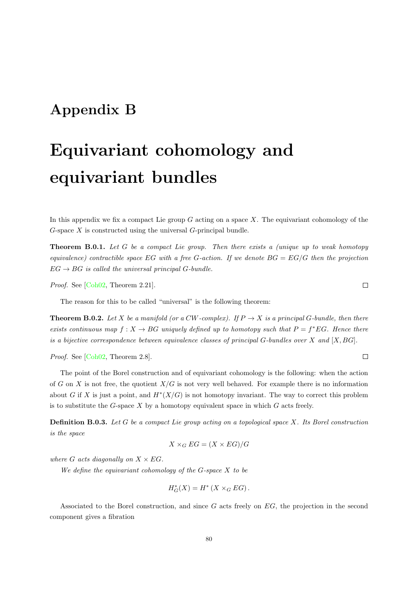# Appendix B

# Equivariant cohomology and equivariant bundles

In this appendix we fix a compact Lie group  $G$  acting on a space  $X$ . The equivariant cohomology of the  $G$ -space X is constructed using the universal  $G$ -principal bundle.

**Theorem B.0.1.** Let G be a compact Lie group. Then there exists a (unique up to weak homotopy equivalence) contractible space EG with a free G-action. If we denote  $BG = EG/G$  then the projection  $EG \rightarrow BG$  is called the universal principal G-bundle.

Proof. See [\[Coh02,](#page-88-5) Theorem 2.21].

The reason for this to be called "universal" is the following theorem:

**Theorem B.0.2.** Let X be a manifold (or a CW-complex). If  $P \to X$  is a principal G-bundle, then there exists continuous map  $f: X \to BG$  uniquely defined up to homotopy such that  $P = f^*EG$ . Hence there is a bijective correspondence between equivalence classes of principal  $G$ -bundles over  $X$  and  $[X, BG]$ .

Proof. See [\[Coh02,](#page-88-5) Theorem 2.8].

The point of the Borel construction and of equivariant cohomology is the following: when the action of G on X is not free, the quotient  $X/G$  is not very well behaved. For example there is no information about G if X is just a point, and  $H^*(X/G)$  is not homotopy invariant. The way to correct this problem is to substitute the  $G$ -space  $X$  by a homotopy equivalent space in which  $G$  acts freely.

Definition B.0.3. Let G be a compact Lie group acting on a topological space X. Its Borel construction is the space

$$
X \times_G EG = (X \times EG)/G
$$

where G acts diagonally on  $X \times EG$ .

We define the equivariant cohomology of the  $G$ -space  $X$  to be

$$
H_G^*(X) = H^*(X \times_G EG).
$$

Associated to the Borel construction, and since G acts freely on EG, the projection in the second component gives a fibration

 $\Box$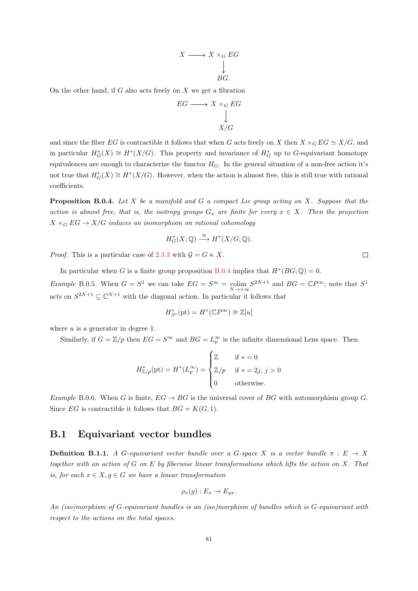$$
X \longrightarrow X \times_G EG
$$
  
\n
$$
\downarrow
$$
  
\n
$$
BG.
$$

On the other hand, if  $G$  also acts freely on  $X$  we get a fibration

$$
EG \longrightarrow X \times_G EG
$$
  
\n
$$
\downarrow
$$
  
\n
$$
X/G
$$

and since the fiber EG is contractible it follows that when G acts freely on X then  $X \times_G EG \simeq X/G$ , and in particular  $H^*_G(X) \cong H^*(X/G)$ . This property and invariance of  $H^*_G$  up to G-equivariant homotopy equivalences are enough to characterize the functor  $H_G$ . In the general situation of a non-free action it's not true that  $H^*_G(X) \cong H^*(X/G)$ . However, when the action is almost free, this is still true with rational coefficients.

<span id="page-85-0"></span>**Proposition B.0.4.** Let  $X$  be a manifold and  $G$  a compact Lie group acting on  $X$ . Suppose that the action is almost free, that is, the isotropy groups  $G_x$  are finite for every  $x \in X$ . Then the projection  $X \times_G EG \to X/G$  induces an isomorphism on rational cohomology

$$
H^*_{G}(X; \mathbb{Q}) \stackrel{\cong}{\longrightarrow} H^*(X/G; \mathbb{Q}).
$$

*Proof.* This is a particular case of [2.3.3](#page-16-1) with  $\mathcal{G} = G \ltimes X$ .

In particular when G is a finite group proposition [B.0.4](#page-85-0) implies that  $H^*(BG; \mathbb{Q}) = 0$ . *Example* B.0.5. When  $G = S^1$  we can take  $EG = S^{\infty} = \text{colim}_{N \to +\infty} S^{2N+1}$  and  $BG = \mathbb{C}P^{\infty}$ ; note that  $S^1$ acts on  $S^{2N+1} \subseteq \mathbb{C}^{N+1}$  with the diagonal action. In particular it follows that

$$
H_{S^1}^*(\textup{pt})=H^*(\mathbb{C} P^{\infty})\cong \mathbb{Z}[u]
$$

where  $u$  is a generator in degree 1.

Similarly, if  $G = \mathbb{Z}/p$  then  $EG = S^{\infty}$  and  $BG = L^{\infty}_p$  is the infinite dimensional Lens space. Then

$$
H^*_{\mathbb{Z}/p}(\text{pt}) = H^*(L_p^{\infty}) = \begin{cases} \mathbb{Z} & \text{if } * = 0 \\ \mathbb{Z}/p & \text{if } * = 2j, j > 0 \\ 0 & \text{otherwise.} \end{cases}
$$

Example B.0.6. When G is finite,  $EG \rightarrow BG$  is the universal cover of BG with automorphism group G. Since EG is contractible it follows that  $BG = K(G, 1)$ .

### B.1 Equivariant vector bundles

**Definition B.1.1.** A G-equivariant vector bundle over a G-space X is a vector bundle  $\pi : E \to X$ together with an action of  $G$  on  $E$  by fiberwise linear transformations which lifts the action on  $X$ . That is, for each  $x \in X, g \in G$  we have a linear transformation

$$
\rho_x(g): E_x \to E_{gx}.
$$

An (iso)morphism of G-equivariant bundles is an (iso)morphism of bundles which is G-equivariant with respect to the actions on the total spaces.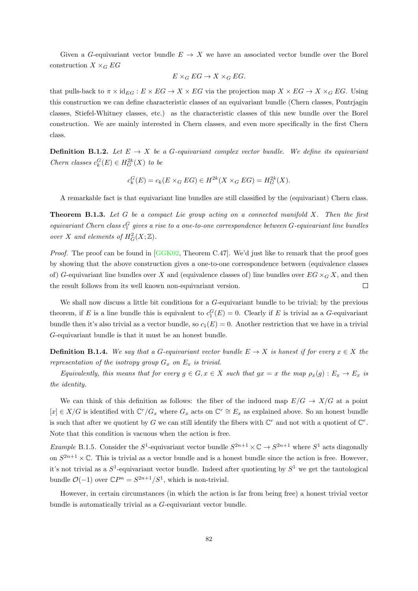Given a G-equivariant vector bundle  $E \to X$  we have an associated vector bundle over the Borel construction  $X \times_G EG$ 

$$
E \times_G EG \to X \times_G EG.
$$

that pulls-back to  $\pi \times id_{EG} : E \times EG \to X \times EG$  via the projection map  $X \times EG \to X \times_G EG$ . Using this construction we can define characteristic classes of an equivariant bundle (Chern classes, Pontrjagin classes, Stiefel-Whitney classes, etc.) as the characteristic classes of this new bundle over the Borel construction. We are mainly interested in Chern classes, and even more specifically in the first Chern class.

**Definition B.1.2.** Let  $E \to X$  be a G-equivariant complex vector bundle. We define its equivariant Chern classes  $c_k^G(E) \in H_G^{2k}(X)$  to be

$$
c_k^G(E) = c_k(E \times_G EG) \in H^{2k}(X \times_G EG) = H_G^{2k}(X).
$$

A remarkable fact is that equivariant line bundles are still classified by the (equivariant) Chern class.

<span id="page-86-0"></span>**Theorem B.1.3.** Let G be a compact Lie group acting on a connected manifold X. Then the first equivariant Chern class  $c_1^G$  gives a rise to a one-to-one correspondence between  $G$ -equivariant line bundles over X and elements of  $H^2_G(X;\mathbb{Z})$ .

*Proof.* The proof can be found in  $[GGK02, Theorem C.47]$  $[GGK02, Theorem C.47]$ . We'd just like to remark that the proof goes by showing that the above construction gives a one-to-one correspondence between (equivalence classes of) G-equivariant line bundles over X and (equivalence classes of) line bundles over  $EG \times_G X$ , and then the result follows from its well known non-equivariant version.  $\Box$ 

We shall now discuss a little bit conditions for a G-equivariant bundle to be trivial; by the previous theorem, if E is a line bundle this is equivalent to  $c_1^G(E) = 0$ . Clearly if E is trivial as a G-equivariant bundle then it's also trivial as a vector bundle, so  $c_1(E) = 0$ . Another restriction that we have in a trivial G-equivariant bundle is that it must be an honest bundle.

**Definition B.1.4.** We say that a G-equivariant vector bundle  $E \to X$  is honest if for every  $x \in X$  the representation of the isotropy group  $G_x$  on  $E_x$  is trivial.

Equivalently, this means that for every  $g \in G$ ,  $x \in X$  such that  $gx = x$  the map  $\rho_x(g) : E_x \to E_x$  is the identity.

We can think of this definition as follows: the fiber of the induced map  $E/G \to X/G$  at a point  $[x] \in X/G$  is identified with  $\mathbb{C}^r/G_x$  where  $G_x$  acts on  $\mathbb{C}^r \cong E_x$  as explained above. So an honest bundle is such that after we quotient by G we can still identify the fibers with  $\mathbb{C}^r$  and not with a quotient of  $\mathbb{C}^r$ . Note that this condition is vacuous when the action is free.

Example B.1.5. Consider the  $S^1$ -equivariant vector bundle  $S^{2n+1} \times \mathbb{C} \to S^{2n+1}$  where  $S^1$  acts diagonally on  $S^{2n+1}\times\mathbb{C}$ . This is trivial as a vector bundle and is a honest bundle since the action is free. However, it's not trivial as a  $S^1$ -equivariant vector bundle. Indeed after quotienting by  $S^1$  we get the tautological bundle  $\mathcal{O}(-1)$  over  $\mathbb{C}P^n = S^{2n+1}/S^1$ , which is non-trivial.

However, in certain circumstances (in which the action is far from being free) a honest trivial vector bundle is automatically trivial as a G-equivariant vector bundle.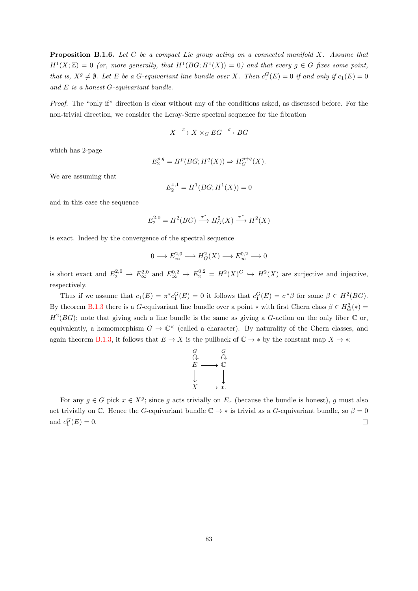**Proposition B.1.6.** Let G be a compact Lie group acting on a connected manifold X. Assume that  $H^1(X;\mathbb{Z}) = 0$  (or, more generally, that  $H^1(BG; H^1(X)) = 0$ ) and that every  $g \in G$  fixes some point, that is,  $X^g \neq \emptyset$ . Let E be a G-equivariant line bundle over X. Then  $c_1^G(E) = 0$  if and only if  $c_1(E) = 0$ and  $E$  is a honest  $G$ -equivariant bundle.

Proof. The "only if" direction is clear without any of the conditions asked, as discussed before. For the non-trivial direction, we consider the Leray-Serre spectral sequence for the fibration

$$
X \stackrel{\pi}{\longrightarrow} X \times_G EG \stackrel{\sigma}{\longrightarrow} BG
$$

which has 2-page

$$
E_2^{p,q} = H^p(BG; H^q(X)) \Rightarrow H_G^{p+q}(X).
$$

We are assuming that

$$
E_2^{1,1} = H^1(BG; H^1(X)) = 0
$$

and in this case the sequence

$$
E_2^{2,0} = H^2(BG) \xrightarrow{\sigma^*} H^2_G(X) \xrightarrow{\pi^*} H^2(X)
$$

is exact. Indeed by the convergence of the spectral sequence

$$
0 \longrightarrow E_{\infty}^{2,0} \longrightarrow H^2_G(X) \longrightarrow E_{\infty}^{0,2} \longrightarrow 0
$$

is short exact and  $E_2^{2,0} \to E_\infty^{2,0}$  and  $E_\infty^{0,2} \to E_2^{0,2} = H^2(X)^G \to H^2(X)$  are surjective and injective, respectively.

Thus if we assume that  $c_1(E) = \pi^* c_1^G(E) = 0$  it follows that  $c_1^G(E) = \sigma^* \beta$  for some  $\beta \in H^2(BG)$ . By theorem [B.1.3](#page-86-0) there is a G-equivariant line bundle over a point  $*$  with first Chern class  $\beta \in H_G^2(*)$  $H^2(BG)$ ; note that giving such a line bundle is the same as giving a G-action on the only fiber  $\mathbb C$  or, equivalently, a homomorphism  $G \to \mathbb{C}^{\times}$  (called a character). By naturality of the Chern classes, and again theorem [B.1.3,](#page-86-0) it follows that  $E \to X$  is the pullback of  $\mathbb{C} \to *$  by the constant map  $X \to *$ :



For any  $g \in G$  pick  $x \in X^g$ ; since g acts trivially on  $E_x$  (because the bundle is honest), g must also act trivially on C. Hence the G-equivariant bundle  $\mathbb{C} \to *$  is trivial as a G-equivariant bundle, so  $\beta = 0$ and  $c_1^G(E) = 0$ .  $\Box$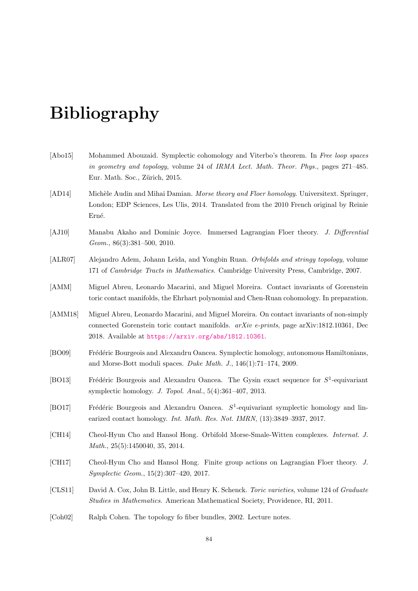# Bibliography

- [Abo15] Mohammed Abouzaid. Symplectic cohomology and Viterbo's theorem. In Free loop spaces in geometry and topology, volume 24 of IRMA Lect. Math. Theor. Phys., pages 271–485. Eur. Math. Soc., Zürich, 2015.
- [AD14] Michèle Audin and Mihai Damian. Morse theory and Floer homology. Universitext. Springer, London; EDP Sciences, Les Ulis, 2014. Translated from the 2010 French original by Reinie Erné.
- <span id="page-88-0"></span>[AJ10] Manabu Akaho and Dominic Joyce. Immersed Lagrangian Floer theory. J. Differential Geom., 86(3):381–500, 2010.
- [ALR07] Alejandro Adem, Johann Leida, and Yongbin Ruan. Orbifolds and stringy topology, volume 171 of Cambridge Tracts in Mathematics. Cambridge University Press, Cambridge, 2007.
- <span id="page-88-4"></span>[AMM] Miguel Abreu, Leonardo Macarini, and Miguel Moreira. Contact invariants of Gorenstein toric contact manifolds, the Ehrhart polynomial and Chen-Ruan cohomology. In preparation.
- [AMM18] Miguel Abreu, Leonardo Macarini, and Miguel Moreira. On contact invariants of non-simply connected Gorenstein toric contact manifolds. arXiv e-prints, page arXiv:1812.10361, Dec 2018. Available at <https://arxiv.org/abs/1812.10361>.
- <span id="page-88-1"></span>[BO09] Frédéric Bourgeois and Alexandru Oancea. Symplectic homology, autonomous Hamiltonians, and Morse-Bott moduli spaces. Duke Math. J., 146(1):71–174, 2009.
- <span id="page-88-2"></span>[BO13] Frédéric Bourgeois and Alexandru Oancea. The Gysin exact sequence for  $S^1$ -equivariant symplectic homology. J. Topol. Anal., 5(4):361–407, 2013.
- <span id="page-88-3"></span>[BO17] Frédéric Bourgeois and Alexandru Oancea.  $S^1$ -equivariant symplectic homology and linearized contact homology. Int. Math. Res. Not. IMRN, (13):3849–3937, 2017.
- [CH14] Cheol-Hyun Cho and Hansol Hong. Orbifold Morse-Smale-Witten complexes. Internat. J. Math., 25(5):1450040, 35, 2014.
- [CH17] Cheol-Hyun Cho and Hansol Hong. Finite group actions on Lagrangian Floer theory. J. Symplectic Geom., 15(2):307–420, 2017.
- [CLS11] David A. Cox, John B. Little, and Henry K. Schenck. Toric varieties, volume 124 of Graduate Studies in Mathematics. American Mathematical Society, Providence, RI, 2011.
- <span id="page-88-5"></span>[Coh02] Ralph Cohen. The topology fo fiber bundles, 2002. Lecture notes.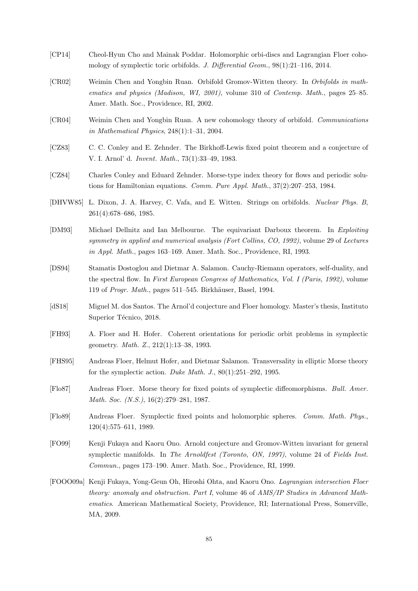- [CP14] Cheol-Hyun Cho and Mainak Poddar. Holomorphic orbi-discs and Lagrangian Floer cohomology of symplectic toric orbifolds. J. Differential Geom., 98(1):21–116, 2014.
- [CR02] Weimin Chen and Yongbin Ruan. Orbifold Gromov-Witten theory. In Orbifolds in mathematics and physics (Madison, WI, 2001), volume 310 of Contemp. Math., pages 25–85. Amer. Math. Soc., Providence, RI, 2002.
- [CR04] Weimin Chen and Yongbin Ruan. A new cohomology theory of orbifold. Communications in Mathematical Physics, 248(1):1–31, 2004.
- [CZ83] C. C. Conley and E. Zehnder. The Birkhoff-Lewis fixed point theorem and a conjecture of V. I. Arnol' d. Invent. Math., 73(1):33–49, 1983.
- <span id="page-89-1"></span>[CZ84] Charles Conley and Eduard Zehnder. Morse-type index theory for flows and periodic solutions for Hamiltonian equations. Comm. Pure Appl. Math., 37(2):207–253, 1984.
- [DHVW85] L. Dixon, J. A. Harvey, C. Vafa, and E. Witten. Strings on orbifolds. Nuclear Phys. B, 261(4):678–686, 1985.
- [DM93] Michael Dellnitz and Ian Melbourne. The equivariant Darboux theorem. In Exploiting symmetry in applied and numerical analysis (Fort Collins, CO, 1992), volume 29 of Lectures in Appl. Math., pages 163–169. Amer. Math. Soc., Providence, RI, 1993.
- [DS94] Stamatis Dostoglou and Dietmar A. Salamon. Cauchy-Riemann operators, self-duality, and the spectral flow. In First European Congress of Mathematics, Vol. I (Paris, 1992), volume 119 of Progr. Math., pages 511–545. Birkhäuser, Basel, 1994.
- <span id="page-89-0"></span>[dS18] Miguel M. dos Santos. The Arnol'd conjecture and Floer homology. Master's thesis, Instituto Superior Técnico, 2018.
- [FH93] A. Floer and H. Hofer. Coherent orientations for periodic orbit problems in symplectic geometry. Math. Z., 212(1):13–38, 1993.
- [FHS95] Andreas Floer, Helmut Hofer, and Dietmar Salamon. Transversality in elliptic Morse theory for the symplectic action. Duke Math. J.,  $80(1):251-292$ , 1995.
- [Flo87] Andreas Floer. Morse theory for fixed points of symplectic diffeomorphisms. Bull. Amer. Math. Soc. (N.S.), 16(2):279–281, 1987.
- [Flo89] Andreas Floer. Symplectic fixed points and holomorphic spheres. Comm. Math. Phys., 120(4):575–611, 1989.
- [FO99] Kenji Fukaya and Kaoru Ono. Arnold conjecture and Gromov-Witten invariant for general symplectic manifolds. In The Arnoldfest (Toronto, ON, 1997), volume 24 of Fields Inst. Commun., pages 173–190. Amer. Math. Soc., Providence, RI, 1999.
- [FOOO09a] Kenji Fukaya, Yong-Geun Oh, Hiroshi Ohta, and Kaoru Ono. Lagrangian intersection Floer theory: anomaly and obstruction. Part I, volume 46 of AMS/IP Studies in Advanced Mathematics. American Mathematical Society, Providence, RI; International Press, Somerville, MA, 2009.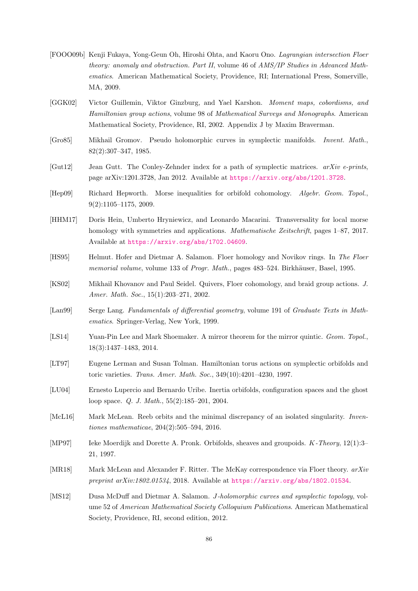- [FOOO09b] Kenji Fukaya, Yong-Geun Oh, Hiroshi Ohta, and Kaoru Ono. Lagrangian intersection Floer theory: anomaly and obstruction. Part II, volume 46 of AMS/IP Studies in Advanced Mathematics. American Mathematical Society, Providence, RI; International Press, Somerville, MA, 2009.
- <span id="page-90-4"></span>[GGK02] Victor Guillemin, Viktor Ginzburg, and Yael Karshon. Moment maps, cobordisms, and Hamiltonian group actions, volume 98 of Mathematical Surveys and Monographs. American Mathematical Society, Providence, RI, 2002. Appendix J by Maxim Braverman.
- [Gro85] Mikhail Gromov. Pseudo holomorphic curves in symplectic manifolds. Invent. Math., 82(2):307–347, 1985.
- <span id="page-90-3"></span>[Gut12] Jean Gutt. The Conley-Zehnder index for a path of symplectic matrices.  $arXiv$  e-prints, page arXiv:1201.3728, Jan 2012. Available at <https://arxiv.org/abs/1201.3728>.
- [Hep09] Richard Hepworth. Morse inequalities for orbifold cohomology. Algebr. Geom. Topol., 9(2):1105–1175, 2009.
- [HHM17] Doris Hein, Umberto Hryniewicz, and Leonardo Macarini. Transversality for local morse homology with symmetries and applications. *Mathematische Zeitschrift*, pages 1–87, 2017. Available at <https://arxiv.org/abs/1702.04609>.
- [HS95] Helmut. Hofer and Dietmar A. Salamon. Floer homology and Novikov rings. In The Floer memorial volume, volume 133 of Progr. Math., pages 483–524. Birkhäuser, Basel, 1995.
- [KS02] Mikhail Khovanov and Paul Seidel. Quivers, Floer cohomology, and braid group actions. J. Amer. Math. Soc., 15(1):203–271, 2002.
- [Lan99] Serge Lang. Fundamentals of differential geometry, volume 191 of Graduate Texts in Mathematics. Springer-Verlag, New York, 1999.
- [LS14] Yuan-Pin Lee and Mark Shoemaker. A mirror theorem for the mirror quintic. Geom. Topol., 18(3):1437–1483, 2014.
- [LT97] Eugene Lerman and Susan Tolman. Hamiltonian torus actions on symplectic orbifolds and toric varieties. Trans. Amer. Math. Soc., 349(10):4201–4230, 1997.
- <span id="page-90-0"></span>[LU04] Ernesto Lupercio and Bernardo Uribe. Inertia orbifolds, configuration spaces and the ghost loop space. Q. J. Math., 55(2):185–201, 2004.
- [McL16] Mark McLean. Reeb orbits and the minimal discrepancy of an isolated singularity. Inventiones mathematicae, 204(2):505–594, 2016.
- [MP97] Ieke Moerdijk and Dorette A. Pronk. Orbifolds, sheaves and groupoids. K-Theory, 12(1):3– 21, 1997.
- <span id="page-90-2"></span>[MR18] Mark McLean and Alexander F. Ritter. The McKay correspondence via Floer theory.  $arXiv$ preprint  $arXiv:1802.01534$ , 2018. Available at <https://arxiv.org/abs/1802.01534>.
- <span id="page-90-1"></span>[MS12] Dusa McDuff and Dietmar A. Salamon. J-holomorphic curves and symplectic topology, volume 52 of American Mathematical Society Colloquium Publications. American Mathematical Society, Providence, RI, second edition, 2012.